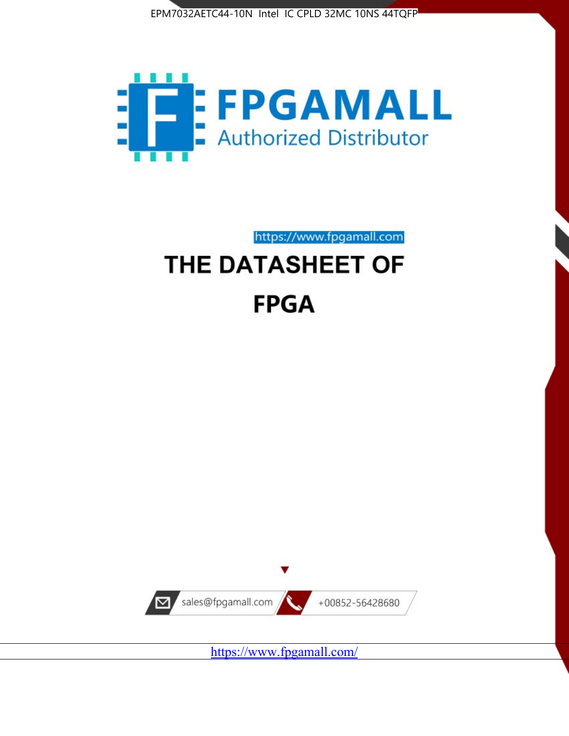



https://www.fpgamall.com

# THE DATASHEET OF **FPGA**



<https://www.fpgamall.com/>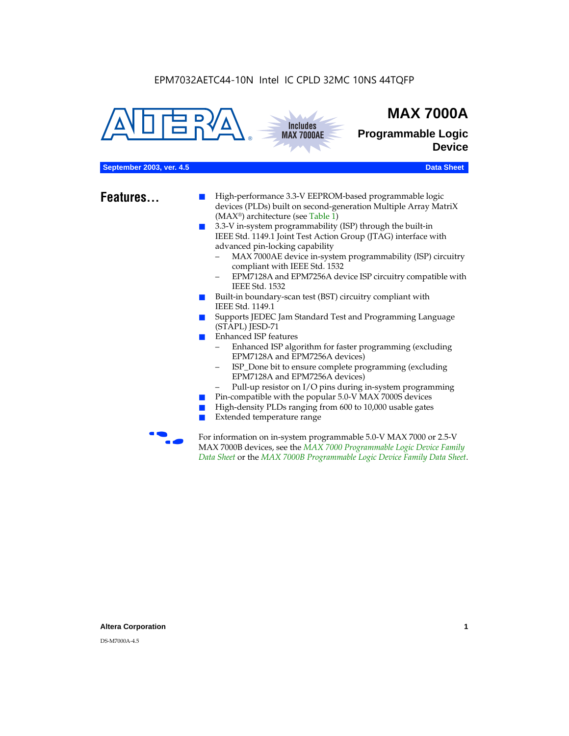**Includes MAX 7000AE**





**Programmable Logic Device**

#### **September 2003, ver. 4.5 Data Sheet** Construction of the Construction of the Construction of the Construction of the Construction of the Construction of the Construction of the Construction of the Construction of the Cons

- **Features...** High-performance 3.3-V EEPROM-based programmable logic devices (PLDs) built on second-generation Multiple Array MatriX (MAX®) architecture (see Table 1)
	- 3.3-V in-system programmability (ISP) through the built-in IEEE Std. 1149.1 Joint Test Action Group (JTAG) interface with advanced pin-locking capability
		- MAX 7000AE device in-system programmability (ISP) circuitry compliant with IEEE Std. 1532
		- EPM7128A and EPM7256A device ISP circuitry compatible with IEEE Std. 1532
	- Built-in boundary-scan test (BST) circuitry compliant with IEEE Std. 1149.1
	- Supports JEDEC Jam Standard Test and Programming Language (STAPL) JESD-71
	- Enhanced ISP features
		- Enhanced ISP algorithm for faster programming (excluding EPM7128A and EPM7256A devices)
		- ISP\_Done bit to ensure complete programming (excluding EPM7128A and EPM7256A devices)
		- Pull-up resistor on I/O pins during in-system programming
	- Pin-compatible with the popular 5.0-V MAX 7000S devices
	- High-density PLDs ranging from 600 to 10,000 usable gates
	- Extended temperature range

For information on in-system programmable 5.0-V MAX 7000 or 2.5-V MAX 7000B devices, see the *MAX 7000 Programmable Logic Device Family Data Sheet* or the *MAX 7000B Programmable Logic Device Family Data Sheet*.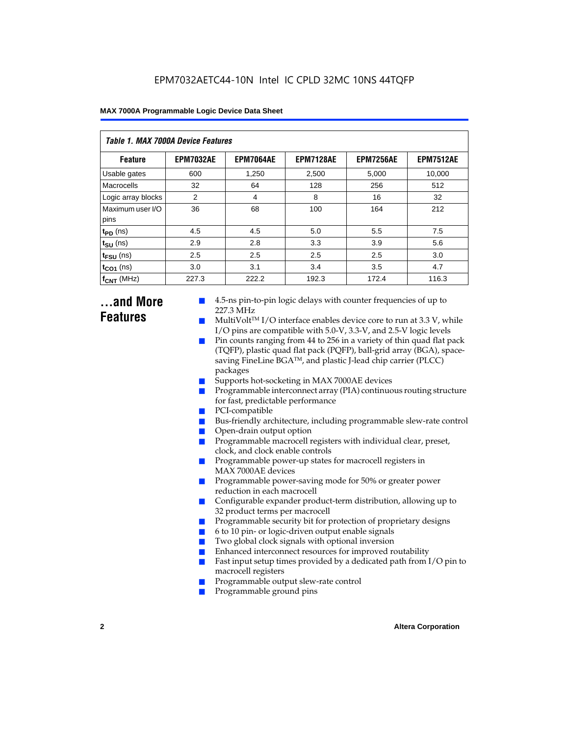| Table 1. MAX 7000A Device Features |                  |                  |                  |                  |                  |  |  |  |
|------------------------------------|------------------|------------------|------------------|------------------|------------------|--|--|--|
| <b>Feature</b>                     | <b>EPM7032AE</b> | <b>EPM7064AE</b> | <b>EPM7128AE</b> | <b>EPM7256AE</b> | <b>EPM7512AE</b> |  |  |  |
| Usable gates                       | 600              | 1,250            | 2,500            | 5,000            | 10,000           |  |  |  |
| Macrocells                         | 32               | 64               | 128              | 256              | 512              |  |  |  |
| Logic array blocks                 | 2                | 4                | 8                | 16               | 32               |  |  |  |
| Maximum user I/O<br>pins           | 36               | 68               | 100              | 164              | 212              |  |  |  |
| $t_{PD}$ (ns)                      | 4.5              | 4.5              | 5.0              | 5.5              | 7.5              |  |  |  |
| $t_{SU}$ (ns)                      | 2.9              | 2.8              | 3.3              | 3.9              | 5.6              |  |  |  |
| $t_{\text{FSU}}$ (ns)              | 2.5              | 2.5              | 2.5              | 2.5              | 3.0              |  |  |  |
| $t_{CO1}$ (ns)                     | 3.0              | 3.1              | 3.4              | 3.5              | 4.7              |  |  |  |
| $f_{CNT}$ (MHz)                    | 227.3            | 222.2            | 192.3            | 172.4            | 116.3            |  |  |  |

### **...and More Features**

- 4.5-ns pin-to-pin logic delays with counter frequencies of up to 227.3 MHz
- $Multivolt<sup>TM</sup> I/O interface enables device core to run at 3.3 V, while$ I/O pins are compatible with 5.0-V, 3.3-V, and 2.5-V logic levels
- Pin counts ranging from 44 to 256 in a variety of thin quad flat pack (TQFP), plastic quad flat pack (PQFP), ball-grid array (BGA), spacesaving FineLine BGATM, and plastic J-lead chip carrier (PLCC) packages
- Supports hot-socketing in MAX 7000AE devices
- Programmable interconnect array (PIA) continuous routing structure for fast, predictable performance
- PCI-compatible
- Bus-friendly architecture, including programmable slew-rate control
- Open-drain output option
- Programmable macrocell registers with individual clear, preset, clock, and clock enable controls
- Programmable power-up states for macrocell registers in MAX 7000AE devices
- Programmable power-saving mode for 50% or greater power reduction in each macrocell
- Configurable expander product-term distribution, allowing up to 32 product terms per macrocell
- Programmable security bit for protection of proprietary designs
- 6 to 10 pin- or logic-driven output enable signals
- Two global clock signals with optional inversion
- Enhanced interconnect resources for improved routability
- Fast input setup times provided by a dedicated path from  $I/O$  pin to macrocell registers
- Programmable output slew-rate control
- Programmable ground pins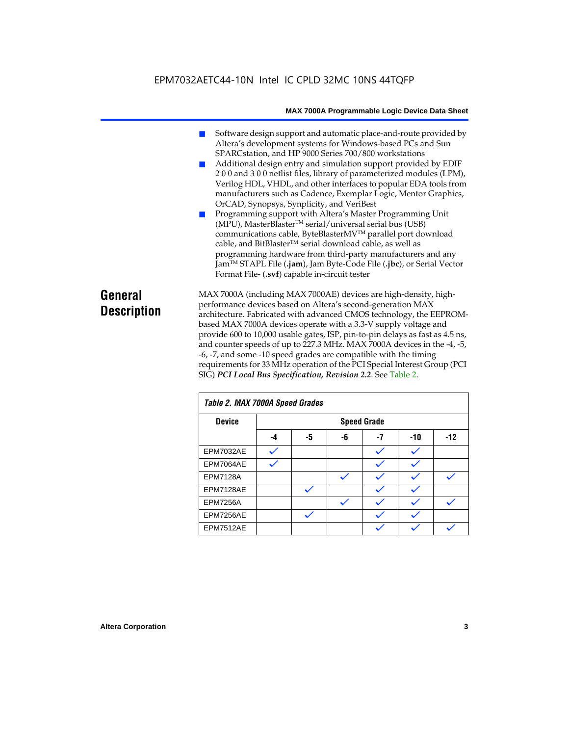- Software design support and automatic place-and-route provided by Altera's development systems for Windows-based PCs and Sun SPARCstation, and HP 9000 Series 700/800 workstations
- Additional design entry and simulation support provided by EDIF 2 0 0 and 3 0 0 netlist files, library of parameterized modules (LPM), Verilog HDL, VHDL, and other interfaces to popular EDA tools from manufacturers such as Cadence, Exemplar Logic, Mentor Graphics, OrCAD, Synopsys, Synplicity, and VeriBest
- Programming support with Altera's Master Programming Unit (MPU), MasterBlaster™ serial/universal serial bus (USB) communications cable, ByteBlasterMVTM parallel port download cable, and BitBlaster™ serial download cable, as well as programming hardware from third-party manufacturers and any JamTM STAPL File (**.jam**), Jam Byte-Code File (**.jbc**), or Serial Vector Format File- (**.svf**) capable in-circuit tester

### **General Description**

MAX 7000A (including MAX 7000AE) devices are high-density, highperformance devices based on Altera's second-generation MAX architecture. Fabricated with advanced CMOS technology, the EEPROMbased MAX 7000A devices operate with a 3.3-V supply voltage and provide 600 to 10,000 usable gates, ISP, pin-to-pin delays as fast as 4.5 ns, and counter speeds of up to 227.3 MHz. MAX 7000A devices in the -4, -5, -6, -7, and some -10 speed grades are compatible with the timing requirements for 33 MHz operation of the PCI Special Interest Group (PCI SIG) *PCI Local Bus Specification, Revision 2.2*. See Table 2.

| Table 2. MAX 7000A Speed Grades |    |                    |    |    |       |       |  |  |
|---------------------------------|----|--------------------|----|----|-------|-------|--|--|
| <b>Device</b>                   |    | <b>Speed Grade</b> |    |    |       |       |  |  |
|                                 | -4 | -5                 | -6 | -7 | $-10$ | $-12$ |  |  |
| EPM7032AE                       |    |                    |    |    |       |       |  |  |
| EPM7064AE                       |    |                    |    |    |       |       |  |  |
| <b>EPM7128A</b>                 |    |                    |    |    |       |       |  |  |
| EPM7128AE                       |    |                    |    |    |       |       |  |  |
| <b>EPM7256A</b>                 |    |                    |    |    |       |       |  |  |
| EPM7256AE                       |    |                    |    |    |       |       |  |  |
| EPM7512AE                       |    |                    |    |    |       |       |  |  |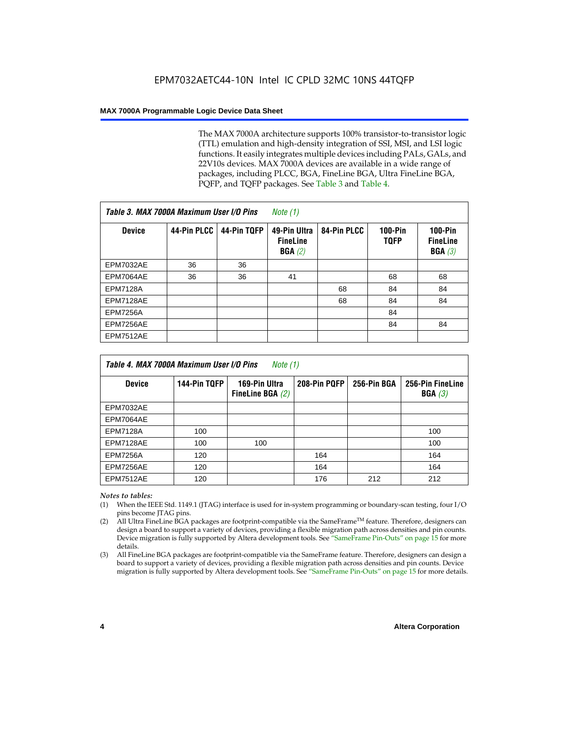The MAX 7000A architecture supports 100% transistor-to-transistor logic (TTL) emulation and high-density integration of SSI, MSI, and LSI logic functions. It easily integrates multiple devices including PALs, GALs, and 22V10s devices. MAX 7000A devices are available in a wide range of packages, including PLCC, BGA, FineLine BGA, Ultra FineLine BGA, PQFP, and TQFP packages. See Table 3 and Table 4.

| Table 3. MAX 7000A Maximum User I/O Pins |             |             | Note (1)                                  |             |                        |                                                  |
|------------------------------------------|-------------|-------------|-------------------------------------------|-------------|------------------------|--------------------------------------------------|
| <b>Device</b>                            | 44-Pin PLCC | 44-Pin TQFP | 49-Pin Ultra<br><b>FineLine</b><br>BGA(2) | 84-Pin PLCC | <b>100-Pin</b><br>TQFP | $100-Pin$<br><b>FineLine</b><br><b>BGA</b> $(3)$ |
| <b>EPM7032AE</b>                         | 36          | 36          |                                           |             |                        |                                                  |
| EPM7064AE                                | 36          | 36          | 41                                        |             | 68                     | 68                                               |
| <b>EPM7128A</b>                          |             |             |                                           | 68          | 84                     | 84                                               |
| EPM7128AE                                |             |             |                                           | 68          | 84                     | 84                                               |
| <b>EPM7256A</b>                          |             |             |                                           |             | 84                     |                                                  |
| EPM7256AE                                |             |             |                                           |             | 84                     | 84                                               |
| <b>EPM7512AE</b>                         |             |             |                                           |             |                        |                                                  |

| Table 4. MAX 7000A Maximum User I/O Pins<br>Note (1) |              |                                     |              |             |                            |  |  |
|------------------------------------------------------|--------------|-------------------------------------|--------------|-------------|----------------------------|--|--|
| <b>Device</b>                                        | 144-Pin TQFP | 169-Pin Ultra<br>FineLine BGA $(2)$ | 208-Pin PQFP | 256-Pin BGA | 256-Pin FineLine<br>BGA(3) |  |  |
| EPM7032AE                                            |              |                                     |              |             |                            |  |  |
| EPM7064AE                                            |              |                                     |              |             |                            |  |  |
| <b>EPM7128A</b>                                      | 100          |                                     |              |             | 100                        |  |  |
| EPM7128AE                                            | 100          | 100                                 |              |             | 100                        |  |  |
| <b>EPM7256A</b>                                      | 120          |                                     | 164          |             | 164                        |  |  |
| EPM7256AE                                            | 120          |                                     | 164          |             | 164                        |  |  |
| EPM7512AE                                            | 120          |                                     | 176          | 212         | 212                        |  |  |

#### *Notes to tables:*

- (1) When the IEEE Std. 1149.1 (JTAG) interface is used for in-system programming or boundary-scan testing, four I/O pins become JTAG pins.
- (2) All Ultra FineLine BGA packages are footprint-compatible via the SameFrame<sup>TM</sup> feature. Therefore, designers can design a board to support a variety of devices, providing a flexible migration path across densities and pin counts. Device migration is fully supported by Altera development tools. See "SameFrame Pin-Outs" on page 15 for more details.
- (3) All FineLine BGA packages are footprint-compatible via the SameFrame feature. Therefore, designers can design a board to support a variety of devices, providing a flexible migration path across densities and pin counts. Device migration is fully supported by Altera development tools. See "SameFrame Pin-Outs" on page 15 for more details.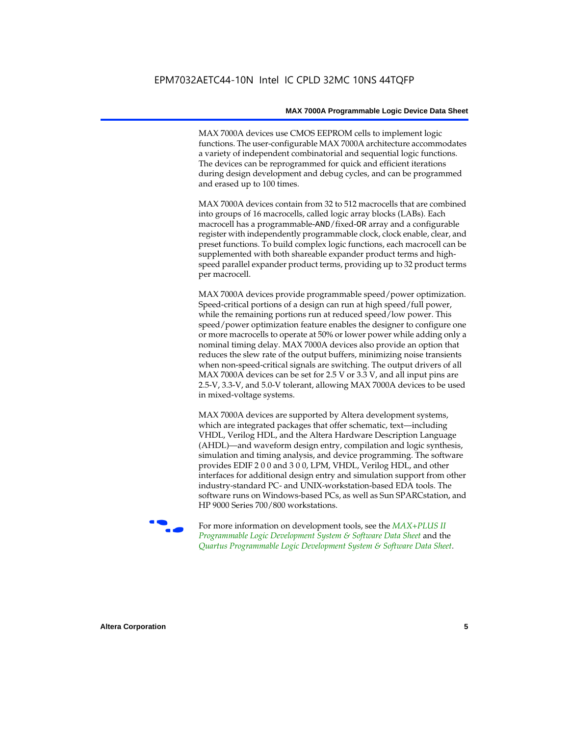MAX 7000A devices use CMOS EEPROM cells to implement logic functions. The user-configurable MAX 7000A architecture accommodates a variety of independent combinatorial and sequential logic functions. The devices can be reprogrammed for quick and efficient iterations during design development and debug cycles, and can be programmed and erased up to 100 times.

MAX 7000A devices contain from 32 to 512 macrocells that are combined into groups of 16 macrocells, called logic array blocks (LABs). Each macrocell has a programmable-AND/fixed-OR array and a configurable register with independently programmable clock, clock enable, clear, and preset functions. To build complex logic functions, each macrocell can be supplemented with both shareable expander product terms and highspeed parallel expander product terms, providing up to 32 product terms per macrocell.

MAX 7000A devices provide programmable speed/power optimization. Speed-critical portions of a design can run at high speed/full power, while the remaining portions run at reduced speed/low power. This speed/power optimization feature enables the designer to configure one or more macrocells to operate at 50% or lower power while adding only a nominal timing delay. MAX 7000A devices also provide an option that reduces the slew rate of the output buffers, minimizing noise transients when non-speed-critical signals are switching. The output drivers of all MAX 7000A devices can be set for 2.5 V or 3.3 V, and all input pins are 2.5-V, 3.3-V, and 5.0-V tolerant, allowing MAX 7000A devices to be used in mixed-voltage systems.

MAX 7000A devices are supported by Altera development systems, which are integrated packages that offer schematic, text—including VHDL, Verilog HDL, and the Altera Hardware Description Language (AHDL)—and waveform design entry, compilation and logic synthesis, simulation and timing analysis, and device programming. The software provides EDIF 2 0 0 and 3 0 0, LPM, VHDL, Verilog HDL, and other interfaces for additional design entry and simulation support from other industry-standard PC- and UNIX-workstation-based EDA tools. The software runs on Windows-based PCs, as well as Sun SPARCstation, and HP 9000 Series 700/800 workstations.

**For more information on development tools, see the** *MAX+PLUS II Programmable Logic Development System & Software Data Sheet* and the *Quartus Programmable Logic Development System & Software Data Sheet*.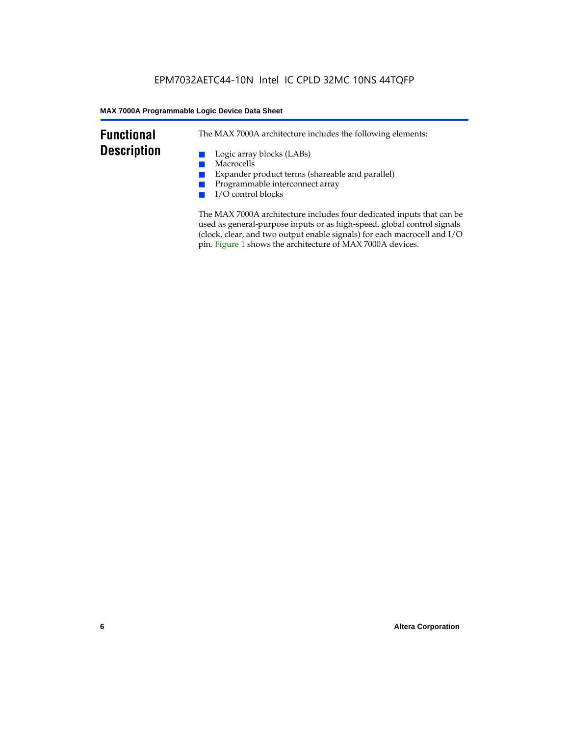### **Functional Description**

The MAX 7000A architecture includes the following elements:

- Logic array blocks (LABs)
- Macrocells
- Expander product terms (shareable and parallel)
- Programmable interconnect array
- I/O control blocks

The MAX 7000A architecture includes four dedicated inputs that can be used as general-purpose inputs or as high-speed, global control signals (clock, clear, and two output enable signals) for each macrocell and I/O pin. Figure 1 shows the architecture of MAX 7000A devices.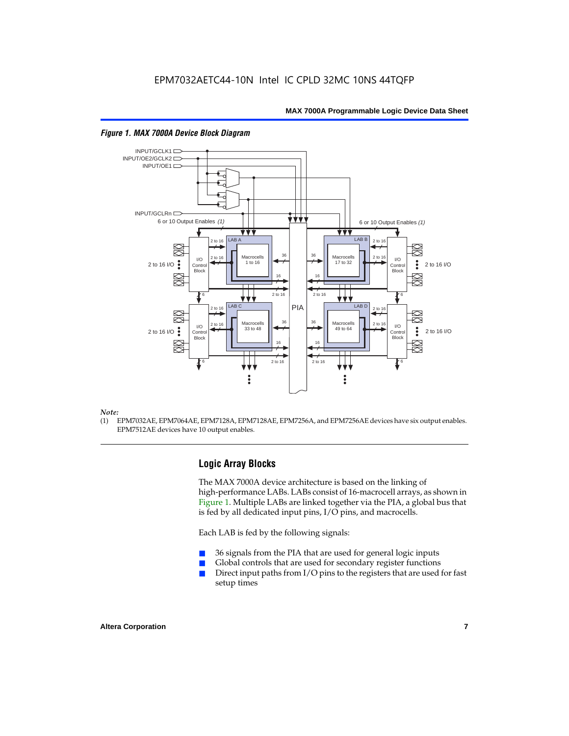

#### *Figure 1. MAX 7000A Device Block Diagram*

#### *Note:*

(1) EPM7032AE, EPM7064AE, EPM7128A, EPM7128AE, EPM7256A, and EPM7256AE devices have six output enables. EPM7512AE devices have 10 output enables.

#### **Logic Array Blocks**

The MAX 7000A device architecture is based on the linking of high-performance LABs. LABs consist of 16-macrocell arrays, as shown in Figure 1. Multiple LABs are linked together via the PIA, a global bus that is fed by all dedicated input pins, I/O pins, and macrocells.

Each LAB is fed by the following signals:

- 36 signals from the PIA that are used for general logic inputs
- Global controls that are used for secondary register functions
- Direct input paths from  $I/O$  pins to the registers that are used for fast setup times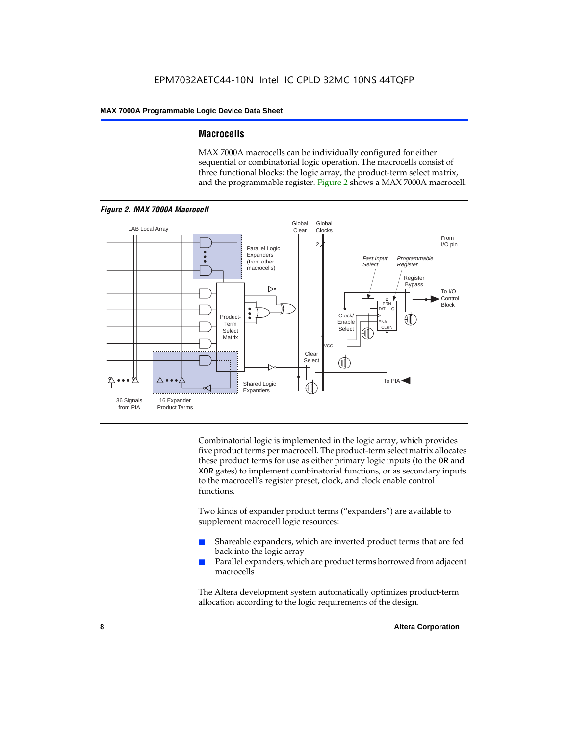#### **Macrocells**

MAX 7000A macrocells can be individually configured for either sequential or combinatorial logic operation. The macrocells consist of three functional blocks: the logic array, the product-term select matrix, and the programmable register. Figure 2 shows a MAX 7000A macrocell.



Combinatorial logic is implemented in the logic array, which provides five product terms per macrocell. The product-term select matrix allocates these product terms for use as either primary logic inputs (to the OR and XOR gates) to implement combinatorial functions, or as secondary inputs to the macrocell's register preset, clock, and clock enable control functions.

Two kinds of expander product terms ("expanders") are available to supplement macrocell logic resources:

- Shareable expanders, which are inverted product terms that are fed back into the logic array
- Parallel expanders, which are product terms borrowed from adjacent macrocells

The Altera development system automatically optimizes product-term allocation according to the logic requirements of the design.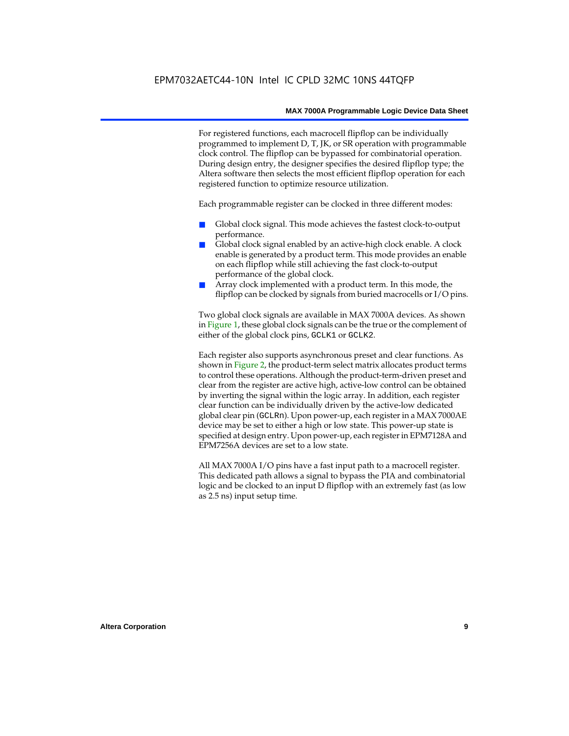For registered functions, each macrocell flipflop can be individually programmed to implement D, T, JK, or SR operation with programmable clock control. The flipflop can be bypassed for combinatorial operation. During design entry, the designer specifies the desired flipflop type; the Altera software then selects the most efficient flipflop operation for each registered function to optimize resource utilization.

Each programmable register can be clocked in three different modes:

- Global clock signal. This mode achieves the fastest clock-to-output performance.
- Global clock signal enabled by an active-high clock enable. A clock enable is generated by a product term. This mode provides an enable on each flipflop while still achieving the fast clock-to-output performance of the global clock.
- Array clock implemented with a product term. In this mode, the flipflop can be clocked by signals from buried macrocells or I/O pins.

Two global clock signals are available in MAX 7000A devices. As shown in Figure 1, these global clock signals can be the true or the complement of either of the global clock pins, GCLK1 or GCLK2.

Each register also supports asynchronous preset and clear functions. As shown in Figure 2, the product-term select matrix allocates product terms to control these operations. Although the product-term-driven preset and clear from the register are active high, active-low control can be obtained by inverting the signal within the logic array. In addition, each register clear function can be individually driven by the active-low dedicated global clear pin (GCLRn). Upon power-up, each register in a MAX 7000AE device may be set to either a high or low state. This power-up state is specified at design entry. Upon power-up, each register in EPM7128A and EPM7256A devices are set to a low state.

All MAX 7000A I/O pins have a fast input path to a macrocell register. This dedicated path allows a signal to bypass the PIA and combinatorial logic and be clocked to an input D flipflop with an extremely fast (as low as 2.5 ns) input setup time.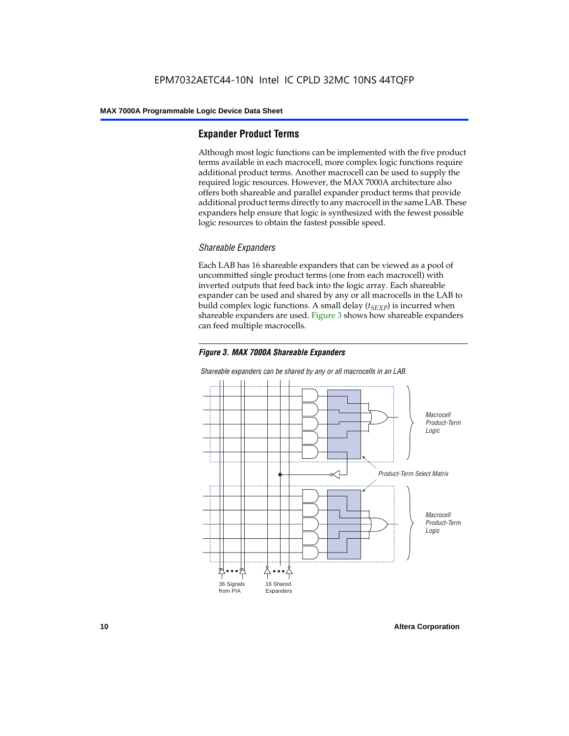#### **Expander Product Terms**

Although most logic functions can be implemented with the five product terms available in each macrocell, more complex logic functions require additional product terms. Another macrocell can be used to supply the required logic resources. However, the MAX 7000A architecture also offers both shareable and parallel expander product terms that provide additional product terms directly to any macrocell in the same LAB. These expanders help ensure that logic is synthesized with the fewest possible logic resources to obtain the fastest possible speed.

#### *Shareable Expanders*

Each LAB has 16 shareable expanders that can be viewed as a pool of uncommitted single product terms (one from each macrocell) with inverted outputs that feed back into the logic array. Each shareable expander can be used and shared by any or all macrocells in the LAB to build complex logic functions. A small delay  $(t_{SFXP})$  is incurred when shareable expanders are used. Figure 3 shows how shareable expanders can feed multiple macrocells.





*Shareable expanders can be shared by any or all macrocells in an LAB.*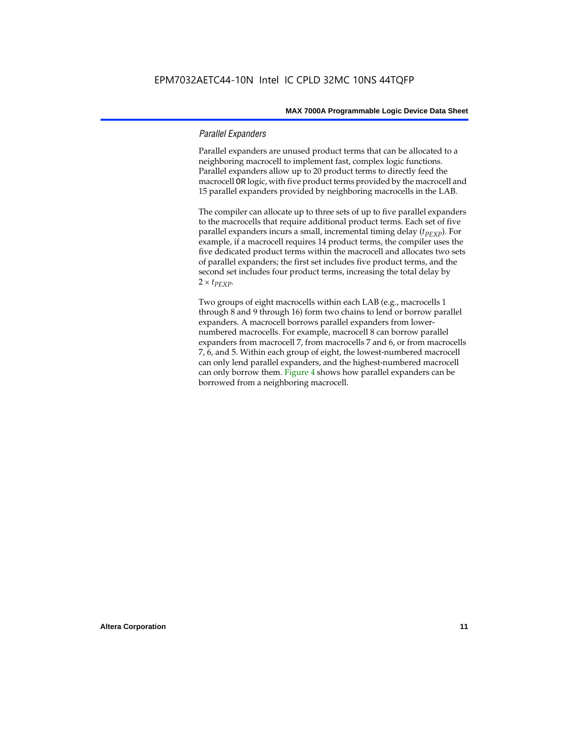#### *Parallel Expanders*

Parallel expanders are unused product terms that can be allocated to a neighboring macrocell to implement fast, complex logic functions. Parallel expanders allow up to 20 product terms to directly feed the macrocell OR logic, with five product terms provided by the macrocell and 15 parallel expanders provided by neighboring macrocells in the LAB.

The compiler can allocate up to three sets of up to five parallel expanders to the macrocells that require additional product terms. Each set of five parallel expanders incurs a small, incremental timing delay (*t<sub>PEXP</sub>*). For example, if a macrocell requires 14 product terms, the compiler uses the five dedicated product terms within the macrocell and allocates two sets of parallel expanders; the first set includes five product terms, and the second set includes four product terms, increasing the total delay by  $2 \times t_{PEXP}$ .

Two groups of eight macrocells within each LAB (e.g., macrocells 1 through 8 and 9 through 16) form two chains to lend or borrow parallel expanders. A macrocell borrows parallel expanders from lowernumbered macrocells. For example, macrocell 8 can borrow parallel expanders from macrocell 7, from macrocells 7 and 6, or from macrocells 7, 6, and 5. Within each group of eight, the lowest-numbered macrocell can only lend parallel expanders, and the highest-numbered macrocell can only borrow them. Figure 4 shows how parallel expanders can be borrowed from a neighboring macrocell.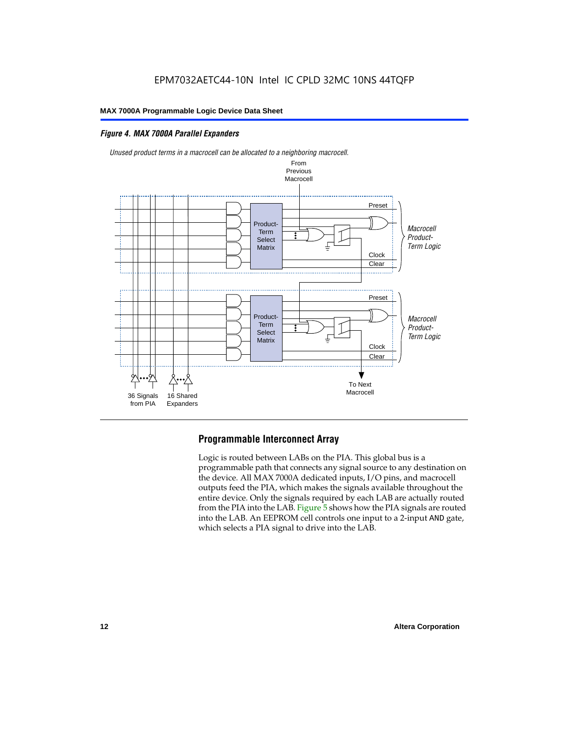#### *Figure 4. MAX 7000A Parallel Expanders*



*Unused product terms in a macrocell can be allocated to a neighboring macrocell.*

#### **Programmable Interconnect Array**

Logic is routed between LABs on the PIA. This global bus is a programmable path that connects any signal source to any destination on the device. All MAX 7000A dedicated inputs, I/O pins, and macrocell outputs feed the PIA, which makes the signals available throughout the entire device. Only the signals required by each LAB are actually routed from the PIA into the LAB. Figure 5 shows how the PIA signals are routed into the LAB. An EEPROM cell controls one input to a 2-input AND gate, which selects a PIA signal to drive into the LAB.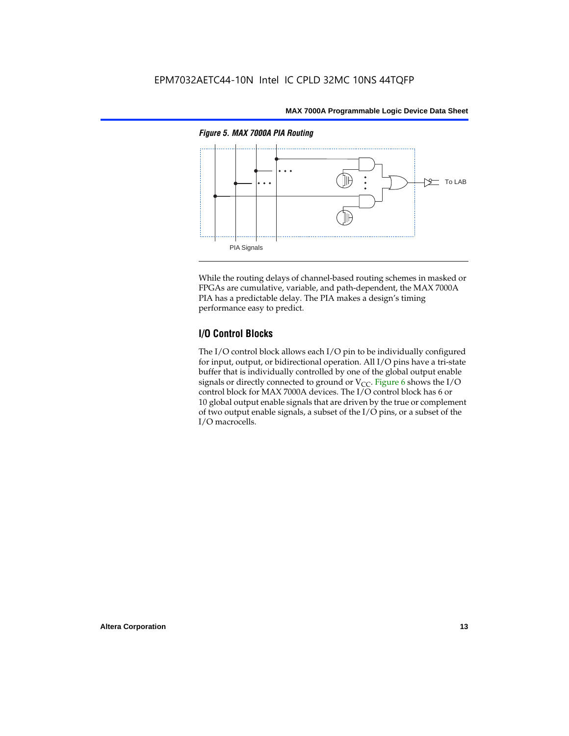

While the routing delays of channel-based routing schemes in masked or FPGAs are cumulative, variable, and path-dependent, the MAX 7000A PIA has a predictable delay. The PIA makes a design's timing performance easy to predict.

#### **I/O Control Blocks**

The I/O control block allows each I/O pin to be individually configured for input, output, or bidirectional operation. All I/O pins have a tri-state buffer that is individually controlled by one of the global output enable signals or directly connected to ground or  $V_{CC}$ . Figure 6 shows the I/O control block for MAX 7000A devices. The I/O control block has 6 or 10 global output enable signals that are driven by the true or complement of two output enable signals, a subset of the I/O pins, or a subset of the I/O macrocells.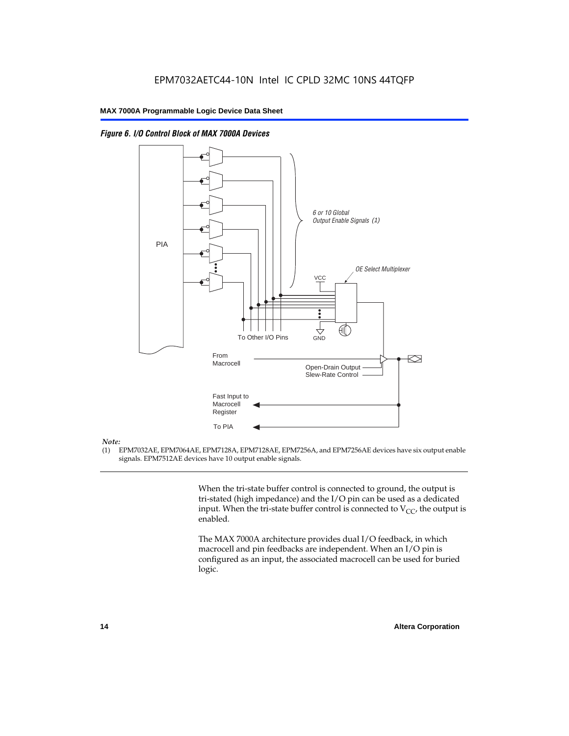



#### *Note:*

(1) EPM7032AE, EPM7064AE, EPM7128A, EPM7128AE, EPM7256A, and EPM7256AE devices have six output enable signals. EPM7512AE devices have 10 output enable signals.

> When the tri-state buffer control is connected to ground, the output is tri-stated (high impedance) and the I/O pin can be used as a dedicated input. When the tri-state buffer control is connected to  $V_{CC}$ , the output is enabled.

The MAX 7000A architecture provides dual I/O feedback, in which macrocell and pin feedbacks are independent. When an I/O pin is configured as an input, the associated macrocell can be used for buried logic.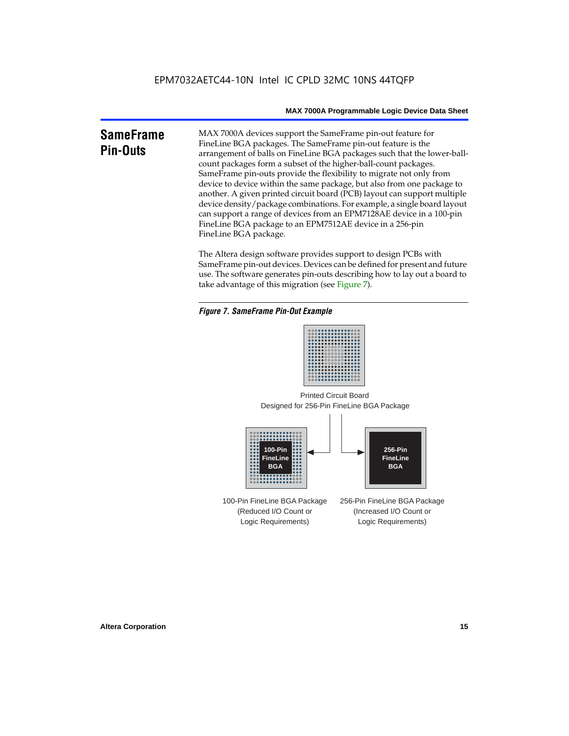### **SameFrame Pin-Outs**

MAX 7000A devices support the SameFrame pin-out feature for FineLine BGA packages. The SameFrame pin-out feature is the arrangement of balls on FineLine BGA packages such that the lower-ballcount packages form a subset of the higher-ball-count packages. SameFrame pin-outs provide the flexibility to migrate not only from device to device within the same package, but also from one package to another. A given printed circuit board (PCB) layout can support multiple device density/package combinations. For example, a single board layout can support a range of devices from an EPM7128AE device in a 100-pin FineLine BGA package to an EPM7512AE device in a 256-pin FineLine BGA package.

The Altera design software provides support to design PCBs with SameFrame pin-out devices. Devices can be defined for present and future use. The software generates pin-outs describing how to lay out a board to take advantage of this migration (see Figure 7).





Designed for 256-Pin FineLine BGA Package Printed Circuit Board



100-Pin FineLine BGA Package (Reduced I/O Count or Logic Requirements) 256-Pin FineLine BGA Package (Increased I/O Count or Logic Requirements)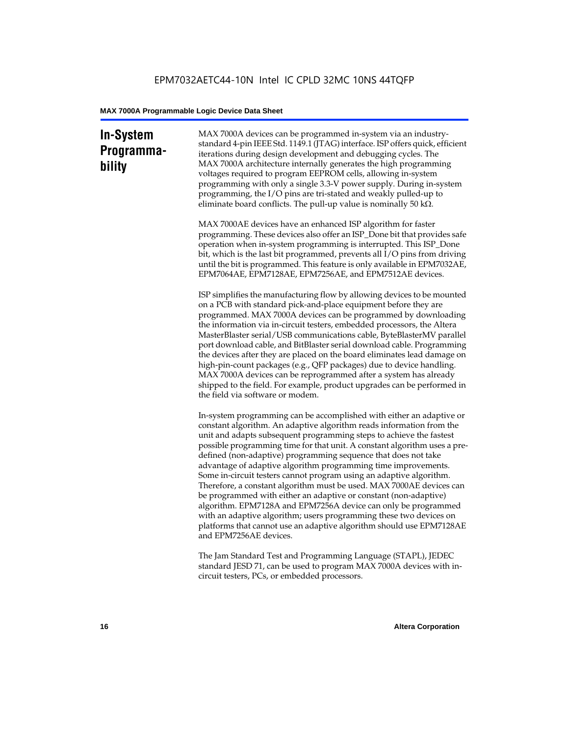### **In-System Programmability**

MAX 7000A devices can be programmed in-system via an industrystandard 4-pin IEEE Std. 1149.1 (JTAG) interface. ISP offers quick, efficient iterations during design development and debugging cycles. The MAX 7000A architecture internally generates the high programming voltages required to program EEPROM cells, allowing in-system programming with only a single 3.3-V power supply. During in-system programming, the I/O pins are tri-stated and weakly pulled-up to eliminate board conflicts. The pull-up value is nominally 50 k $\Omega$ .

MAX 7000AE devices have an enhanced ISP algorithm for faster programming. These devices also offer an ISP\_Done bit that provides safe operation when in-system programming is interrupted. This ISP\_Done bit, which is the last bit programmed, prevents all I/O pins from driving until the bit is programmed. This feature is only available in EPM7032AE, EPM7064AE, EPM7128AE, EPM7256AE, and EPM7512AE devices.

ISP simplifies the manufacturing flow by allowing devices to be mounted on a PCB with standard pick-and-place equipment before they are programmed. MAX 7000A devices can be programmed by downloading the information via in-circuit testers, embedded processors, the Altera MasterBlaster serial/USB communications cable, ByteBlasterMV parallel port download cable, and BitBlaster serial download cable. Programming the devices after they are placed on the board eliminates lead damage on high-pin-count packages (e.g., QFP packages) due to device handling. MAX 7000A devices can be reprogrammed after a system has already shipped to the field. For example, product upgrades can be performed in the field via software or modem.

In-system programming can be accomplished with either an adaptive or constant algorithm. An adaptive algorithm reads information from the unit and adapts subsequent programming steps to achieve the fastest possible programming time for that unit. A constant algorithm uses a predefined (non-adaptive) programming sequence that does not take advantage of adaptive algorithm programming time improvements. Some in-circuit testers cannot program using an adaptive algorithm. Therefore, a constant algorithm must be used. MAX 7000AE devices can be programmed with either an adaptive or constant (non-adaptive) algorithm. EPM7128A and EPM7256A device can only be programmed with an adaptive algorithm; users programming these two devices on platforms that cannot use an adaptive algorithm should use EPM7128AE and EPM7256AE devices.

The Jam Standard Test and Programming Language (STAPL), JEDEC standard JESD 71, can be used to program MAX 7000A devices with incircuit testers, PCs, or embedded processors.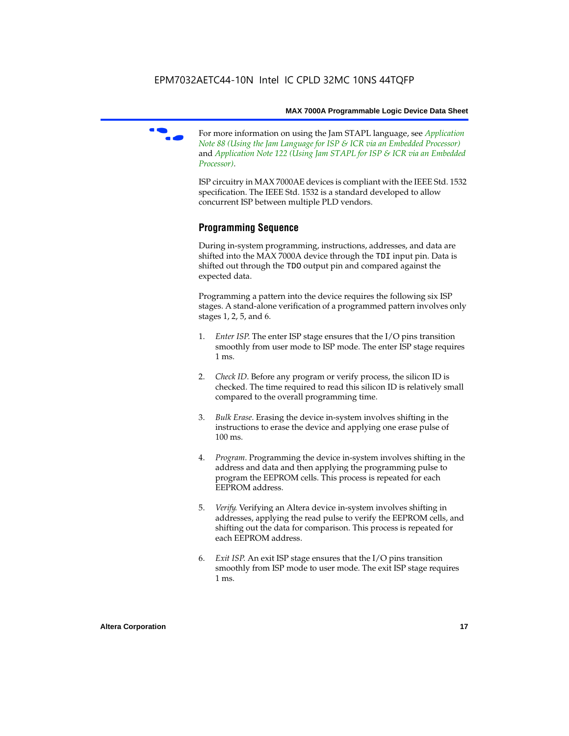

f For more information on using the Jam STAPL language, see *Application Note 88 (Using the Jam Language for ISP & ICR via an Embedded Processor)*  and *Application Note 122 (Using Jam STAPL for ISP & ICR via an Embedded Processor)*.

ISP circuitry in MAX 7000AE devices is compliant with the IEEE Std. 1532 specification. The IEEE Std. 1532 is a standard developed to allow concurrent ISP between multiple PLD vendors.

### **Programming Sequence**

During in-system programming, instructions, addresses, and data are shifted into the MAX 7000A device through the TDI input pin. Data is shifted out through the TDO output pin and compared against the expected data.

Programming a pattern into the device requires the following six ISP stages. A stand-alone verification of a programmed pattern involves only stages 1, 2, 5, and 6.

- 1. *Enter ISP*. The enter ISP stage ensures that the I/O pins transition smoothly from user mode to ISP mode. The enter ISP stage requires 1 ms.
- 2. *Check ID*. Before any program or verify process, the silicon ID is checked. The time required to read this silicon ID is relatively small compared to the overall programming time.
- 3. *Bulk Erase*. Erasing the device in-system involves shifting in the instructions to erase the device and applying one erase pulse of 100 ms.
- 4. *Program*. Programming the device in-system involves shifting in the address and data and then applying the programming pulse to program the EEPROM cells. This process is repeated for each EEPROM address.
- 5. *Verify*. Verifying an Altera device in-system involves shifting in addresses, applying the read pulse to verify the EEPROM cells, and shifting out the data for comparison. This process is repeated for each EEPROM address.
- 6. *Exit ISP*. An exit ISP stage ensures that the I/O pins transition smoothly from ISP mode to user mode. The exit ISP stage requires 1 ms.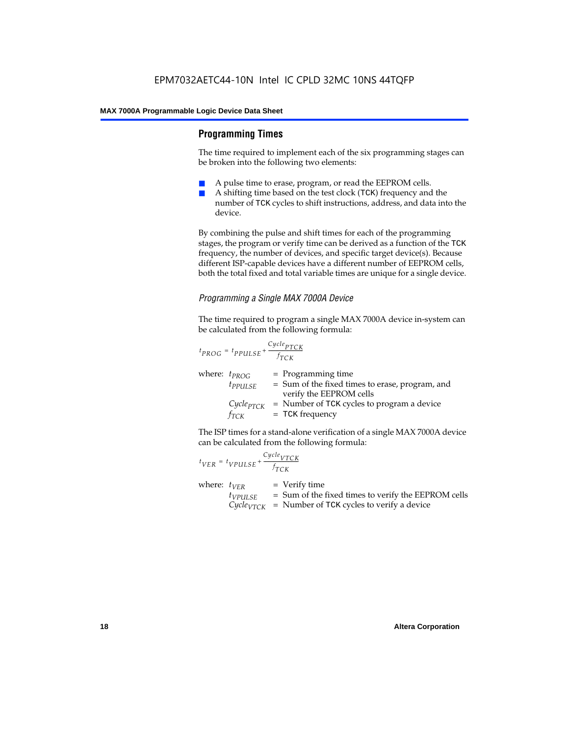#### **Programming Times**

The time required to implement each of the six programming stages can be broken into the following two elements:

- A pulse time to erase, program, or read the EEPROM cells.
- A shifting time based on the test clock (TCK) frequency and the number of TCK cycles to shift instructions, address, and data into the device.

By combining the pulse and shift times for each of the programming stages, the program or verify time can be derived as a function of the TCK frequency, the number of devices, and specific target device(s). Because different ISP-capable devices have a different number of EEPROM cells, both the total fixed and total variable times are unique for a single device.

#### *Programming a Single MAX 7000A Device*

The time required to program a single MAX 7000A device in-system can be calculated from the following formula:

$$
t_{PROG} = t_{PPULSE} + \frac{c_{ycle_{PTCK}}}{f_{TCK}}
$$
  
where:  $t_{PROG}$  = Programming time  
 $t_{PPULSE}$  = Sum of the fixed times to erase, program, and  
verify the EEPROM cells  
 $C_{ycle_{PTCK}}$  = Number of TCK cycles to program a device  
 $f_{TCK}$  = TCK frequency

The ISP times for a stand-alone verification of a single MAX 7000A device can be calculated from the following formula:

| $t_{VER} = t_{VPULSE} + \frac{Cycle_{VTCK}}{f_{TCK}}$ |                                                                                                                                    |
|-------------------------------------------------------|------------------------------------------------------------------------------------------------------------------------------------|
| where: $t_{VFR}$<br>$t_{VPULSE}$                      | $=$ Verify time<br>= Sum of the fixed times to verify the EEPROM cells<br>$Cycle_{VTCK}$ = Number of TCK cycles to verify a device |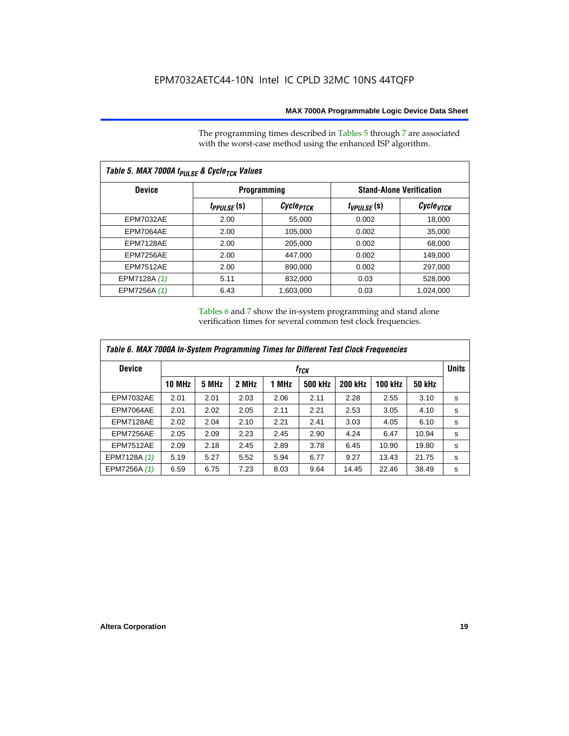The programming times described in Tables 5 through 7 are associated with the worst-case method using the enhanced ISP algorithm.

| Table 5. MAX 7000A t <sub>PULSE</sub> & Cycle <sub>TCK</sub> Values |                 |                       |                 |                                 |  |  |  |  |
|---------------------------------------------------------------------|-----------------|-----------------------|-----------------|---------------------------------|--|--|--|--|
| <b>Device</b>                                                       |                 | Programming           |                 | <b>Stand-Alone Verification</b> |  |  |  |  |
|                                                                     | $t_{PPULSE}(s)$ | Cycle <sub>PTCK</sub> | $t_{VPULSE}(s)$ | Cycle <sub>vTCK</sub>           |  |  |  |  |
| <b>EPM7032AE</b>                                                    | 2.00            | 55,000                | 0.002           | 18,000                          |  |  |  |  |
| EPM7064AE                                                           | 2.00            | 105,000               | 0.002           | 35,000                          |  |  |  |  |
| EPM7128AE                                                           | 2.00            | 205,000               | 0.002           | 68,000                          |  |  |  |  |
| EPM7256AE                                                           | 2.00            | 447,000               | 0.002           | 149.000                         |  |  |  |  |
| <b>EPM7512AE</b>                                                    | 2.00            | 890,000               | 0.002           | 297,000                         |  |  |  |  |
| EPM7128A (1)                                                        | 5.11            | 832,000               | 0.03            | 528,000                         |  |  |  |  |
| EPM7256A (1)                                                        | 6.43            | 1.603.000             | 0.03            | 1,024,000                       |  |  |  |  |

Tables 6 and 7 show the in-system programming and stand alone verification times for several common test clock frequencies.

| Table 6. MAX 7000A In-System Programming Times for Different Test Clock Frequencies |               |                  |       |       |         |                |                |               |   |
|-------------------------------------------------------------------------------------|---------------|------------------|-------|-------|---------|----------------|----------------|---------------|---|
| <b>Device</b>                                                                       |               | f <sub>тск</sub> |       |       |         |                |                |               |   |
|                                                                                     | <b>10 MHz</b> | 5 MHz            | 2 MHz | 1 MHz | 500 kHz | <b>200 kHz</b> | <b>100 kHz</b> | <b>50 kHz</b> |   |
| <b>EPM7032AE</b>                                                                    | 2.01          | 2.01             | 2.03  | 2.06  | 2.11    | 2.28           | 2.55           | 3.10          | s |
| EPM7064AE                                                                           | 2.01          | 2.02             | 2.05  | 2.11  | 2.21    | 2.53           | 3.05           | 4.10          | s |
| EPM7128AE                                                                           | 2.02          | 2.04             | 2.10  | 2.21  | 2.41    | 3.03           | 4.05           | 6.10          | s |
| EPM7256AE                                                                           | 2.05          | 2.09             | 2.23  | 2.45  | 2.90    | 4.24           | 6.47           | 10.94         | s |
| <b>EPM7512AE</b>                                                                    | 2.09          | 2.18             | 2.45  | 2.89  | 3.78    | 6.45           | 10.90          | 19.80         | s |
| EPM7128A (1)                                                                        | 5.19          | 5.27             | 5.52  | 5.94  | 6.77    | 9.27           | 13.43          | 21.75         | s |
| EPM7256A (1)                                                                        | 6.59          | 6.75             | 7.23  | 8.03  | 9.64    | 14.45          | 22.46          | 38.49         | s |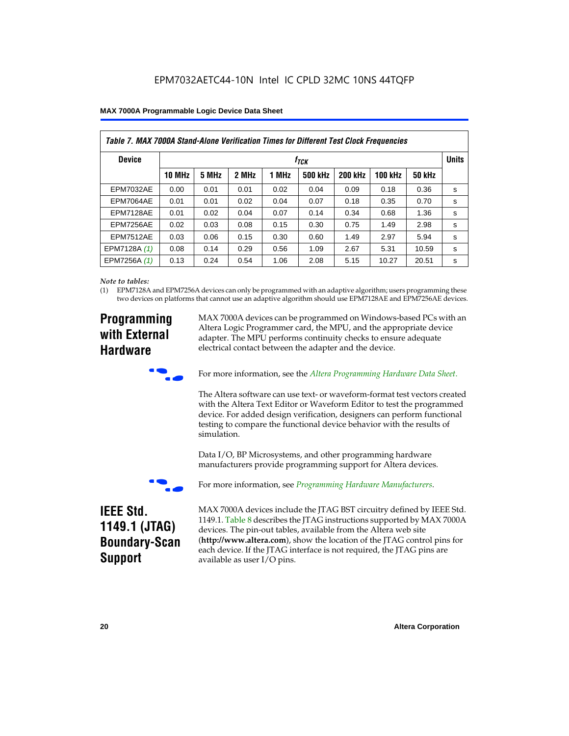| Table 7. MAX 7000A Stand-Alone Verification Times for Different Test Clock Frequencies |               |                           |       |       |                |                |                |               |   |
|----------------------------------------------------------------------------------------|---------------|---------------------------|-------|-------|----------------|----------------|----------------|---------------|---|
| <b>Device</b>                                                                          |               | <b>Units</b><br>$f_{TCK}$ |       |       |                |                |                |               |   |
|                                                                                        | <b>10 MHz</b> | 5 MHz                     | 2 MHz | 1 MHz | <b>500 kHz</b> | <b>200 kHz</b> | <b>100 kHz</b> | <b>50 kHz</b> |   |
| <b>EPM7032AE</b>                                                                       | 0.00          | 0.01                      | 0.01  | 0.02  | 0.04           | 0.09           | 0.18           | 0.36          | s |
| <b>EPM7064AE</b>                                                                       | 0.01          | 0.01                      | 0.02  | 0.04  | 0.07           | 0.18           | 0.35           | 0.70          | s |
| EPM7128AE                                                                              | 0.01          | 0.02                      | 0.04  | 0.07  | 0.14           | 0.34           | 0.68           | 1.36          | s |
| EPM7256AE                                                                              | 0.02          | 0.03                      | 0.08  | 0.15  | 0.30           | 0.75           | 1.49           | 2.98          | s |
| <b>EPM7512AE</b>                                                                       | 0.03          | 0.06                      | 0.15  | 0.30  | 0.60           | 1.49           | 2.97           | 5.94          | s |
| EPM7128A (1)                                                                           | 0.08          | 0.14                      | 0.29  | 0.56  | 1.09           | 2.67           | 5.31           | 10.59         | s |
| EPM7256A (1)                                                                           | 0.13          | 0.24                      | 0.54  | 1.06  | 2.08           | 5.15           | 10.27          | 20.51         | s |

#### *Note to tables:*

(1) EPM7128A and EPM7256A devices can only be programmed with an adaptive algorithm; users programming these two devices on platforms that cannot use an adaptive algorithm should use EPM7128AE and EPM7256AE devices.

### **Programming with External Hardware**

MAX 7000A devices can be programmed on Windows-based PCs with an Altera Logic Programmer card, the MPU, and the appropriate device adapter. The MPU performs continuity checks to ensure adequate electrical contact between the adapter and the device.



For more information, see the *Altera Programming Hardware Data Sheet*.

The Altera software can use text- or waveform-format test vectors created with the Altera Text Editor or Waveform Editor to test the programmed device. For added design verification, designers can perform functional testing to compare the functional device behavior with the results of simulation.

Data I/O, BP Microsystems, and other programming hardware manufacturers provide programming support for Altera devices.



For more information, see *Programming Hardware Manufacturers*.

### **IEEE Std. 1149.1 (JTAG) Boundary-Scan Support**

MAX 7000A devices include the JTAG BST circuitry defined by IEEE Std. 1149.1. Table 8 describes the JTAG instructions supported by MAX 7000A devices. The pin-out tables, available from the Altera web site (**http://www.altera.com**), show the location of the JTAG control pins for each device. If the JTAG interface is not required, the JTAG pins are available as user I/O pins.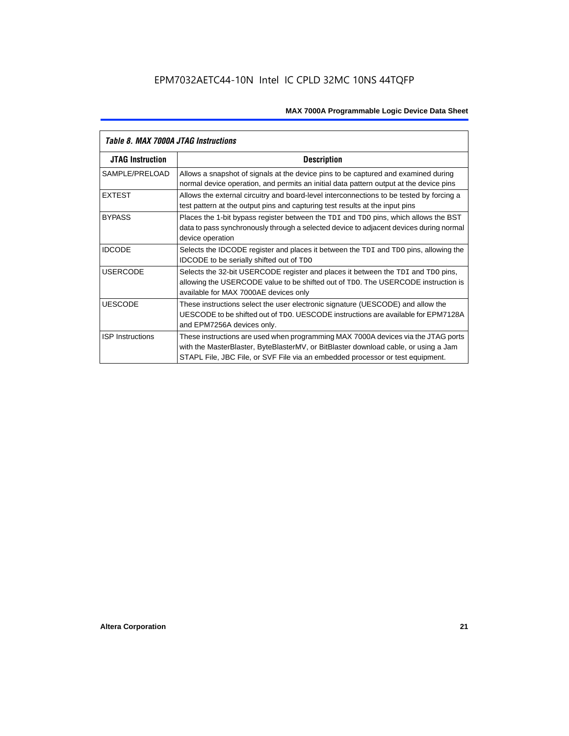| Table 8. MAX 7000A JTAG Instructions |                                                                                                                                                                                                                                                            |  |  |  |  |
|--------------------------------------|------------------------------------------------------------------------------------------------------------------------------------------------------------------------------------------------------------------------------------------------------------|--|--|--|--|
| <b>JTAG Instruction</b>              | <b>Description</b>                                                                                                                                                                                                                                         |  |  |  |  |
| SAMPLE/PRELOAD                       | Allows a snapshot of signals at the device pins to be captured and examined during<br>normal device operation, and permits an initial data pattern output at the device pins                                                                               |  |  |  |  |
| <b>EXTEST</b>                        | Allows the external circuitry and board-level interconnections to be tested by forcing a<br>test pattern at the output pins and capturing test results at the input pins                                                                                   |  |  |  |  |
| <b>BYPASS</b>                        | Places the 1-bit bypass register between the TDI and TDO pins, which allows the BST<br>data to pass synchronously through a selected device to adjacent devices during normal<br>device operation                                                          |  |  |  |  |
| <b>IDCODE</b>                        | Selects the IDCODE register and places it between the TDI and TDO pins, allowing the<br><b>IDCODE</b> to be serially shifted out of TDO                                                                                                                    |  |  |  |  |
| <b>USERCODE</b>                      | Selects the 32-bit USERCODE register and places it between the TDI and TDO pins,<br>allowing the USERCODE value to be shifted out of TDO. The USERCODE instruction is<br>available for MAX 7000AE devices only                                             |  |  |  |  |
| <b>UESCODE</b>                       | These instructions select the user electronic signature (UESCODE) and allow the<br>UESCODE to be shifted out of TDO, UESCODE instructions are available for EPM7128A<br>and EPM7256A devices only.                                                         |  |  |  |  |
| <b>ISP Instructions</b>              | These instructions are used when programming MAX 7000A devices via the JTAG ports<br>with the MasterBlaster, ByteBlasterMV, or BitBlaster download cable, or using a Jam<br>STAPL File, JBC File, or SVF File via an embedded processor or test equipment. |  |  |  |  |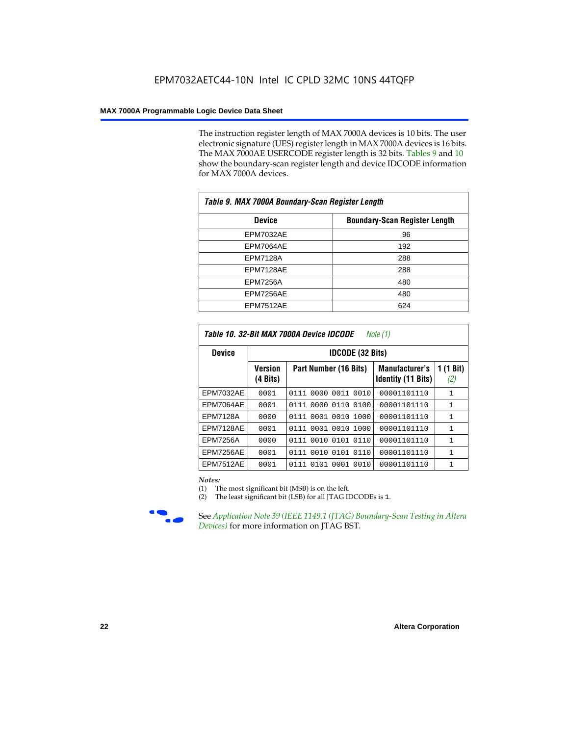The instruction register length of MAX 7000A devices is 10 bits. The user electronic signature (UES) register length in MAX 7000A devices is 16 bits. The MAX 7000AE USERCODE register length is 32 bits. Tables 9 and 10 show the boundary-scan register length and device IDCODE information for MAX 7000A devices.

| Table 9. MAX 7000A Boundary-Scan Register Length |                                      |  |  |  |  |
|--------------------------------------------------|--------------------------------------|--|--|--|--|
| <b>Device</b>                                    | <b>Boundary-Scan Register Length</b> |  |  |  |  |
| <b>EPM7032AE</b>                                 | 96                                   |  |  |  |  |
| EPM7064AE                                        | 192                                  |  |  |  |  |
| <b>EPM7128A</b>                                  | 288                                  |  |  |  |  |
| EPM7128AE                                        | 288                                  |  |  |  |  |
| <b>EPM7256A</b>                                  | 480                                  |  |  |  |  |
| EPM7256AE                                        | 480                                  |  |  |  |  |
| EPM7512AE                                        | 624                                  |  |  |  |  |

| Table 10. 32-Bit MAX 7000A Device IDCODE<br>Note $(1)$ |                     |                         |                                                    |                  |  |  |  |  |  |
|--------------------------------------------------------|---------------------|-------------------------|----------------------------------------------------|------------------|--|--|--|--|--|
| <b>Device</b>                                          |                     | <b>IDCODE (32 Bits)</b> |                                                    |                  |  |  |  |  |  |
|                                                        | Version<br>(4 Bits) | Part Number (16 Bits)   | <b>Manufacturer's</b><br><b>Identity (11 Bits)</b> | 1 (1 Bit)<br>(2) |  |  |  |  |  |
| <b>EPM7032AE</b>                                       | 0001                | 0111 0000 0011 0010     | 00001101110                                        | 1                |  |  |  |  |  |
| EPM7064AE                                              | 0001                | 0111 0000 0110<br>0100  | 00001101110                                        | 1                |  |  |  |  |  |
| <b>EPM7128A</b>                                        | 0000                | 0111 0001 0010<br>1000  | 00001101110                                        | $\mathbf{1}$     |  |  |  |  |  |
| EPM7128AE                                              | 0001                | 0111 0001 0010<br>1000  | 00001101110                                        | 1                |  |  |  |  |  |
| <b>EPM7256A</b>                                        | 0000                | 0010 0101 0110<br>0111  | 00001101110                                        | 1                |  |  |  |  |  |
| EPM7256AE                                              | 0001                | 0111 0010 0101 0110     | 00001101110                                        | 1                |  |  |  |  |  |
| <b>EPM7512AE</b>                                       | 0001                | 0101 0001 0010<br>0111  | 00001101110                                        | 1                |  |  |  |  |  |

#### *Notes:*

(1) The most significant bit (MSB) is on the left.

(2) The least significant bit (LSB) for all JTAG IDCODEs is 1.



**f See Application Note 39 (IEEE 1149.1 (JTAG) Boundary-Scan Testing in Altera** *Devices)* for more information on JTAG BST.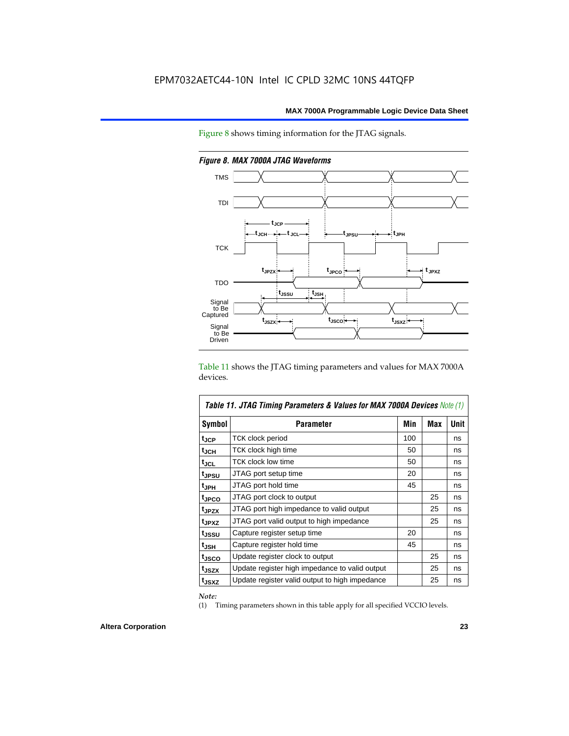Figure 8 shows timing information for the JTAG signals.



*Figure 8. MAX 7000A JTAG Waveforms*

Table 11 shows the JTAG timing parameters and values for MAX 7000A devices.

| Table 11. JTAG Timing Parameters & Values for MAX 7000A Devices Note (1) |                                                |     |            |             |  |  |  |
|--------------------------------------------------------------------------|------------------------------------------------|-----|------------|-------------|--|--|--|
| Symbol                                                                   | <b>Parameter</b>                               | Min | <b>Max</b> | <b>Unit</b> |  |  |  |
| t <sub>JCP</sub>                                                         | TCK clock period                               | 100 |            | ns          |  |  |  |
| t <sub>JCH</sub>                                                         | TCK clock high time                            | 50  |            | ns          |  |  |  |
| tjcl                                                                     | TCK clock low time                             | 50  |            | ns          |  |  |  |
| t <sub>JPSU</sub>                                                        | JTAG port setup time                           | 20  |            | ns          |  |  |  |
| t <sub>JPH</sub>                                                         | JTAG port hold time                            | 45  |            | ns          |  |  |  |
| tjpco                                                                    | JTAG port clock to output                      |     | 25         | ns          |  |  |  |
| t <sub>JPZX</sub>                                                        | JTAG port high impedance to valid output       |     | 25         | ns          |  |  |  |
| t <sub>JPXZ</sub>                                                        | JTAG port valid output to high impedance       |     | 25         | ns          |  |  |  |
| tjssu                                                                    | Capture register setup time                    | 20  |            | ns          |  |  |  |
| $t_{JSH}$                                                                | Capture register hold time                     | 45  |            | ns          |  |  |  |
| t <sub>JSCO</sub>                                                        | Update register clock to output                |     | 25         | ns          |  |  |  |
| t <sub>JSZX</sub>                                                        | Update register high impedance to valid output |     | 25         | ns          |  |  |  |
| t <sub>JSXZ</sub>                                                        | Update register valid output to high impedance |     | 25         | ns          |  |  |  |

*Note:*

(1) Timing parameters shown in this table apply for all specified VCCIO levels.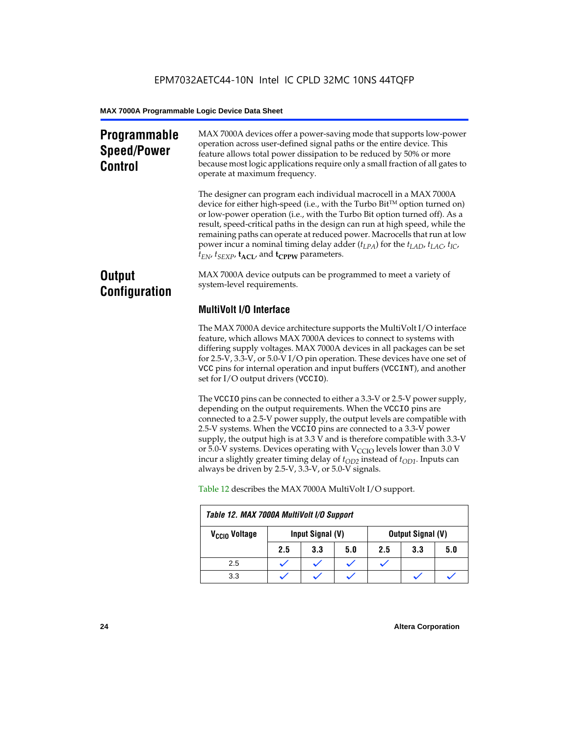### **Programmable Speed/Power Control**

MAX 7000A devices offer a power-saving mode that supports low-power operation across user-defined signal paths or the entire device. This feature allows total power dissipation to be reduced by 50% or more because most logic applications require only a small fraction of all gates to operate at maximum frequency.

The designer can program each individual macrocell in a MAX 7000A device for either high-speed (i.e., with the Turbo  $Bit^{TM}$  option turned on) or low-power operation (i.e., with the Turbo Bit option turned off). As a result, speed-critical paths in the design can run at high speed, while the remaining paths can operate at reduced power. Macrocells that run at low power incur a nominal timing delay adder ( $t_{LPA}$ ) for the  $t_{LAD}$ ,  $t_{LAC}$ ,  $t_{IC}$ ,  $t_{EN}$ ,  $t_{SEXP}$ ,  $t_{ACL}$ , and  $t_{CPPW}$  parameters.

### **Output Configuration**

MAX 7000A device outputs can be programmed to meet a variety of system-level requirements.

### **MultiVolt I/O Interface**

The MAX 7000A device architecture supports the MultiVolt I/O interface feature, which allows MAX 7000A devices to connect to systems with differing supply voltages. MAX 7000A devices in all packages can be set for 2.5-V, 3.3-V, or 5.0-V I/O pin operation. These devices have one set of VCC pins for internal operation and input buffers (VCCINT), and another set for I/O output drivers (VCCIO).

The VCCIO pins can be connected to either a 3.3-V or 2.5-V power supply, depending on the output requirements. When the VCCIO pins are connected to a 2.5-V power supply, the output levels are compatible with 2.5-V systems. When the VCCIO pins are connected to a 3.3-V power supply, the output high is at 3.3 V and is therefore compatible with 3.3-V or 5.0-V systems. Devices operating with  $V_{\text{CCIO}}$  levels lower than 3.0 V incur a slightly greater timing delay of  $t_{OD2}$  instead of  $t_{OD1}$ . Inputs can always be driven by 2.5-V, 3.3-V, or 5.0-V signals.

| Table 12. MAX 7000A MultiVolt I/O Support |     |                  |     |     |                          |     |  |  |  |
|-------------------------------------------|-----|------------------|-----|-----|--------------------------|-----|--|--|--|
| V <sub>CCIO</sub> Voltage                 |     | Input Signal (V) |     |     | <b>Output Signal (V)</b> |     |  |  |  |
|                                           | 2.5 | 3.3              | 5.0 | 2.5 | 3.3                      | 5.0 |  |  |  |
| 2.5                                       |     |                  |     |     |                          |     |  |  |  |
| 3.3                                       |     |                  |     |     |                          |     |  |  |  |

Table 12 describes the MAX 7000A MultiVolt I/O support.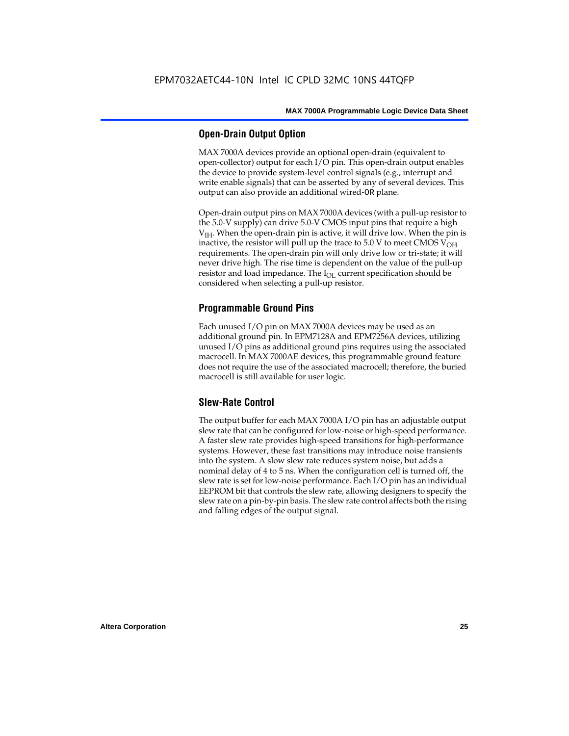#### **Open-Drain Output Option**

MAX 7000A devices provide an optional open-drain (equivalent to open-collector) output for each I/O pin. This open-drain output enables the device to provide system-level control signals (e.g., interrupt and write enable signals) that can be asserted by any of several devices. This output can also provide an additional wired-OR plane.

Open-drain output pins on MAX 7000A devices (with a pull-up resistor to the 5.0-V supply) can drive 5.0-V CMOS input pins that require a high  $V<sub>IH</sub>$ . When the open-drain pin is active, it will drive low. When the pin is inactive, the resistor will pull up the trace to  $5.0$  V to meet CMOS V<sub>OH</sub> requirements. The open-drain pin will only drive low or tri-state; it will never drive high. The rise time is dependent on the value of the pull-up resistor and load impedance. The  $I_{OL}$  current specification should be considered when selecting a pull-up resistor.

### **Programmable Ground Pins**

Each unused I/O pin on MAX 7000A devices may be used as an additional ground pin. In EPM7128A and EPM7256A devices, utilizing unused I/O pins as additional ground pins requires using the associated macrocell. In MAX 7000AE devices, this programmable ground feature does not require the use of the associated macrocell; therefore, the buried macrocell is still available for user logic.

#### **Slew-Rate Control**

The output buffer for each MAX 7000A I/O pin has an adjustable output slew rate that can be configured for low-noise or high-speed performance. A faster slew rate provides high-speed transitions for high-performance systems. However, these fast transitions may introduce noise transients into the system. A slow slew rate reduces system noise, but adds a nominal delay of 4 to 5 ns. When the configuration cell is turned off, the slew rate is set for low-noise performance. Each I/O pin has an individual EEPROM bit that controls the slew rate, allowing designers to specify the slew rate on a pin-by-pin basis. The slew rate control affects both the rising and falling edges of the output signal.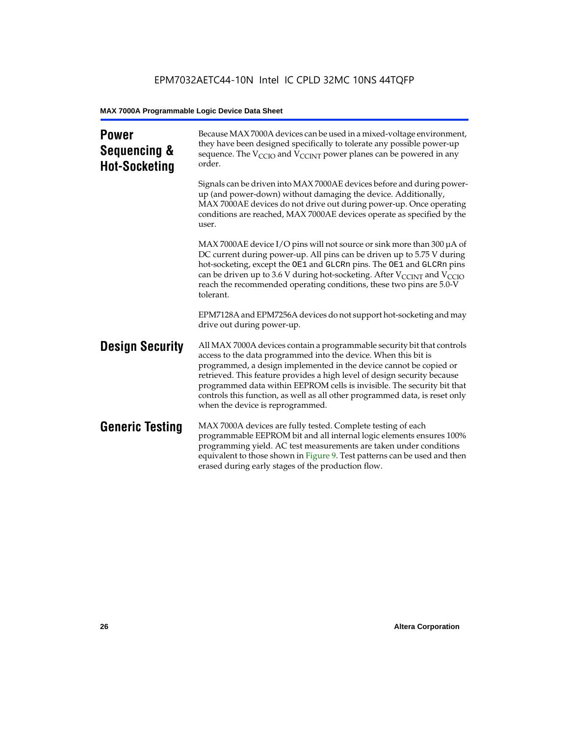| <b>Power</b><br>Sequencing &<br><b>Hot-Socketing</b> | Because MAX 7000A devices can be used in a mixed-voltage environment,<br>they have been designed specifically to tolerate any possible power-up<br>sequence. The $V_{\text{CCIO}}$ and $V_{\text{CCINT}}$ power planes can be powered in any<br>order.                                                                                                                                                                                                                                     |
|------------------------------------------------------|--------------------------------------------------------------------------------------------------------------------------------------------------------------------------------------------------------------------------------------------------------------------------------------------------------------------------------------------------------------------------------------------------------------------------------------------------------------------------------------------|
|                                                      | Signals can be driven into MAX 7000AE devices before and during power-<br>up (and power-down) without damaging the device. Additionally,<br>MAX 7000AE devices do not drive out during power-up. Once operating<br>conditions are reached, MAX 7000AE devices operate as specified by the<br>user.                                                                                                                                                                                         |
|                                                      | MAX 7000AE device I/O pins will not source or sink more than 300 µA of<br>DC current during power-up. All pins can be driven up to 5.75 V during<br>hot-socketing, except the OE1 and GLCRn pins. The OE1 and GLCRn pins<br>can be driven up to 3.6 V during hot-socketing. After $V_{\text{CCINT}}$ and $V_{\text{CCIO}}$<br>reach the recommended operating conditions, these two pins are 5.0-V<br>tolerant.                                                                            |
|                                                      | EPM7128A and EPM7256A devices do not support hot-socketing and may<br>drive out during power-up.                                                                                                                                                                                                                                                                                                                                                                                           |
| <b>Design Security</b>                               | All MAX 7000A devices contain a programmable security bit that controls<br>access to the data programmed into the device. When this bit is<br>programmed, a design implemented in the device cannot be copied or<br>retrieved. This feature provides a high level of design security because<br>programmed data within EEPROM cells is invisible. The security bit that<br>controls this function, as well as all other programmed data, is reset only<br>when the device is reprogrammed. |
| <b>Generic Testing</b>                               | MAX 7000A devices are fully tested. Complete testing of each<br>programmable EEPROM bit and all internal logic elements ensures 100%<br>programming yield. AC test measurements are taken under conditions<br>equivalent to those shown in Figure 9. Test patterns can be used and then<br>erased during early stages of the production flow.                                                                                                                                              |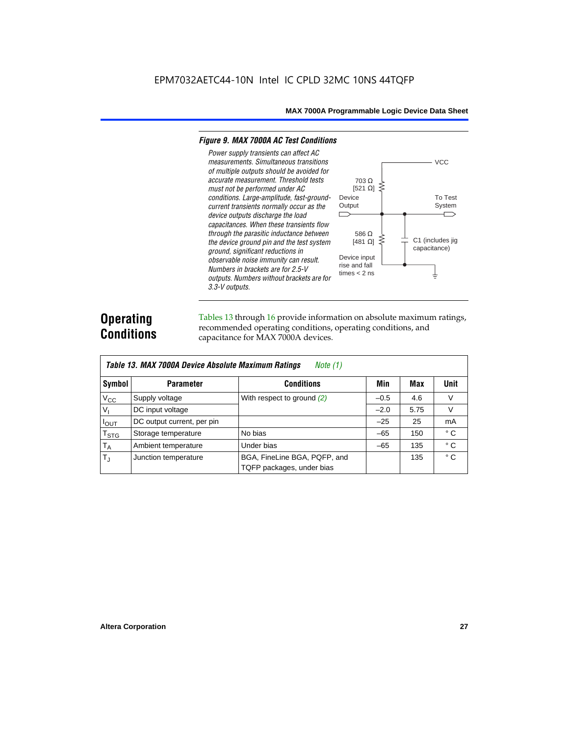#### *Figure 9. MAX 7000A AC Test Conditions*

*3.3-V outputs.*



### **Operating Conditions**

Tables 13 through 16 provide information on absolute maximum ratings, recommended operating conditions, operating conditions, and capacitance for MAX 7000A devices.

|                | Table 13. MAX 7000A Device Absolute Maximum Ratings<br>Note $(1)$ |                                                           |        |      |              |  |  |  |  |  |  |
|----------------|-------------------------------------------------------------------|-----------------------------------------------------------|--------|------|--------------|--|--|--|--|--|--|
| Symbol         | <b>Parameter</b>                                                  | <b>Conditions</b>                                         | Min    | Max  | Unit         |  |  |  |  |  |  |
| $V_{CC}$       | Supply voltage                                                    | With respect to ground $(2)$                              | $-0.5$ | 4.6  | V            |  |  |  |  |  |  |
| V <sub>1</sub> | DC input voltage                                                  |                                                           | $-2.0$ | 5.75 | V            |  |  |  |  |  |  |
| $I_{OUT}$      | DC output current, per pin                                        |                                                           | $-25$  | 25   | mA           |  |  |  |  |  |  |
| $T_{STG}$      | Storage temperature                                               | No bias                                                   | $-65$  | 150  | $^{\circ}$ C |  |  |  |  |  |  |
| $T_A$          | Ambient temperature                                               | Under bias                                                | $-65$  | 135  | ° C          |  |  |  |  |  |  |
| $T_{\rm J}$    | Junction temperature                                              | BGA, FineLine BGA, PQFP, and<br>TQFP packages, under bias |        | 135  | $^{\circ}$ C |  |  |  |  |  |  |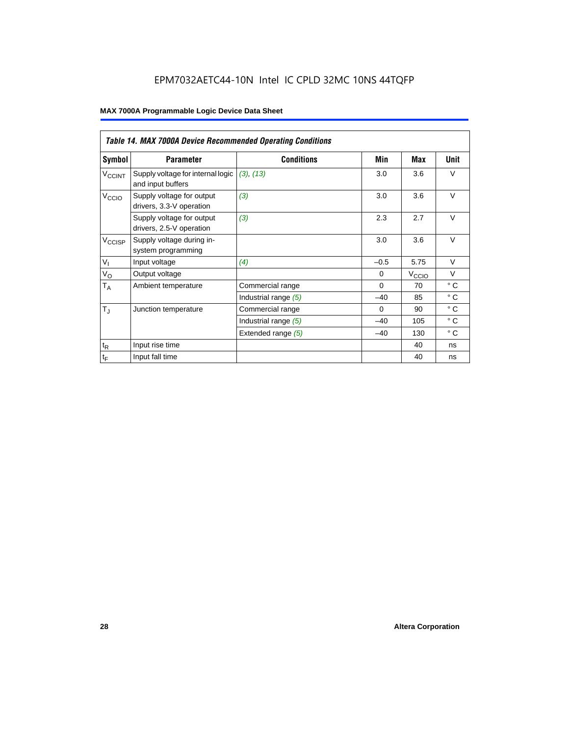### EPM7032AETC44-10N Intel IC CPLD 32MC 10NS 44TQFP

|                             | <b>Table 14. MAX 7000A Device Recommended Operating Conditions</b> |                      |          |                   |              |  |  |  |  |  |
|-----------------------------|--------------------------------------------------------------------|----------------------|----------|-------------------|--------------|--|--|--|--|--|
| Symbol                      | <b>Parameter</b>                                                   | <b>Conditions</b>    | Min      | Max               | Unit         |  |  |  |  |  |
| <b>V<sub>CCINT</sub></b>    | Supply voltage for internal logic<br>and input buffers             | (3), (13)            | 3.0      | 3.6               | $\vee$       |  |  |  |  |  |
| V <sub>CCIO</sub>           | Supply voltage for output<br>drivers, 3.3-V operation              | (3)                  | 3.0      | 3.6               | $\vee$       |  |  |  |  |  |
|                             | Supply voltage for output<br>drivers, 2.5-V operation              | (3)                  | 2.3      | 2.7               | $\vee$       |  |  |  |  |  |
| $V_{\text{CCISP}}$          | Supply voltage during in-<br>system programming                    |                      | 3.0      | 3.6               | $\vee$       |  |  |  |  |  |
| $V_{I}$                     | Input voltage                                                      | (4)                  | $-0.5$   | 5.75              | $\vee$       |  |  |  |  |  |
| $V_{\rm O}$                 | Output voltage                                                     |                      | $\Omega$ | V <sub>CCIO</sub> | $\vee$       |  |  |  |  |  |
| $T_A$                       | Ambient temperature                                                | Commercial range     | $\Omega$ | 70                | $^{\circ}$ C |  |  |  |  |  |
|                             |                                                                    | Industrial range (5) | $-40$    | 85                | $^{\circ}$ C |  |  |  |  |  |
| $T_{\rm J}$                 | Junction temperature                                               | Commercial range     | $\Omega$ | 90                | $^{\circ}$ C |  |  |  |  |  |
|                             |                                                                    | Industrial range (5) | $-40$    | 105               | $^{\circ}$ C |  |  |  |  |  |
|                             |                                                                    | Extended range (5)   | $-40$    | 130               | $^{\circ}$ C |  |  |  |  |  |
| $\mathfrak{t}_{\mathsf{R}}$ | Input rise time                                                    |                      |          | 40                | ns           |  |  |  |  |  |
| $\mathfrak{t}_{\mathsf{F}}$ | Input fall time                                                    |                      |          | 40                | ns           |  |  |  |  |  |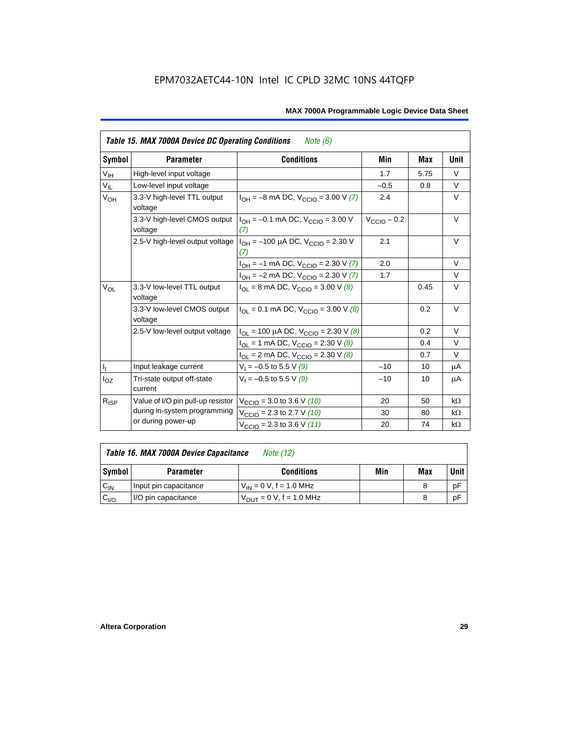|                            | Table 15. MAX 7000A Device DC Operating Conditions<br><i>Note</i> $(6)$ |                                                                             |                         |      |           |  |  |  |  |  |
|----------------------------|-------------------------------------------------------------------------|-----------------------------------------------------------------------------|-------------------------|------|-----------|--|--|--|--|--|
| Symbol                     | <b>Parameter</b>                                                        | <b>Conditions</b>                                                           | Min                     | Max  | Unit      |  |  |  |  |  |
| $\mathsf{V}_{\mathsf{IH}}$ | High-level input voltage                                                |                                                                             | 1.7                     | 5.75 | $\vee$    |  |  |  |  |  |
| $V_{IL}$                   | Low-level input voltage                                                 |                                                                             | $-0.5$                  | 0.8  | V         |  |  |  |  |  |
| $V_{OH}$                   | 3.3-V high-level TTL output<br>voltage                                  | $I_{OH} = -8$ mA DC, $V_{CCIO} = 3.00$ V (7)                                | 2.4                     |      | V         |  |  |  |  |  |
|                            | 3.3-V high-level CMOS output<br>voltage                                 | $I_{OH} = -0.1$ mA DC, $V_{CCD} = 3.00$ V<br>(7)                            | $V_{\text{CCIO}} - 0.2$ |      | $\vee$    |  |  |  |  |  |
|                            | 2.5-V high-level output voltage                                         | $I_{OH}$ = -100 µA DC, $V_{CCIO}$ = 2.30 V<br>(7)                           | 2.1                     |      | V         |  |  |  |  |  |
|                            |                                                                         | $I_{OH} = -1$ mA DC, $V_{CCIO} = 2.30$ V (7)                                | 2.0                     |      | $\vee$    |  |  |  |  |  |
|                            |                                                                         | $I_{OH} = -2$ mA DC, $V_{CCIO} = 2.30$ V (7)                                | 1.7                     |      | $\vee$    |  |  |  |  |  |
| $V_{OL}$                   | 3.3-V low-level TTL output<br>voltage                                   | $I_{\text{OI}}$ = 8 mA DC, $V_{\text{CCl}}$ = 3.00 V (8)                    |                         | 0.45 | $\vee$    |  |  |  |  |  |
|                            | 3.3-V low-level CMOS output<br>voltage                                  | $I_{\text{OI}} = 0.1 \text{ mA DC}$ , $V_{\text{CCl}} = 3.00 \text{ V}$ (8) |                         | 0.2  | V         |  |  |  |  |  |
|                            | 2.5-V low-level output voltage                                          | $I_{OL}$ = 100 µA DC, $V_{CCIO}$ = 2.30 V (8)                               |                         | 0.2  | $\vee$    |  |  |  |  |  |
|                            |                                                                         | $I_{OL}$ = 1 mA DC, $V_{CCIO}$ = 2.30 V (8)                                 |                         | 0.4  | $\vee$    |  |  |  |  |  |
|                            |                                                                         | $I_{OL}$ = 2 mA DC, $V_{CCIO}$ = 2.30 V (8)                                 |                         | 0.7  | $\vee$    |  |  |  |  |  |
| $\mathsf{I}_1$             | Input leakage current                                                   | $V_1 = -0.5$ to 5.5 V (9)                                                   | $-10$                   | 10   | μA        |  |  |  |  |  |
| $I_{OZ}$                   | Tri-state output off-state<br>current                                   | $V_1 = -0.5$ to 5.5 V (9)                                                   | $-10$                   | 10   | μA        |  |  |  |  |  |
| $R_{ISP}$                  | Value of I/O pin pull-up resistor                                       | $V_{\text{CCIO}} = 3.0$ to 3.6 V (10)                                       | 20                      | 50   | $k\Omega$ |  |  |  |  |  |
|                            | during in-system programming                                            | $V_{\text{CCIO}}$ = 2.3 to 2.7 V (10)                                       | 30                      | 80   | $k\Omega$ |  |  |  |  |  |
|                            | or during power-up                                                      | $V_{\text{CCIO}} = 2.3$ to 3.6 V (11)                                       | 20                      | 74   | $k\Omega$ |  |  |  |  |  |

| Table 16. MAX 7000A Device Capacitance | Note (12) |
|----------------------------------------|-----------|
|                                        |           |

| Symbol    | <b>Parameter</b>      | <b>Conditions</b>                   | Min | Max | Unit |
|-----------|-----------------------|-------------------------------------|-----|-----|------|
| $C_{IN}$  | Input pin capacitance | $V_{IN} = 0$ V, f = 1.0 MHz         |     |     | рF   |
| $v_{1/0}$ | I/O pin capacitance   | $V_{\text{OUT}} = 0 V, f = 1.0 MHz$ |     |     | рF   |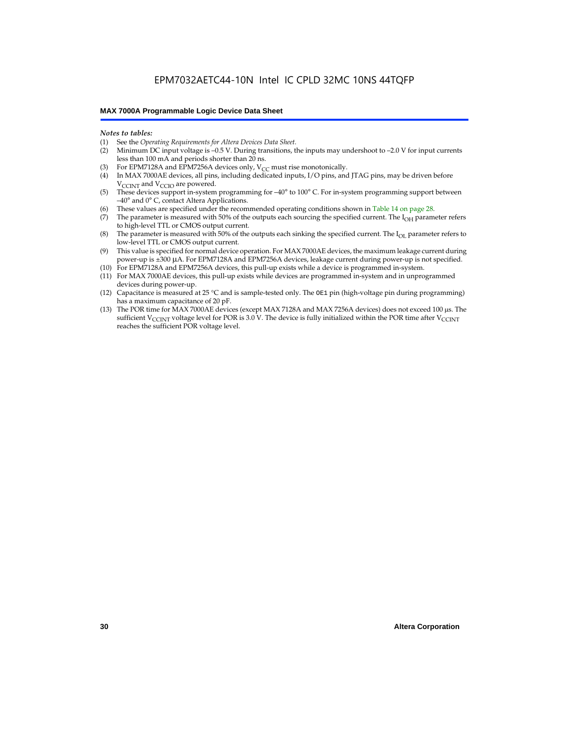#### *Notes to tables:*

- (1) See the *Operating Requirements for Altera Devices Data Sheet.*
- Minimum DC input voltage is –0.5 V. During transitions, the inputs may undershoot to –2.0 V for input currents less than 100 mA and periods shorter than 20 ns.
- (3) For EPM7128A and EPM7256A devices only,  $V_{CC}$  must rise monotonically.
- (4) In MAX 7000AE devices, all pins, including dedicated inputs, I/O pins, and JTAG pins, may be driven before V<sub>CCINT</sub> and V<sub>CCIO</sub> are powered.
- (5) These devices support in-system programming for –40° to 100° C. For in-system programming support between –40° and 0° C, contact Altera Applications.
- (6) These values are specified under the recommended operating conditions shown in Table 14 on page 28.
- (7) The parameter is measured with 50% of the outputs each sourcing the specified current. The  $I_{OH}$  parameter refers to high-level TTL or CMOS output current.
- (8) The parameter is measured with 50% of the outputs each sinking the specified current. The  $I_{OL}$  parameter refers to low-level TTL or CMOS output current.
- (9) This value is specified for normal device operation. For MAX 7000AE devices, the maximum leakage current during power-up is ±300 µA. For EPM7128A and EPM7256A devices, leakage current during power-up is not specified.
- (10) For EPM7128A and EPM7256A devices, this pull-up exists while a device is programmed in-system.
- (11) For MAX 7000AE devices, this pull-up exists while devices are programmed in-system and in unprogrammed devices during power-up.
- (12) Capacitance is measured at 25 °C and is sample-tested only. The OE1 pin (high-voltage pin during programming) has a maximum capacitance of 20 pF.
- (13) The POR time for MAX 7000AE devices (except MAX 7128A and MAX 7256A devices) does not exceed 100 µs. The sufficient V<sub>CCINT</sub> voltage level for POR is 3.0 V. The device is fully initialized within the POR time after V<sub>CCINT</sub> reaches the sufficient POR voltage level.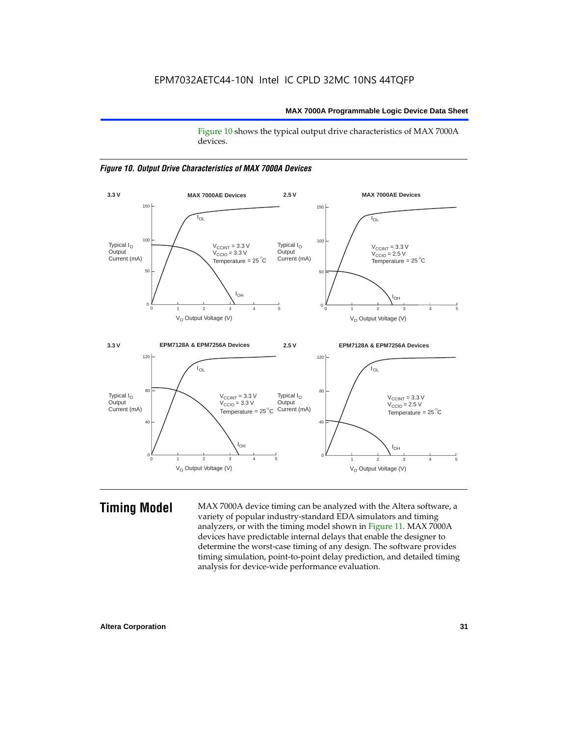Figure 10 shows the typical output drive characteristics of MAX 7000A devices.





**Timing Model** MAX 7000A device timing can be analyzed with the Altera software, a variety of popular industry-standard EDA simulators and timing analyzers, or with the timing model shown in Figure 11. MAX 7000A devices have predictable internal delays that enable the designer to determine the worst-case timing of any design. The software provides timing simulation, point-to-point delay prediction, and detailed timing analysis for device-wide performance evaluation.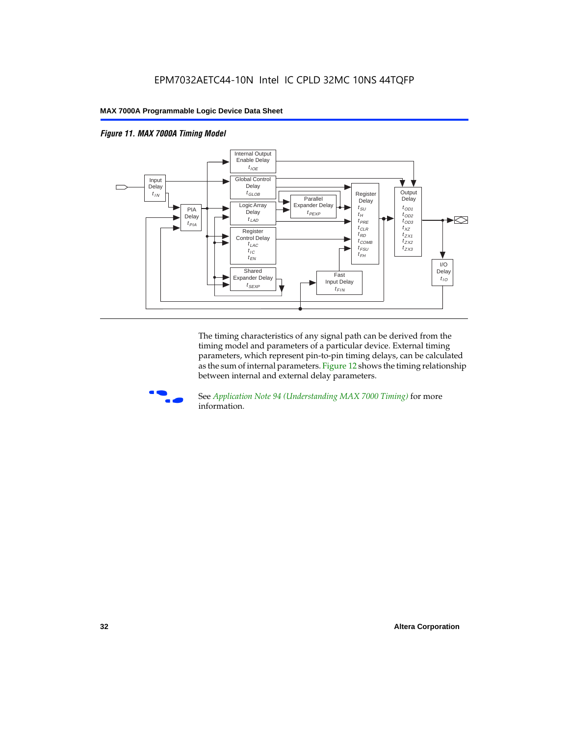



The timing characteristics of any signal path can be derived from the timing model and parameters of a particular device. External timing parameters, which represent pin-to-pin timing delays, can be calculated as the sum of internal parameters. Figure 12 shows the timing relationship between internal and external delay parameters.



f See *Application Note 94 (Understanding MAX 7000 Timing)* for more information.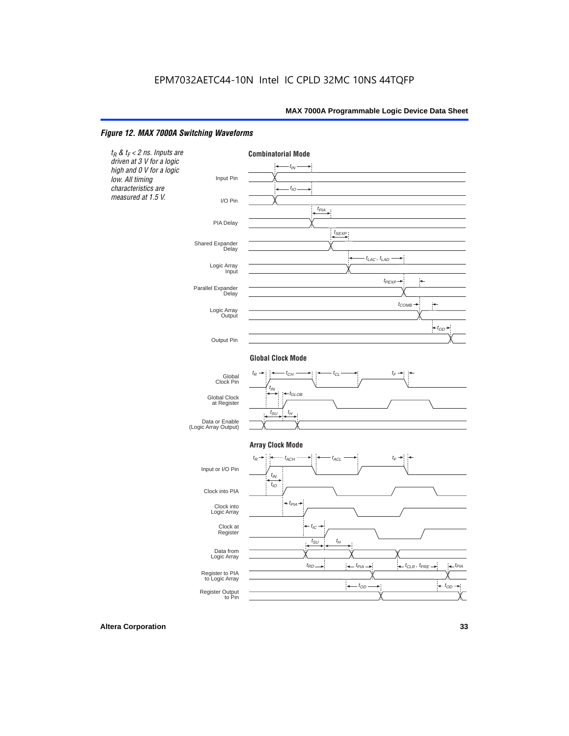#### *Figure 12. MAX 7000A Switching Waveforms*

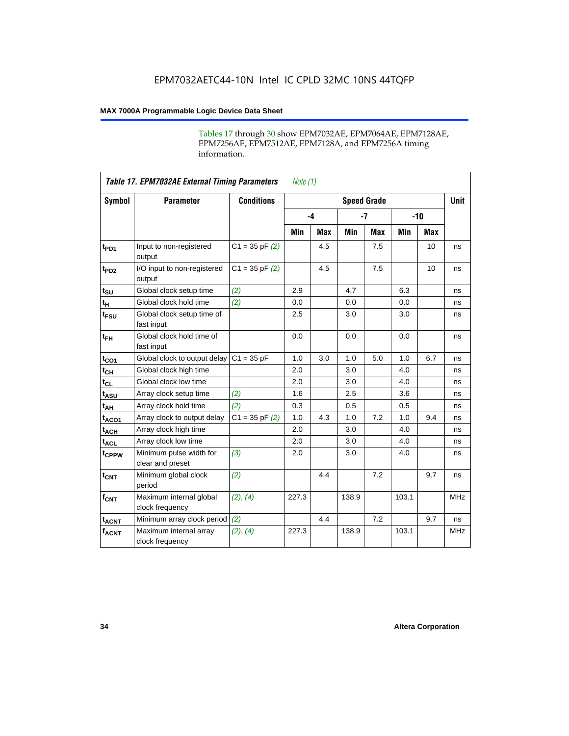Tables 17 through 30 show EPM7032AE, EPM7064AE, EPM7128AE, EPM7256AE, EPM7512AE, EPM7128A, and EPM7256A timing information.

|                  | <b>Table 17. EPM7032AE External Timing Parameters</b><br>Note $(1)$ |                   |       |            |                    |            |       |     |             |  |
|------------------|---------------------------------------------------------------------|-------------------|-------|------------|--------------------|------------|-------|-----|-------------|--|
| Symbol           | <b>Parameter</b>                                                    | <b>Conditions</b> |       |            | <b>Speed Grade</b> |            |       |     | <b>Unit</b> |  |
|                  |                                                                     |                   |       | $-4$       |                    | $-7$       | $-10$ |     |             |  |
|                  |                                                                     |                   | Min   | <b>Max</b> | Min                | <b>Max</b> | Min   | Max |             |  |
| t <sub>PD1</sub> | Input to non-registered<br>output                                   | $C1 = 35 pF(2)$   |       | 4.5        |                    | 7.5        |       | 10  | ns          |  |
| t <sub>PD2</sub> | I/O input to non-registered<br>output                               | $C1 = 35 pF(2)$   |       | 4.5        |                    | 7.5        |       | 10  | ns          |  |
| $t_{\text{SU}}$  | Global clock setup time                                             | (2)               | 2.9   |            | 4.7                |            | 6.3   |     | ns          |  |
| $t_H$            | Global clock hold time                                              | (2)               | 0.0   |            | 0.0                |            | 0.0   |     | ns          |  |
| t <sub>FSU</sub> | Global clock setup time of<br>fast input                            |                   | 2.5   |            | 3.0                |            | 3.0   |     | ns          |  |
| $t_{FH}$         | Global clock hold time of<br>fast input                             |                   | 0.0   |            | 0.0                |            | 0.0   |     | ns          |  |
| $t_{CO1}$        | Global clock to output delay                                        | $C1 = 35 pF$      | 1.0   | 3.0        | 1.0                | 5.0        | 1.0   | 6.7 | ns          |  |
| $t_{CH}$         | Global clock high time                                              |                   | 2.0   |            | 3.0                |            | 4.0   |     | ns          |  |
| $t_{CL}$         | Global clock low time                                               |                   | 2.0   |            | 3.0                |            | 4.0   |     | ns          |  |
| $t_{ASU}$        | Array clock setup time                                              | (2)               | 1.6   |            | 2.5                |            | 3.6   |     | ns          |  |
| t <sub>AH</sub>  | Array clock hold time                                               | (2)               | 0.3   |            | 0.5                |            | 0.5   |     | ns          |  |
| $t_{ACO1}$       | Array clock to output delay                                         | $C1 = 35 pF(2)$   | 1.0   | 4.3        | 1.0                | 7.2        | 1.0   | 9.4 | ns          |  |
| $t_{ACH}$        | Array clock high time                                               |                   | 2.0   |            | 3.0                |            | 4.0   |     | ns          |  |
| $t_{ACL}$        | Array clock low time                                                |                   | 2.0   |            | 3.0                |            | 4.0   |     | ns          |  |
| tcppw            | Minimum pulse width for<br>clear and preset                         | (3)               | 2.0   |            | 3.0                |            | 4.0   |     | ns          |  |
| $t_{\text{CNT}}$ | Minimum global clock<br>period                                      | (2)               |       | 4.4        |                    | 7.2        |       | 9.7 | ns          |  |
| $f_{CNT}$        | Maximum internal global<br>clock frequency                          | (2), (4)          | 227.3 |            | 138.9              |            | 103.1 |     | <b>MHz</b>  |  |
| $t_{ACNT}$       | Minimum array clock period                                          | (2)               |       | 4.4        |                    | 7.2        |       | 9.7 | ns          |  |
| <b>fACNT</b>     | Maximum internal array<br>clock frequency                           | (2), (4)          | 227.3 |            | 138.9              |            | 103.1 |     | <b>MHz</b>  |  |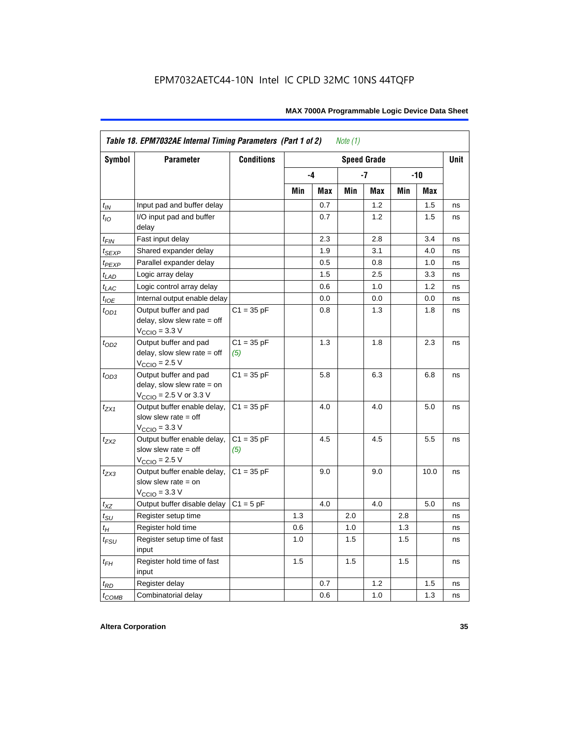|                  | Table 18. EPM7032AE Internal Timing Parameters (Part 1 of 2)<br>Note $(1)$                                   |                     |     |      |     |                    |       |            |             |  |
|------------------|--------------------------------------------------------------------------------------------------------------|---------------------|-----|------|-----|--------------------|-------|------------|-------------|--|
| Symbol           | <b>Parameter</b>                                                                                             | <b>Conditions</b>   |     |      |     | <b>Speed Grade</b> |       |            | <b>Unit</b> |  |
|                  |                                                                                                              |                     |     | $-4$ |     | -7                 | $-10$ |            |             |  |
|                  |                                                                                                              |                     | Min | Max  | Min | Max                | Min   | <b>Max</b> |             |  |
| $t_{IN}$         | Input pad and buffer delay                                                                                   |                     |     | 0.7  |     | 1.2                |       | 1.5        | ns          |  |
| $t_{IO}$         | I/O input pad and buffer<br>delay                                                                            |                     |     | 0.7  |     | 1.2                |       | 1.5        | ns          |  |
| t <sub>FIN</sub> | Fast input delay                                                                                             |                     |     | 2.3  |     | 2.8                |       | 3.4        | ns          |  |
| $t_{SEXP}$       | Shared expander delay                                                                                        |                     |     | 1.9  |     | 3.1                |       | 4.0        | ns          |  |
| $t_{PEXP}$       | Parallel expander delay                                                                                      |                     |     | 0.5  |     | 0.8                |       | 1.0        | ns          |  |
| $t_{LAD}$        | Logic array delay                                                                                            |                     |     | 1.5  |     | 2.5                |       | 3.3        | ns          |  |
| $t_{LAC}$        | Logic control array delay                                                                                    |                     |     | 0.6  |     | 1.0                |       | 1.2        | ns          |  |
| $t_{IOE}$        | Internal output enable delay                                                                                 |                     |     | 0.0  |     | 0.0                |       | 0.0        | ns          |  |
| $t_{OD1}$        | Output buffer and pad<br>delay, slow slew rate $=$ off<br>$V_{\text{CCIO}} = 3.3 \text{ V}$                  | $C1 = 35 pF$        |     | 0.8  |     | 1.3                |       | 1.8        | ns          |  |
| $t_{OD2}$        | Output buffer and pad<br>delay, slow slew rate $=$ off<br>$V_{\text{CCIO}}$ = 2.5 V                          | $C1 = 35 pF$<br>(5) |     | 1.3  |     | 1.8                |       | 2.3        | ns          |  |
| $t_{OD3}$        | Output buffer and pad<br>delay, slow slew rate $=$ on<br>$V_{\text{CCIO}} = 2.5 \text{ V or } 3.3 \text{ V}$ | $C1 = 35 pF$        |     | 5.8  |     | 6.3                |       | 6.8        | ns          |  |
| $t_{ZX1}$        | Output buffer enable delay,<br>slow slew rate $=$ off<br>$V_{\text{CCIO}} = 3.3 \text{ V}$                   | $C1 = 35 pF$        |     | 4.0  |     | 4.0                |       | 5.0        | ns          |  |
| t <sub>ZX2</sub> | Output buffer enable delay,<br>slow slew rate $=$ off<br>$V_{\text{CCIO}}$ = 2.5 V                           | $C1 = 35 pF$<br>(5) |     | 4.5  |     | 4.5                |       | 5.5        | ns          |  |
| $t_{ZX3}$        | Output buffer enable delay,<br>slow slew rate $=$ on<br>$V_{\text{CCIO}} = 3.3 \text{ V}$                    | $C1 = 35 pF$        |     | 9.0  |     | 9.0                |       | 10.0       | ns          |  |
| $t_{XZ}$         | Output buffer disable delay                                                                                  | $C1 = 5$ pF         |     | 4.0  |     | 4.0                |       | 5.0        | ns          |  |
| $t_{\text{SU}}$  | Register setup time                                                                                          |                     | 1.3 |      | 2.0 |                    | 2.8   |            | ns          |  |
| $t_H$            | Register hold time                                                                                           |                     | 0.6 |      | 1.0 |                    | 1.3   |            | ns          |  |
| $t_{FSU}$        | Register setup time of fast<br>input                                                                         |                     | 1.0 |      | 1.5 |                    | 1.5   |            | ns          |  |
| $t_{FH}$         | Register hold time of fast<br>input                                                                          |                     | 1.5 |      | 1.5 |                    | 1.5   |            | ns          |  |
| $t_{RD}$         | Register delay                                                                                               |                     |     | 0.7  |     | 1.2                |       | 1.5        | ns          |  |
| $t_{COMB}$       | Combinatorial delay                                                                                          |                     |     | 0.6  |     | 1.0                |       | 1.3        | ns          |  |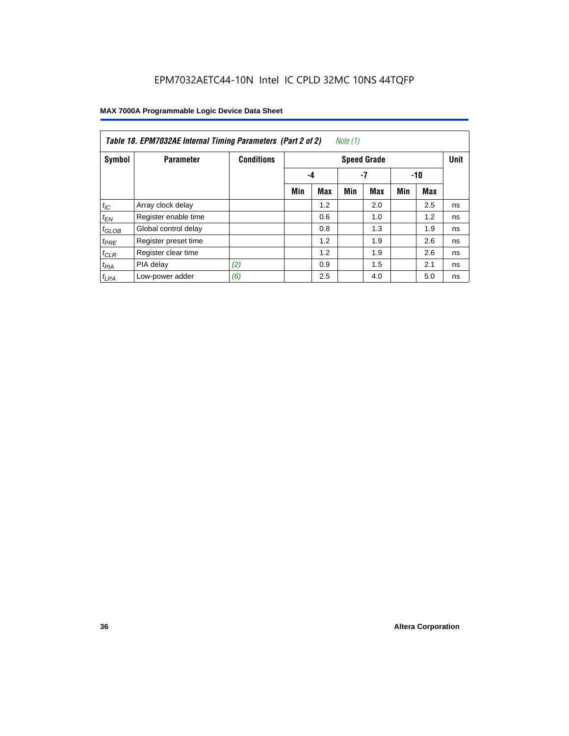| Table 18. EPM7032AE Internal Timing Parameters (Part 2 of 2)<br>Note (1) |                      |                   |                    |            |     |            |     |       |    |
|--------------------------------------------------------------------------|----------------------|-------------------|--------------------|------------|-----|------------|-----|-------|----|
| Symbol                                                                   | <b>Parameter</b>     | <b>Conditions</b> | <b>Speed Grade</b> |            |     |            |     |       |    |
|                                                                          |                      |                   |                    | -4         |     | $-7$       |     | $-10$ |    |
|                                                                          |                      |                   | Min                | <b>Max</b> | Min | <b>Max</b> | Min | Max   |    |
| $t_{IC}$                                                                 | Array clock delay    |                   |                    | 1.2        |     | 2.0        |     | 2.5   | ns |
| $t_{EN}$                                                                 | Register enable time |                   |                    | 0.6        |     | 1.0        |     | 1.2   | ns |
| $t_{GLOB}$                                                               | Global control delay |                   |                    | 0.8        |     | 1.3        |     | 1.9   | ns |
| $t_{PRE}$                                                                | Register preset time |                   |                    | 1.2        |     | 1.9        |     | 2.6   | ns |
| $t_{CLR}$                                                                | Register clear time  |                   |                    | 1.2        |     | 1.9        |     | 2.6   | ns |
| t <sub>PIA</sub>                                                         | PIA delay            | (2)               |                    | 0.9        |     | 1.5        |     | 2.1   | ns |
| $t_{LPA}$                                                                | Low-power adder      | (6)               |                    | 2.5        |     | 4.0        |     | 5.0   | ns |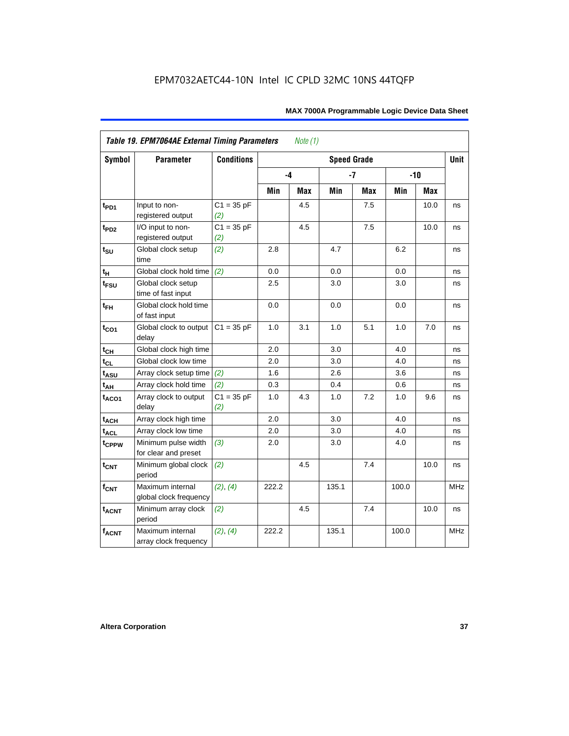| Symbol            | <b>Parameter</b>                            | <b>Conditions</b>   |       |     | <b>Speed Grade</b> |            |       |            | <b>Unit</b> |
|-------------------|---------------------------------------------|---------------------|-------|-----|--------------------|------------|-------|------------|-------------|
|                   |                                             |                     | -4    |     |                    | $-7$       |       | $-10$      |             |
|                   |                                             |                     | Min   | Max | Min                | <b>Max</b> | Min   | <b>Max</b> |             |
| $t_{PD1}$         | Input to non-<br>registered output          | $C1 = 35 pF$<br>(2) |       | 4.5 |                    | 7.5        |       | 10.0       | ns          |
| t <sub>PD2</sub>  | I/O input to non-<br>registered output      | $C1 = 35 pF$<br>(2) |       | 4.5 |                    | 7.5        |       | 10.0       | ns          |
| $t_{\text{SU}}$   | Global clock setup<br>time                  | (2)                 | 2.8   |     | 4.7                |            | 6.2   |            | ns          |
| tμ                | Global clock hold time                      | (2)                 | 0.0   |     | 0.0                |            | 0.0   |            | ns          |
| $t_{FSU}$         | Global clock setup<br>time of fast input    |                     | 2.5   |     | 3.0                |            | 3.0   |            | ns          |
| $t_{FH}$          | Global clock hold time<br>of fast input     |                     | 0.0   |     | 0.0                |            | 0.0   |            | ns          |
| $t_{CO1}$         | Global clock to output<br>delay             | $C1 = 35 pF$        | 1.0   | 3.1 | 1.0                | 5.1        | 1.0   | 7.0        | ns          |
| $t_{CH}$          | Global clock high time                      |                     | 2.0   |     | 3.0                |            | 4.0   |            | ns          |
| $t_{CL}$          | Global clock low time                       |                     | 2.0   |     | 3.0                |            | 4.0   |            | ns          |
| t <sub>ASU</sub>  | Array clock setup time                      | (2)                 | 1.6   |     | 2.6                |            | 3.6   |            | ns          |
| $t_{AH}$          | Array clock hold time                       | (2)                 | 0.3   |     | 0.4                |            | 0.6   |            | ns          |
| t <sub>ACO1</sub> | Array clock to output<br>delay              | $C1 = 35 pF$<br>(2) | 1.0   | 4.3 | 1.0                | 7.2        | 1.0   | 9.6        | ns          |
| $t_{ACH}$         | Array clock high time                       |                     | 2.0   |     | 3.0                |            | 4.0   |            | ns          |
| t <sub>ACL</sub>  | Array clock low time                        |                     | 2.0   |     | 3.0                |            | 4.0   |            | ns          |
| t <sub>CPPW</sub> | Minimum pulse width<br>for clear and preset | (3)                 | 2.0   |     | 3.0                |            | 4.0   |            | ns          |
| $t_{\text{CNT}}$  | Minimum global clock<br>period              | (2)                 |       | 4.5 |                    | 7.4        |       | 10.0       | ns          |
| $f_{CNT}$         | Maximum internal<br>global clock frequency  | (2), (4)            | 222.2 |     | 135.1              |            | 100.0 |            | <b>MHz</b>  |
| $t_{ACNT}$        | Minimum array clock<br>period               | (2)                 |       | 4.5 |                    | 7.4        |       | 10.0       | ns          |
| <b>fACNT</b>      | Maximum internal<br>array clock frequency   | (2), (4)            | 222.2 |     | 135.1              |            | 100.0 |            | <b>MHz</b>  |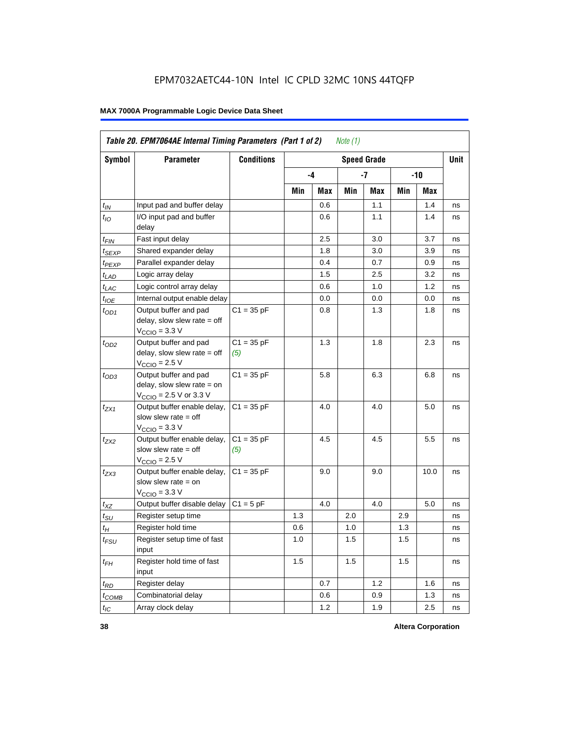|                    | Table 20. EPM7064AE Internal Timing Parameters (Part 1 of 2)<br>Note (1)                                     |                     |     |     |     |                    |     |      |      |  |
|--------------------|--------------------------------------------------------------------------------------------------------------|---------------------|-----|-----|-----|--------------------|-----|------|------|--|
| Symbol             | Parameter                                                                                                    | <b>Conditions</b>   |     |     |     | <b>Speed Grade</b> |     |      | Unit |  |
|                    |                                                                                                              |                     |     | -4  |     | -7                 | -10 |      |      |  |
|                    |                                                                                                              |                     | Min | Max | Min | Max                | Min | Max  |      |  |
| $t_{IN}$           | Input pad and buffer delay                                                                                   |                     |     | 0.6 |     | 1.1                |     | 1.4  | ns   |  |
| $t_{IO}$           | I/O input pad and buffer<br>delay                                                                            |                     |     | 0.6 |     | 1.1                |     | 1.4  | ns   |  |
| $t_{\mathsf{FIN}}$ | Fast input delay                                                                                             |                     |     | 2.5 |     | 3.0                |     | 3.7  | ns   |  |
| $t_{SEXP}$         | Shared expander delay                                                                                        |                     |     | 1.8 |     | 3.0                |     | 3.9  | ns   |  |
| t <sub>PEXP</sub>  | Parallel expander delay                                                                                      |                     |     | 0.4 |     | 0.7                |     | 0.9  | ns   |  |
| $t_{LAD}$          | Logic array delay                                                                                            |                     |     | 1.5 |     | 2.5                |     | 3.2  | ns   |  |
| $t_{LAC}$          | Logic control array delay                                                                                    |                     |     | 0.6 |     | 1.0                |     | 1.2  | ns   |  |
| $t_{IOE}$          | Internal output enable delay                                                                                 |                     |     | 0.0 |     | 0.0                |     | 0.0  | ns   |  |
| $t_{OD1}$          | Output buffer and pad<br>delay, slow slew rate = off<br>$VCCIO = 3.3 V$                                      | $C1 = 35 pF$        |     | 0.8 |     | 1.3                |     | 1.8  | ns   |  |
| $t_{OD2}$          | Output buffer and pad<br>delay, slow slew rate $=$ off<br>$V_{\rm CClO}$ = 2.5 V                             | $C1 = 35 pF$<br>(5) |     | 1.3 |     | 1.8                |     | 2.3  | ns   |  |
| $t_{OD3}$          | Output buffer and pad<br>delay, slow slew rate $=$ on<br>$V_{\text{CCIO}} = 2.5 \text{ V or } 3.3 \text{ V}$ | $C1 = 35 pF$        |     | 5.8 |     | 6.3                |     | 6.8  | ns   |  |
| $t_{ZX1}$          | Output buffer enable delay,<br>slow slew rate = off<br>$V_{\rm CClO}$ = 3.3 V                                | $C1 = 35 pF$        |     | 4.0 |     | 4.0                |     | 5.0  | ns   |  |
| t <sub>ZX2</sub>   | Output buffer enable delay,<br>slow slew rate $=$ off<br>$VCCIO = 2.5 V$                                     | $C1 = 35 pF$<br>(5) |     | 4.5 |     | 4.5                |     | 5.5  | ns   |  |
| $t_{ZX3}$          | Output buffer enable delay,<br>slow slew rate $=$ on<br>$V_{\text{CCIO}} = 3.3 \text{ V}$                    | $C1 = 35 pF$        |     | 9.0 |     | 9.0                |     | 10.0 | ns   |  |
| $t_{XZ}$           | Output buffer disable delay                                                                                  | $C1 = 5pF$          |     | 4.0 |     | 4.0                |     | 5.0  | ns   |  |
| $t_{\text{SU}}$    | Register setup time                                                                                          |                     | 1.3 |     | 2.0 |                    | 2.9 |      | ns   |  |
| $t_H$              | Register hold time                                                                                           |                     | 0.6 |     | 1.0 |                    | 1.3 |      | ns   |  |
| $t_{\mathit{FSU}}$ | Register setup time of fast<br>input                                                                         |                     | 1.0 |     | 1.5 |                    | 1.5 |      | ns   |  |
| $t_{FH}$           | Register hold time of fast<br>input                                                                          |                     | 1.5 |     | 1.5 |                    | 1.5 |      | ns   |  |
| $t_{RD}$           | Register delay                                                                                               |                     |     | 0.7 |     | 1.2                |     | 1.6  | ns   |  |
| $t_{COMB}$         | Combinatorial delay                                                                                          |                     |     | 0.6 |     | 0.9                |     | 1.3  | ns   |  |
| $t_{IC}$           | Array clock delay                                                                                            |                     |     | 1.2 |     | 1.9                |     | 2.5  | ns   |  |

**38 Altera Corporation**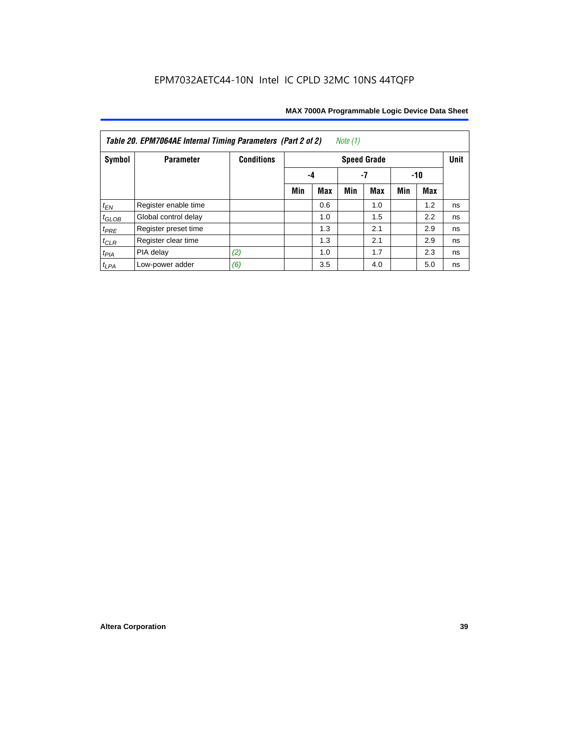| Note $(1)$<br>Table 20. EPM7064AE Internal Timing Parameters (Part 2 of 2) |                      |                   |     |     |     |                    |     |     |             |  |  |
|----------------------------------------------------------------------------|----------------------|-------------------|-----|-----|-----|--------------------|-----|-----|-------------|--|--|
| Symbol                                                                     | <b>Parameter</b>     | <b>Conditions</b> |     |     |     | <b>Speed Grade</b> |     |     | <b>Unit</b> |  |  |
|                                                                            |                      |                   | -4  | -10 |     |                    |     |     |             |  |  |
|                                                                            |                      |                   | Min | Max | Min | <b>Max</b>         | Min | Max |             |  |  |
| $t_{EN}$                                                                   | Register enable time |                   |     | 0.6 |     | 1.0                |     | 1.2 | ns          |  |  |
| $t_{GLOB}$                                                                 | Global control delay |                   |     | 1.0 |     | 1.5                |     | 2.2 | ns          |  |  |
| $t_{PRE}$                                                                  | Register preset time |                   |     | 1.3 |     | 2.1                |     | 2.9 | ns          |  |  |
| $t_{CLR}$                                                                  | Register clear time  |                   |     | 1.3 |     | 2.1                |     | 2.9 | ns          |  |  |
| $t_{PIA}$                                                                  | PIA delay            | (2)               |     | 1.0 |     | 1.7                |     | 2.3 | ns          |  |  |
| $t_{LPA}$                                                                  | Low-power adder      | (6)               |     | 3.5 |     | 4.0                |     | 5.0 | ns          |  |  |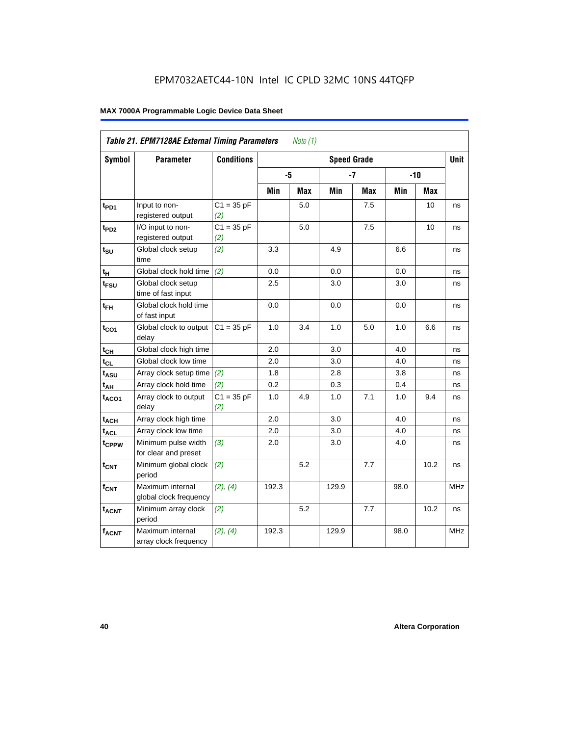|                   | <b>Table 21. EPM7128AE External Timing Parameters</b> |                     |       | Note $(1)$ |                    |            |      |            |            |
|-------------------|-------------------------------------------------------|---------------------|-------|------------|--------------------|------------|------|------------|------------|
| Symbol            | <b>Parameter</b>                                      | <b>Conditions</b>   |       |            | <b>Speed Grade</b> |            |      |            | Unit       |
|                   |                                                       |                     | -5    |            |                    | $-7$       |      | $-10$      |            |
|                   |                                                       |                     | Min   | <b>Max</b> | Min                | <b>Max</b> | Min  | <b>Max</b> |            |
| t <sub>PD1</sub>  | Input to non-<br>registered output                    | $C1 = 35 pF$<br>(2) |       | 5.0        |                    | 7.5        |      | 10         | ns         |
| t <sub>PD2</sub>  | I/O input to non-<br>registered output                | $C1 = 35 pF$<br>(2) |       | 5.0        |                    | 7.5        |      | 10         | ns         |
| $t_{\text{SU}}$   | Global clock setup<br>time                            | (2)                 | 3.3   |            | 4.9                |            | 6.6  |            | ns         |
| $t_H$             | Global clock hold time                                | (2)                 | 0.0   |            | 0.0                |            | 0.0  |            | ns         |
| t <sub>FSU</sub>  | Global clock setup<br>time of fast input              |                     | 2.5   |            | 3.0                |            | 3.0  |            | ns         |
| $t_{FH}$          | Global clock hold time<br>of fast input               |                     | 0.0   |            | 0.0                |            | 0.0  |            | ns         |
| $t_{CO1}$         | Global clock to output<br>delay                       | $C1 = 35 pF$        | 1.0   | 3.4        | $1.0$              | 5.0        | 1.0  | 6.6        | ns         |
| $t_{CH}$          | Global clock high time                                |                     | 2.0   |            | 3.0                |            | 4.0  |            | ns         |
| $t_{CL}$          | Global clock low time                                 |                     | 2.0   |            | 3.0                |            | 4.0  |            | ns         |
| $t_{ASU}$         | Array clock setup time                                | (2)                 | 1.8   |            | 2.8                |            | 3.8  |            | ns         |
| $t_{AH}$          | Array clock hold time                                 | (2)                 | 0.2   |            | 0.3                |            | 0.4  |            | ns         |
| $t_{ACO1}$        | Array clock to output<br>delay                        | $C1 = 35 pF$<br>(2) | 1.0   | 4.9        | 1.0                | 7.1        | 1.0  | 9.4        | ns         |
| $t_{ACH}$         | Array clock high time                                 |                     | 2.0   |            | 3.0                |            | 4.0  |            | ns         |
| t <sub>ACL</sub>  | Array clock low time                                  |                     | 2.0   |            | 3.0                |            | 4.0  |            | ns         |
| t <sub>CPPW</sub> | Minimum pulse width<br>for clear and preset           | (3)                 | 2.0   |            | 3.0                |            | 4.0  |            | ns         |
| $t_{\text{CNT}}$  | Minimum global clock<br>period                        | (2)                 |       | 5.2        |                    | 7.7        |      | 10.2       | ns         |
| $f_{CNT}$         | Maximum internal<br>global clock frequency            | (2), (4)            | 192.3 |            | 129.9              |            | 98.0 |            | <b>MHz</b> |
| $t_{ACNT}$        | Minimum array clock<br>period                         | (2)                 |       | 5.2        |                    | 7.7        |      | 10.2       | ns         |
| <b>fACNT</b>      | Maximum internal<br>array clock frequency             | (2), (4)            | 192.3 |            | 129.9              |            | 98.0 |            | <b>MHz</b> |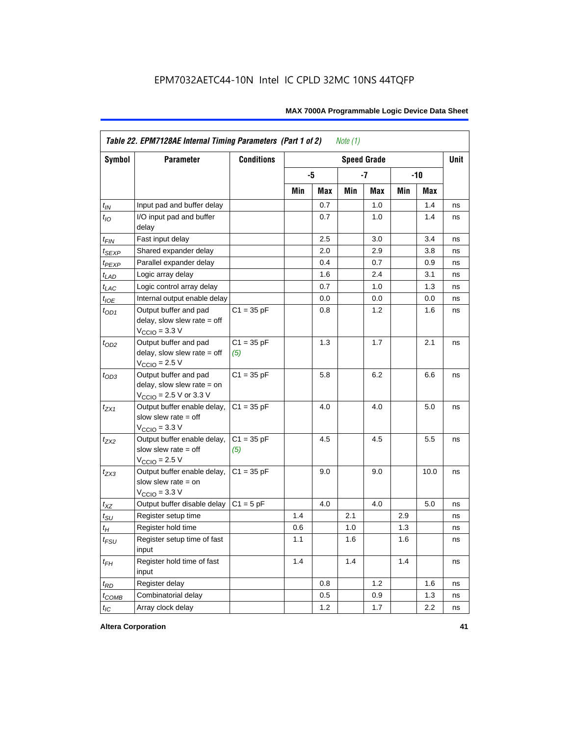|                   | Table 22. EPM7128AE Internal Timing Parameters (Part 1 of 2)                                                 |                     |     |     | Note $(1)$ |                    |     |            |             |
|-------------------|--------------------------------------------------------------------------------------------------------------|---------------------|-----|-----|------------|--------------------|-----|------------|-------------|
| <b>Symbol</b>     | <b>Parameter</b>                                                                                             | <b>Conditions</b>   |     |     |            | <b>Speed Grade</b> |     |            | <b>Unit</b> |
|                   |                                                                                                              |                     |     | -5  |            | $-7$               |     | $-10$      |             |
|                   |                                                                                                              |                     | Min | Max | Min        | Max                | Min | <b>Max</b> |             |
| $t_{IN}$          | Input pad and buffer delay                                                                                   |                     |     | 0.7 |            | 1.0                |     | 1.4        | ns          |
| $t_{IO}$          | I/O input pad and buffer<br>delay                                                                            |                     |     | 0.7 |            | 1.0                |     | 1.4        | ns          |
| $t_{\sf FIN}$     | Fast input delay                                                                                             |                     |     | 2.5 |            | 3.0                |     | 3.4        | ns          |
| t <sub>SEXP</sub> | Shared expander delay                                                                                        |                     |     | 2.0 |            | 2.9                |     | 3.8        | ns          |
| t <sub>PEXP</sub> | Parallel expander delay                                                                                      |                     |     | 0.4 |            | 0.7                |     | 0.9        | ns          |
| $t_{LAD}$         | Logic array delay                                                                                            |                     |     | 1.6 |            | 2.4                |     | 3.1        | ns          |
| $t_{LAC}$         | Logic control array delay                                                                                    |                     |     | 0.7 |            | 1.0                |     | 1.3        | ns          |
| $t_{IOE}$         | Internal output enable delay                                                                                 |                     |     | 0.0 |            | 0.0                |     | 0.0        | ns          |
| $t_{OD1}$         | Output buffer and pad<br>delay, slow slew rate $=$ off<br>$V_{\text{CCIO}} = 3.3 \text{ V}$                  | $C1 = 35 pF$        |     | 0.8 |            | 1.2                |     | 1.6        | ns          |
| $t_{OD2}$         | Output buffer and pad<br>delay, slow slew rate $=$ off<br>$V_{\text{CCIO}} = 2.5 V$                          | $C1 = 35 pF$<br>(5) |     | 1.3 |            | 1.7                |     | 2.1        | ns          |
| $t_{OD3}$         | Output buffer and pad<br>delay, slow slew rate $=$ on<br>$V_{\text{CCIO}} = 2.5 \text{ V or } 3.3 \text{ V}$ | $C1 = 35 pF$        |     | 5.8 |            | 6.2                |     | 6.6        | ns          |
| $t_{ZX1}$         | Output buffer enable delay,<br>slow slew rate $=$ off<br>$V_{\text{CCIO}} = 3.3 \text{ V}$                   | $C1 = 35 pF$        |     | 4.0 |            | 4.0                |     | 5.0        | ns          |
| $t_{ZX2}$         | Output buffer enable delay,<br>slow slew rate $=$ off<br>$V_{\text{CCIO}} = 2.5 V$                           | $C1 = 35 pF$<br>(5) |     | 4.5 |            | 4.5                |     | 5.5        | ns          |
| $t_{ZX3}$         | Output buffer enable delay,<br>slow slew rate $=$ on<br>$V_{\text{CCIO}} = 3.3 \text{ V}$                    | $C1 = 35 pF$        |     | 9.0 |            | 9.0                |     | 10.0       | ns          |
| $t_{XZ}$          | Output buffer disable delay                                                                                  | $C1 = 5$ pF         |     | 4.0 |            | 4.0                |     | 5.0        | ns          |
| $t_{\sf SU}$      | Register setup time                                                                                          |                     | 1.4 |     | 2.1        |                    | 2.9 |            | ns          |
| $t_H$             | Register hold time                                                                                           |                     | 0.6 |     | 1.0        |                    | 1.3 |            | ns          |
| $t_{FSU}$         | Register setup time of fast<br>input                                                                         |                     | 1.1 |     | 1.6        |                    | 1.6 |            | ns          |
| $t_{FH}$          | Register hold time of fast<br>input                                                                          |                     | 1.4 |     | 1.4        |                    | 1.4 |            | ns          |
| $t_{RD}$          | Register delay                                                                                               |                     |     | 0.8 |            | 1.2                |     | 1.6        | ns          |
| $t_{COMB}$        | Combinatorial delay                                                                                          |                     |     | 0.5 |            | 0.9                |     | 1.3        | ns          |
| $t_{IC}$          | Array clock delay                                                                                            |                     |     | 1.2 |            | 1.7                |     | 2.2        | ns          |

**Altera Corporation 41**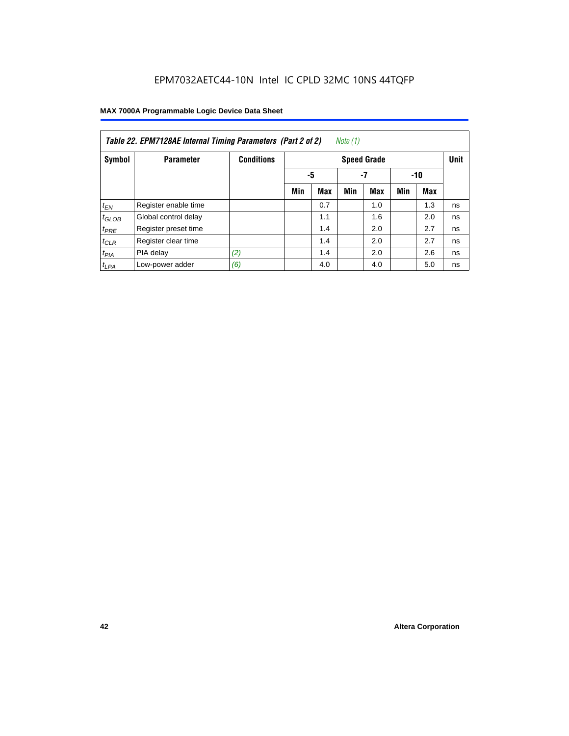| Note (1)<br>Table 22. EPM7128AE Internal Timing Parameters (Part 2 of 2) |                      |                   |     |                   |     |                    |     |            |             |  |  |
|--------------------------------------------------------------------------|----------------------|-------------------|-----|-------------------|-----|--------------------|-----|------------|-------------|--|--|
| Symbol                                                                   | <b>Parameter</b>     | <b>Conditions</b> |     |                   |     | <b>Speed Grade</b> |     |            | <b>Unit</b> |  |  |
|                                                                          |                      |                   |     | -5<br>$-7$<br>-10 |     |                    |     |            |             |  |  |
|                                                                          |                      |                   | Min | <b>Max</b>        | Min | <b>Max</b>         | Min | <b>Max</b> |             |  |  |
| $t_{EN}$                                                                 | Register enable time |                   |     | 0.7               |     | 1.0                |     | 1.3        | ns          |  |  |
| $t_{GLOB}$                                                               | Global control delay |                   |     | 1.1               |     | 1.6                |     | 2.0        | ns          |  |  |
| $t_{PRE}$                                                                | Register preset time |                   |     | 1.4               |     | 2.0                |     | 2.7        | ns          |  |  |
| $t_{CLR}$                                                                | Register clear time  |                   |     | 1.4               |     | 2.0                |     | 2.7        | ns          |  |  |
| t <sub>PIA</sub>                                                         | PIA delay            | (2)               |     | 1.4               |     | 2.0                |     | 2.6        | ns          |  |  |
| $t_{LPA}$                                                                | Low-power adder      | (6)               |     | 4.0               |     | 4.0                |     | 5.0        | ns          |  |  |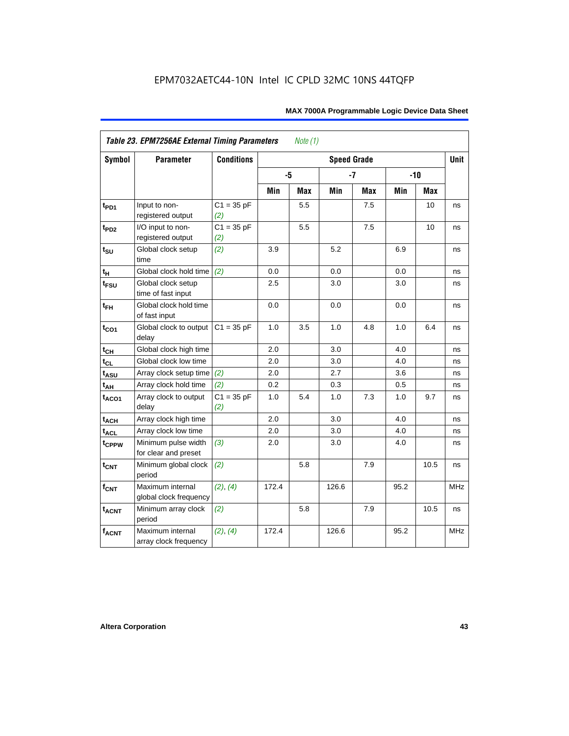| Symbol            | Table 23. EPM7256AE External Timing Parameters<br><b>Parameter</b> | <b>Conditions</b>   |       | Note $(1)$ | <b>Speed Grade</b> |            |      |        | <b>Unit</b> |
|-------------------|--------------------------------------------------------------------|---------------------|-------|------------|--------------------|------------|------|--------|-------------|
|                   |                                                                    |                     |       |            |                    |            |      |        |             |
|                   |                                                                    |                     |       | -5         |                    | $-7$       |      | $-10$  |             |
|                   |                                                                    |                     | Min   | Max        | Min                | <b>Max</b> | Min  | Max    |             |
| $t_{PD1}$         | Input to non-<br>registered output                                 | $C1 = 35 pF$<br>(2) |       | 5.5        |                    | 7.5        |      | 10     | ns          |
| t <sub>PD2</sub>  | I/O input to non-<br>registered output                             | $C1 = 35 pF$<br>(2) |       | 5.5        |                    | 7.5        |      | 10     | ns          |
| $t_{\text{SU}}$   | Global clock setup<br>time                                         | (2)                 | 3.9   |            | 5.2                |            | 6.9  |        | ns          |
| tμ                | Global clock hold time                                             | (2)                 | 0.0   |            | 0.0                |            | 0.0  |        | ns          |
| $t_{FSU}$         | Global clock setup<br>time of fast input                           |                     | 2.5   |            | 3.0                |            | 3.0  |        | ns          |
| $t_{FH}$          | Global clock hold time<br>of fast input                            |                     | 0.0   |            | 0.0                |            | 0.0  |        | ns          |
| $t_{CO1}$         | Global clock to output<br>delay                                    | $C1 = 35 pF$        | 1.0   | 3.5        | 1.0                | 4.8        | 1.0  | 6.4    | ns          |
| $t_{CH}$          | Global clock high time                                             |                     | 2.0   |            | 3.0                |            | 4.0  |        | ns          |
| $t_{CL}$          | Global clock low time                                              |                     | 2.0   |            | 3.0                |            | 4.0  |        | ns          |
| $t_{ASU}$         | Array clock setup time                                             | (2)                 | 2.0   |            | 2.7                |            | 3.6  |        | ns          |
| $t_{AH}$          | Array clock hold time                                              | (2)                 | 0.2   |            | 0.3                |            | 0.5  |        | ns          |
| t <sub>ACO1</sub> | Array clock to output<br>delay                                     | $C1 = 35 pF$<br>(2) | 1.0   | 5.4        | 1.0                | 7.3        | 1.0  | 9.7    | ns          |
| $t_{ACH}$         | Array clock high time                                              |                     | 2.0   |            | 3.0                |            | 4.0  |        | ns          |
| t <sub>ACL</sub>  | Array clock low time                                               |                     | 2.0   |            | 3.0                |            | 4.0  |        | ns          |
| t <sub>CPPW</sub> | Minimum pulse width<br>for clear and preset                        | (3)                 | 2.0   |            | 3.0                |            | 4.0  |        | ns          |
| $t_{CNT}$         | Minimum global clock<br>period                                     | (2)                 |       | 5.8        |                    | 7.9        |      | $10.5$ | ns          |
| $f_{CNT}$         | Maximum internal<br>global clock frequency                         | (2), (4)            | 172.4 |            | 126.6              |            | 95.2 |        | <b>MHz</b>  |
| $t_{ACNT}$        | Minimum array clock<br>period                                      | (2)                 |       | 5.8        |                    | 7.9        |      | 10.5   | ns          |
| <b>fACNT</b>      | Maximum internal<br>array clock frequency                          | (2), (4)            | 172.4 |            | 126.6              |            | 95.2 |        | <b>MHz</b>  |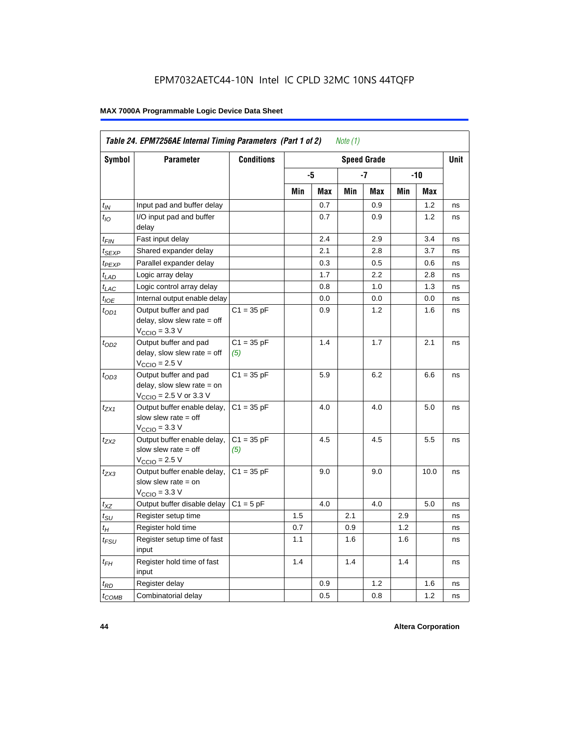| Symbol                      | <b>Parameter</b>                                                                                             | <b>Conditions</b>   |     |     |     | <b>Speed Grade</b> |     |      | <b>Unit</b> |
|-----------------------------|--------------------------------------------------------------------------------------------------------------|---------------------|-----|-----|-----|--------------------|-----|------|-------------|
|                             |                                                                                                              |                     |     | -5  |     | -7                 |     | -10  |             |
|                             |                                                                                                              |                     | Min | Max | Min | Max                | Min | Max  |             |
| $t_{IN}$                    | Input pad and buffer delay                                                                                   |                     |     | 0.7 |     | 0.9                |     | 1.2  | ns          |
| $t_{IO}$                    | I/O input pad and buffer<br>delay                                                                            |                     |     | 0.7 |     | 0.9                |     | 1.2  | ns          |
| t <sub>FIN</sub>            | Fast input delay                                                                                             |                     |     | 2.4 |     | 2.9                |     | 3.4  | ns          |
| $t_{SEXP}$                  | Shared expander delay                                                                                        |                     |     | 2.1 |     | 2.8                |     | 3.7  | ns          |
| t <sub>PEXP</sub>           | Parallel expander delay                                                                                      |                     |     | 0.3 |     | 0.5                |     | 0.6  | ns          |
| $t_{LAD}$                   | Logic array delay                                                                                            |                     |     | 1.7 |     | 2.2                |     | 2.8  | ns          |
| $t_{LAC}$                   | Logic control array delay                                                                                    |                     |     | 0.8 |     | 1.0                |     | 1.3  | ns          |
| $t_{IOE}$                   | Internal output enable delay                                                                                 |                     |     | 0.0 |     | 0.0                |     | 0.0  | ns          |
| $t_{OD1}$                   | Output buffer and pad<br>delay, slow slew rate $=$ off<br>$V_{\text{CCIO}} = 3.3 \text{ V}$                  | $C1 = 35 pF$        |     | 0.9 |     | 1.2                |     | 1.6  | ns          |
| $t_{OD2}$                   | Output buffer and pad<br>delay, slow slew rate $=$ off<br>$V_{\text{CCIO}}$ = 2.5 V                          | $C1 = 35 pF$<br>(5) |     | 1.4 |     | 1.7                |     | 2.1  | ns          |
| $t_{OD3}$                   | Output buffer and pad<br>delay, slow slew rate $=$ on<br>$V_{\text{CCIO}} = 2.5 \text{ V or } 3.3 \text{ V}$ | $C1 = 35 pF$        |     | 5.9 |     | 6.2                |     | 6.6  | ns          |
| t <sub>ZX1</sub>            | Output buffer enable delay,<br>slow slew rate $=$ off<br>$V_{\text{CCIO}} = 3.3 \text{ V}$                   | $C1 = 35 pF$        |     | 4.0 |     | 4.0                |     | 5.0  | ns          |
| t <sub>ZX2</sub>            | Output buffer enable delay,<br>slow slew rate $=$ off<br>$V_{\text{CCIO}} = 2.5 V$                           | $C1 = 35 pF$<br>(5) |     | 4.5 |     | 4.5                |     | 5.5  | ns          |
| $t_{ZX3}$                   | Output buffer enable delay,<br>slow slew rate $=$ on<br>$VCCIO = 3.3 V$                                      | $C1 = 35 pF$        |     | 9.0 |     | 9.0                |     | 10.0 | ns          |
| $t_{XZ}$                    | Output buffer disable delay                                                                                  | $C1 = 5pF$          |     | 4.0 |     | 4.0                |     | 5.0  | ns          |
| $t_{\scriptstyle\text{SU}}$ | Register setup time                                                                                          |                     | 1.5 |     | 2.1 |                    | 2.9 |      | ns          |
| $t_H$                       | Register hold time                                                                                           |                     | 0.7 |     | 0.9 |                    | 1.2 |      | ns          |
| $t_{\it FSU}$               | Register setup time of fast<br>input                                                                         |                     | 1.1 |     | 1.6 |                    | 1.6 |      | ns          |
| $t_{FH}$                    | Register hold time of fast<br>input                                                                          |                     | 1.4 |     | 1.4 |                    | 1.4 |      | ns          |
| $t_{RD}$                    | Register delay                                                                                               |                     |     | 0.9 |     | 1.2                |     | 1.6  | ns          |
| $t_{\text{COMB}}$           | Combinatorial delay                                                                                          |                     |     | 0.5 |     | 0.8                |     | 1.2  | ns          |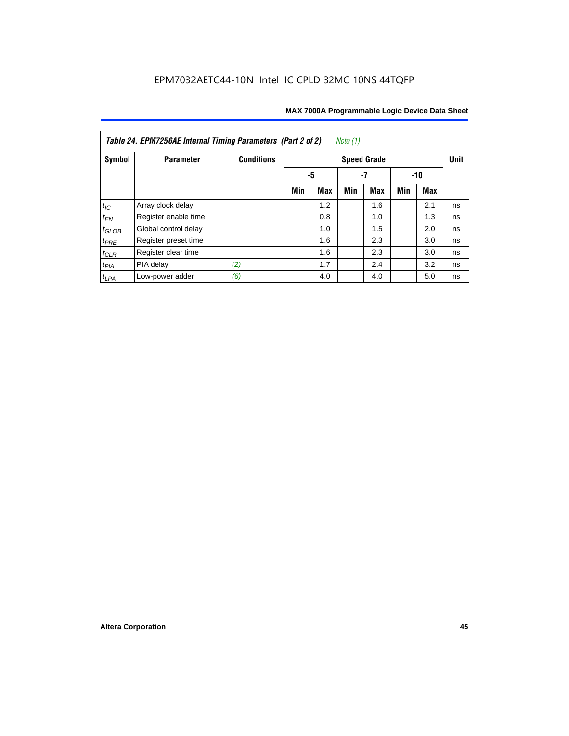| Table 24. EPM7256AE Internal Timing Parameters (Part 2 of 2)<br>Note (1) |                      |                   |     |     |     |                    |     |     |             |  |  |
|--------------------------------------------------------------------------|----------------------|-------------------|-----|-----|-----|--------------------|-----|-----|-------------|--|--|
| Symbol                                                                   | <b>Parameter</b>     | <b>Conditions</b> |     |     |     | <b>Speed Grade</b> |     |     | <b>Unit</b> |  |  |
|                                                                          |                      |                   |     | -5  |     | $-10$              |     |     |             |  |  |
|                                                                          |                      |                   | Min | Max | Min | Max                | Min | Max |             |  |  |
| $t_{\mathit{IC}}$                                                        | Array clock delay    |                   |     | 1.2 |     | 1.6                |     | 2.1 | ns          |  |  |
| $t_{EN}$                                                                 | Register enable time |                   |     | 0.8 |     | 1.0                |     | 1.3 | ns          |  |  |
| $t_{GLOB}$                                                               | Global control delay |                   |     | 1.0 |     | 1.5                |     | 2.0 | ns          |  |  |
| $t_{PRE}$                                                                | Register preset time |                   |     | 1.6 |     | 2.3                |     | 3.0 | ns          |  |  |
| $t_{CLR}$                                                                | Register clear time  |                   |     | 1.6 |     | 2.3                |     | 3.0 | ns          |  |  |
| $t_{PIA}$                                                                | PIA delay            | (2)               |     | 1.7 |     | 2.4                |     | 3.2 | ns          |  |  |
| $t_{LPA}$                                                                | Low-power adder      | (6)               |     | 4.0 |     | 4.0                |     | 5.0 | ns          |  |  |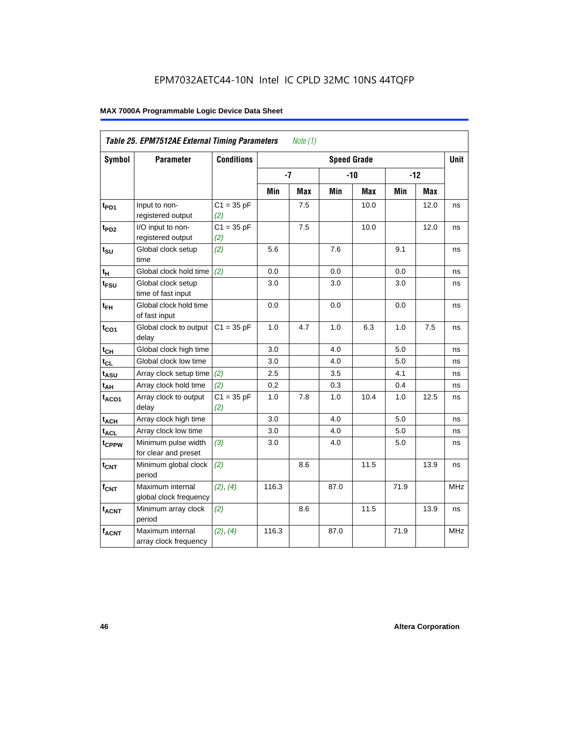|                   | Table 25. EPM7512AE External Timing Parameters |                     |       | Note $(1)$ |      |                    |      |       |             |
|-------------------|------------------------------------------------|---------------------|-------|------------|------|--------------------|------|-------|-------------|
| Symbol            | <b>Parameter</b>                               | <b>Conditions</b>   |       |            |      | <b>Speed Grade</b> |      |       | <b>Unit</b> |
|                   |                                                |                     | $-7$  |            |      | $-10$              |      | $-12$ |             |
|                   |                                                |                     | Min   | <b>Max</b> | Min  | <b>Max</b>         | Min  | Max   |             |
| t <sub>PD1</sub>  | Input to non-<br>registered output             | $C1 = 35 pF$<br>(2) |       | 7.5        |      | 10.0               |      | 12.0  | ns          |
| $t_{PD2}$         | I/O input to non-<br>registered output         | $C1 = 35 pF$<br>(2) |       | 7.5        |      | 10.0               |      | 12.0  | ns          |
| $t_{\text{SU}}$   | Global clock setup<br>time                     | (2)                 | 5.6   |            | 7.6  |                    | 9.1  |       | ns          |
| $t_H$             | Global clock hold time                         | (2)                 | 0.0   |            | 0.0  |                    | 0.0  |       | ns          |
| t <sub>FSU</sub>  | Global clock setup<br>time of fast input       |                     | 3.0   |            | 3.0  |                    | 3.0  |       | ns          |
| $t_{FH}$          | Global clock hold time<br>of fast input        |                     | 0.0   |            | 0.0  |                    | 0.0  |       | ns          |
| $t_{CO1}$         | Global clock to output<br>delay                | $C1 = 35 pF$        | 1.0   | 4.7        | 1.0  | 6.3                | 1.0  | 7.5   | ns          |
| $t_{CH}$          | Global clock high time                         |                     | 3.0   |            | 4.0  |                    | 5.0  |       | ns          |
| $t_{CL}$          | Global clock low time                          |                     | 3.0   |            | 4.0  |                    | 5.0  |       | ns          |
| $t_{ASU}$         | Array clock setup time                         | (2)                 | 2.5   |            | 3.5  |                    | 4.1  |       | ns          |
| $t_{AH}$          | Array clock hold time                          | (2)                 | 0.2   |            | 0.3  |                    | 0.4  |       | ns          |
| $t_{ACO1}$        | Array clock to output<br>delay                 | $C1 = 35 pF$<br>(2) | 1.0   | 7.8        | 1.0  | 10.4               | 1.0  | 12.5  | ns          |
| $t_{ACH}$         | Array clock high time                          |                     | 3.0   |            | 4.0  |                    | 5.0  |       | ns          |
| $t_{\text{ACL}}$  | Array clock low time                           |                     | 3.0   |            | 4.0  |                    | 5.0  |       | ns          |
| t <sub>CPPW</sub> | Minimum pulse width<br>for clear and preset    | (3)                 | 3.0   |            | 4.0  |                    | 5.0  |       | ns          |
| t <sub>CNT</sub>  | Minimum global clock<br>period                 | (2)                 |       | 8.6        |      | 11.5               |      | 13.9  | ns          |
| $f_{CNT}$         | Maximum internal<br>global clock frequency     | (2), (4)            | 116.3 |            | 87.0 |                    | 71.9 |       | MHz         |
| $t_{ACNT}$        | Minimum array clock<br>period                  | (2)                 |       | 8.6        |      | 11.5               |      | 13.9  | ns          |
| $f_{ACNT}$        | Maximum internal<br>array clock frequency      | (2), (4)            | 116.3 |            | 87.0 |                    | 71.9 |       | <b>MHz</b>  |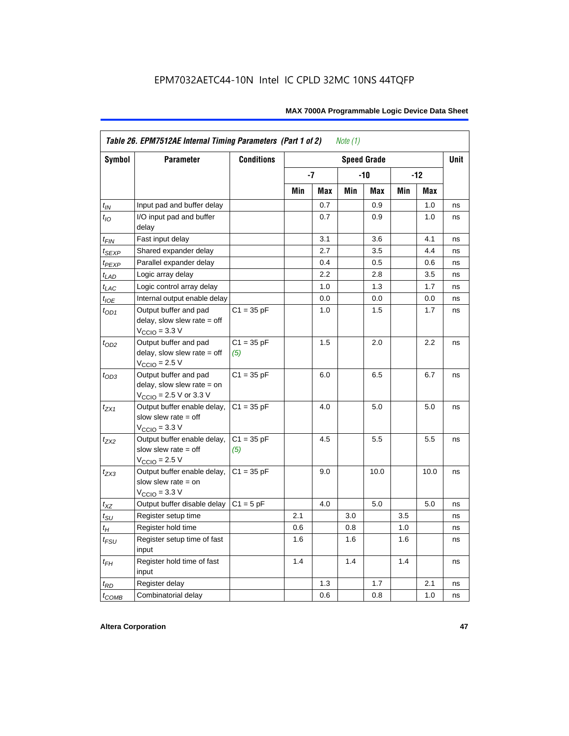|                    | Table 26. EPM7512AE Internal Timing Parameters (Part 1 of 2)                                                 |                     |     |            | Note $(1)$ |                    |     |       |             |
|--------------------|--------------------------------------------------------------------------------------------------------------|---------------------|-----|------------|------------|--------------------|-----|-------|-------------|
| <b>Symbol</b>      | <b>Parameter</b>                                                                                             | <b>Conditions</b>   |     |            |            | <b>Speed Grade</b> |     |       | <b>Unit</b> |
|                    |                                                                                                              |                     |     | -7         |            | -10                |     | $-12$ |             |
|                    |                                                                                                              |                     | Min | <b>Max</b> | Min        | Max                | Min | Max   |             |
| $t_{IN}$           | Input pad and buffer delay                                                                                   |                     |     | 0.7        |            | 0.9                |     | 1.0   | ns          |
| $t_{IO}$           | I/O input pad and buffer<br>delay                                                                            |                     |     | 0.7        |            | 0.9                |     | 1.0   | ns          |
| $t_{\sf FIN}$      | Fast input delay                                                                                             |                     |     | 3.1        |            | 3.6                |     | 4.1   | ns          |
| $t_{SEXP}$         | Shared expander delay                                                                                        |                     |     | 2.7        |            | 3.5                |     | 4.4   | ns          |
| t <sub>PEXP</sub>  | Parallel expander delay                                                                                      |                     |     | 0.4        |            | 0.5                |     | 0.6   | ns          |
| $t_{LAD}$          | Logic array delay                                                                                            |                     |     | 2.2        |            | 2.8                |     | 3.5   | ns          |
| $t_{LAC}$          | Logic control array delay                                                                                    |                     |     | 1.0        |            | 1.3                |     | 1.7   | ns          |
| $t_{IOE}$          | Internal output enable delay                                                                                 |                     |     | 0.0        |            | 0.0                |     | 0.0   | ns          |
| $t_{OD1}$          | Output buffer and pad<br>delay, slow slew rate $=$ off<br>$V_{\text{CCIO}} = 3.3 \text{ V}$                  | $C1 = 35 pF$        |     | 1.0        |            | 1.5                |     | 1.7   | ns          |
| $t_{OD2}$          | Output buffer and pad<br>delay, slow slew rate $=$ off<br>$V_{\text{CCIO}}$ = 2.5 V                          | $C1 = 35 pF$<br>(5) |     | 1.5        |            | 2.0                |     | 2.2   | ns          |
| $t_{OD3}$          | Output buffer and pad<br>delay, slow slew rate $=$ on<br>$V_{\text{CCIO}} = 2.5 \text{ V or } 3.3 \text{ V}$ | $C1 = 35 pF$        |     | 6.0        |            | 6.5                |     | 6.7   | ns          |
| $t_{ZX1}$          | Output buffer enable delay,<br>slow slew rate $=$ off<br>$V_{\text{CCIO}} = 3.3 \text{ V}$                   | $C1 = 35 pF$        |     | 4.0        |            | 5.0                |     | 5.0   | ns          |
| $t_{ZX2}$          | Output buffer enable delay,<br>slow slew rate $=$ off<br>$V_{\text{CCIO}}$ = 2.5 V                           | $C1 = 35 pF$<br>(5) |     | 4.5        |            | 5.5                |     | 5.5   | ns          |
| $t_{ZX3}$          | Output buffer enable delay,<br>slow slew rate $=$ on<br>$V_{\text{CCIO}} = 3.3 \text{ V}$                    | $C1 = 35 pF$        |     | 9.0        |            | 10.0               |     | 10.0  | ns          |
| $t_{\mathsf{XZ}}$  | Output buffer disable delay                                                                                  | $C1 = 5pF$          |     | 4.0        |            | 5.0                |     | 5.0   | ns          |
| $t_{\text{SU}}$    | Register setup time                                                                                          |                     | 2.1 |            | 3.0        |                    | 3.5 |       | ns          |
| $t_H$              | Register hold time                                                                                           |                     | 0.6 |            | 0.8        |                    | 1.0 |       | ns          |
| $t_{\mathit{FSU}}$ | Register setup time of fast<br>input                                                                         |                     | 1.6 |            | 1.6        |                    | 1.6 |       | ns          |
| $t_{FH}$           | Register hold time of fast<br>input                                                                          |                     | 1.4 |            | 1.4        |                    | 1.4 |       | ns          |
| $t_{RD}$           | Register delay                                                                                               |                     |     | 1.3        |            | 1.7                |     | 2.1   | ns          |
| $t_{COMB}$         | Combinatorial delay                                                                                          |                     |     | 0.6        |            | 0.8                |     | 1.0   | ns          |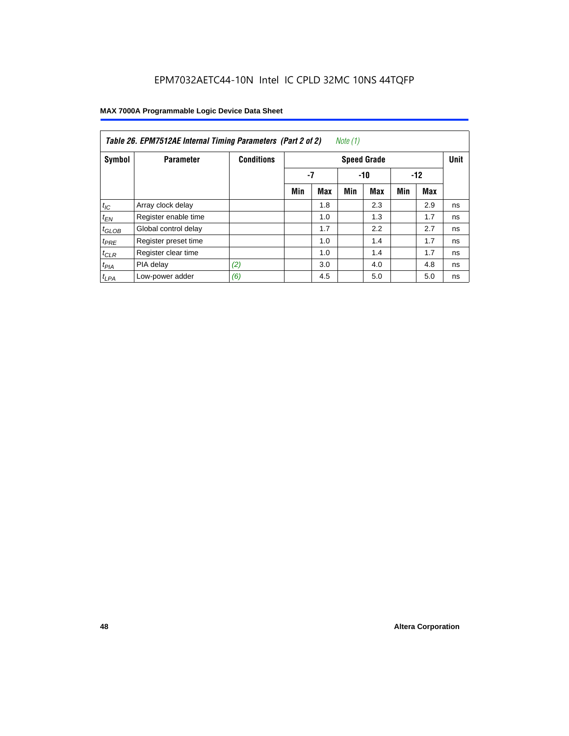| Table 26. EPM7512AE Internal Timing Parameters (Part 2 of 2)<br>Note (1) |                      |                   |     |             |     |                    |     |       |             |  |  |
|--------------------------------------------------------------------------|----------------------|-------------------|-----|-------------|-----|--------------------|-----|-------|-------------|--|--|
| Symbol                                                                   | <b>Parameter</b>     | <b>Conditions</b> |     |             |     | <b>Speed Grade</b> |     |       | <b>Unit</b> |  |  |
|                                                                          |                      |                   |     | -7<br>$-10$ |     |                    |     | $-12$ |             |  |  |
|                                                                          |                      |                   | Min | Max         | Min | <b>Max</b>         | Min | Max   |             |  |  |
| $t_{IC}$                                                                 | Array clock delay    |                   |     | 1.8         |     | 2.3                |     | 2.9   | ns          |  |  |
| $t_{EN}$                                                                 | Register enable time |                   |     | 1.0         |     | 1.3                |     | 1.7   | ns          |  |  |
| $t_{GLOB}$                                                               | Global control delay |                   |     | 1.7         |     | 2.2                |     | 2.7   | ns          |  |  |
| $t_{PRE}$                                                                | Register preset time |                   |     | 1.0         |     | 1.4                |     | 1.7   | ns          |  |  |
| $t_{CLR}$                                                                | Register clear time  |                   |     | 1.0         |     | 1.4                |     | 1.7   | ns          |  |  |
| t <sub>PIA</sub>                                                         | PIA delay            | (2)               |     | 3.0         |     | 4.0                |     | 4.8   | ns          |  |  |
| $t_{LPA}$                                                                | Low-power adder      | (6)               |     | 4.5         |     | 5.0                |     | 5.0   | ns          |  |  |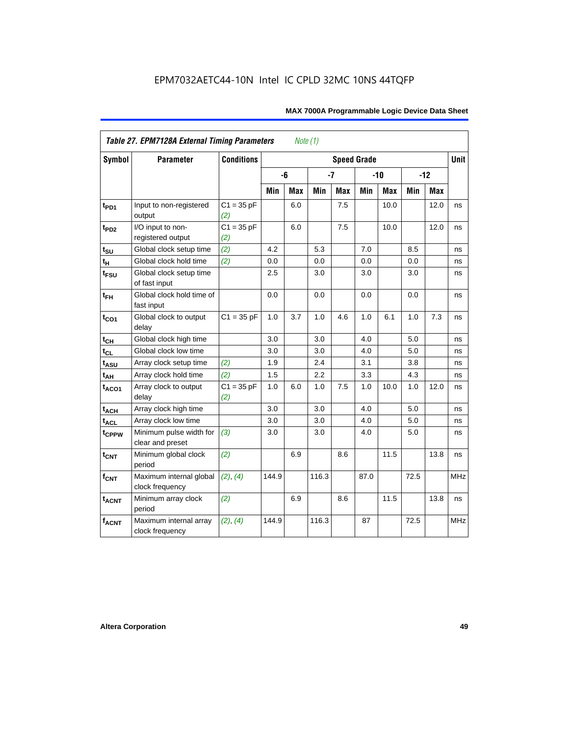|                         | <b>Table 27. EPM7128A External Timing Parameters</b> |                     |         | Note (1)   |       |            |                    |            |      |       |             |
|-------------------------|------------------------------------------------------|---------------------|---------|------------|-------|------------|--------------------|------------|------|-------|-------------|
| <b>Symbol</b>           | <b>Parameter</b>                                     | <b>Conditions</b>   |         |            |       |            | <b>Speed Grade</b> |            |      |       | <b>Unit</b> |
|                         |                                                      |                     |         | -6         | $-7$  |            |                    | $-10$      |      | $-12$ |             |
|                         |                                                      |                     | Min     | <b>Max</b> | Min   | <b>Max</b> | Min                | <b>Max</b> | Min  | Max   |             |
| t <sub>PD1</sub>        | Input to non-registered<br>output                    | $C1 = 35 pF$<br>(2) |         | 6.0        |       | 7.5        |                    | 10.0       |      | 12.0  | ns          |
| t <sub>PD2</sub>        | I/O input to non-<br>registered output               | $C1 = 35 pF$<br>(2) |         | 6.0        |       | 7.5        |                    | 10.0       |      | 12.0  | ns          |
| $t_{\text{SU}}$         | Global clock setup time                              | (2)                 | 4.2     |            | 5.3   |            | 7.0                |            | 8.5  |       | ns          |
| $t_H$                   | Global clock hold time                               | (2)                 | 0.0     |            | 0.0   |            | 0.0                |            | 0.0  |       | ns          |
| t <sub>FSU</sub>        | Global clock setup time<br>of fast input             |                     | $2.5\,$ |            | 3.0   |            | 3.0                |            | 3.0  |       | ns          |
| $t_{FH}$                | Global clock hold time of<br>fast input              |                     | 0.0     |            | 0.0   |            | 0.0                |            | 0.0  |       | ns          |
| $t_{CO1}$               | Global clock to output<br>delay                      | $C1 = 35 pF$        | 1.0     | 3.7        | 1.0   | 4.6        | 1.0                | 6.1        | 1.0  | 7.3   | ns          |
| $t_{CH}$                | Global clock high time                               |                     | 3.0     |            | 3.0   |            | 4.0                |            | 5.0  |       | ns          |
| $t_{CL}$                | Global clock low time                                |                     | 3.0     |            | 3.0   |            | 4.0                |            | 5.0  |       | ns          |
| t <sub>ASU</sub>        | Array clock setup time                               | (2)                 | 1.9     |            | 2.4   |            | 3.1                |            | 3.8  |       | ns          |
| $t_{\underline{AH}}$    | Array clock hold time                                | (2)                 | 1.5     |            | 2.2   |            | 3.3                |            | 4.3  |       | ns          |
| t <sub>ACO1</sub>       | Array clock to output<br>delay                       | $C1 = 35 pF$<br>(2) | 1.0     | 6.0        | 1.0   | 7.5        | 1.0                | 10.0       | 1.0  | 12.0  | ns          |
| $t_{ACH}$               | Array clock high time                                |                     | 3.0     |            | 3.0   |            | 4.0                |            | 5.0  |       | ns          |
| t <sub>ACL</sub>        | Array clock low time                                 |                     | 3.0     |            | 3.0   |            | 4.0                |            | 5.0  |       | ns          |
| t <sub>CPPW</sub>       | Minimum pulse width for<br>clear and preset          | (3)                 | 3.0     |            | 3.0   |            | 4.0                |            | 5.0  |       | ns          |
| $t_{\text{CNT}}$        | Minimum global clock<br>period                       | (2)                 |         | 6.9        |       | 8.6        |                    | 11.5       |      | 13.8  | ns          |
| $f_{\text{CNT}}$        | Maximum internal global<br>clock frequency           | (2), (4)            | 144.9   |            | 116.3 |            | 87.0               |            | 72.5 |       | MHz         |
| <b>t<sub>ACNT</sub></b> | Minimum array clock<br>period                        | (2)                 |         | 6.9        |       | 8.6        |                    | 11.5       |      | 13.8  | ns          |
| <b>fACNT</b>            | Maximum internal array<br>clock frequency            | (2), (4)            | 144.9   |            | 116.3 |            | 87                 |            | 72.5 |       | <b>MHz</b>  |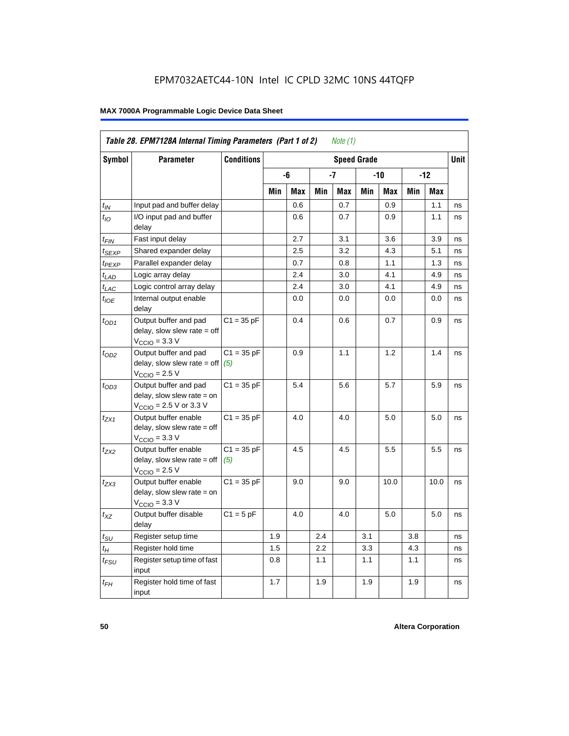|                             | Table 28. EPM7128A Internal Timing Parameters (Part 1 of 2)                                                |                     |     |     |     | Note (1) |                    |      |     |            |             |
|-----------------------------|------------------------------------------------------------------------------------------------------------|---------------------|-----|-----|-----|----------|--------------------|------|-----|------------|-------------|
| <b>Symbol</b>               | <b>Parameter</b>                                                                                           | <b>Conditions</b>   |     |     |     |          | <b>Speed Grade</b> |      |     |            | <b>Unit</b> |
|                             |                                                                                                            |                     |     | -6  |     | -7       |                    | -10  |     | $-12$      |             |
|                             |                                                                                                            |                     | Min | Max | Min | Max      | Min                | Max  | Min | <b>Max</b> |             |
| $t_{IN}$                    | Input pad and buffer delay                                                                                 |                     |     | 0.6 |     | 0.7      |                    | 0.9  |     | 1.1        | ns          |
| $t_{IO}$                    | I/O input pad and buffer<br>delay                                                                          |                     |     | 0.6 |     | 0.7      |                    | 0.9  |     | 1.1        | ns          |
| t <sub>FIN</sub>            | Fast input delay                                                                                           |                     |     | 2.7 |     | 3.1      |                    | 3.6  |     | 3.9        | ns          |
| t <sub>SEXP</sub>           | Shared expander delay                                                                                      |                     |     | 2.5 |     | 3.2      |                    | 4.3  |     | 5.1        | ns          |
| t <sub>PEXP</sub>           | Parallel expander delay                                                                                    |                     |     | 0.7 |     | 0.8      |                    | 1.1  |     | 1.3        | ns          |
| $t_{LAD}$                   | Logic array delay                                                                                          |                     |     | 2.4 |     | 3.0      |                    | 4.1  |     | 4.9        | ns          |
| $t_{LAC}$                   | Logic control array delay                                                                                  |                     |     | 2.4 |     | 3.0      |                    | 4.1  |     | 4.9        | ns          |
| $t_{\text{IOE}}$            | Internal output enable<br>delay                                                                            |                     |     | 0.0 |     | 0.0      |                    | 0.0  |     | 0.0        | ns          |
| $t_{OD1}$                   | Output buffer and pad<br>delay, slow slew rate = off<br>$VCCIO = 3.3 V$                                    | $C1 = 35 pF$        |     | 0.4 |     | 0.6      |                    | 0.7  |     | 0.9        | ns          |
| $t_{OD2}$                   | Output buffer and pad<br>delay, slow slew rate $=$ off<br>$VCCIO = 2.5 V$                                  | $C1 = 35 pF$<br>(5) |     | 0.9 |     | 1.1      |                    | 1.2  |     | 1.4        | ns          |
| $t_{OD3}$                   | Output buffer and pad<br>delay, slow slew rate = on<br>$V_{\text{CCIO}} = 2.5 \text{ V or } 3.3 \text{ V}$ | $C1 = 35 pF$        |     | 5.4 |     | 5.6      |                    | 5.7  |     | 5.9        | ns          |
| t <sub>ZX1</sub>            | Output buffer enable<br>$delay$ , slow slew rate = off<br>$VCCIO = 3.3 V$                                  | $C1 = 35 pF$        |     | 4.0 |     | 4.0      |                    | 5.0  |     | 5.0        | ns          |
| $t_{ZX2}$                   | Output buffer enable<br>$delay$ , slow slew rate = off<br>$VCCIO = 2.5 V$                                  | $C1 = 35 pF$<br>(5) |     | 4.5 |     | 4.5      |                    | 5.5  |     | 5.5        | ns          |
| t <sub>ZX3</sub>            | Output buffer enable<br>delay, slow slew rate = on<br>$VCCIO = 3.3 V$                                      | $C1 = 35 pF$        |     | 9.0 |     | 9.0      |                    | 10.0 |     | 10.0       | ns          |
| $t_{XZ}$                    | Output buffer disable<br>delay                                                                             | $C1 = 5$ pF         |     | 4.0 |     | 4.0      |                    | 5.0  |     | 5.0        | ns          |
| $t_{\scriptstyle\text{SU}}$ | Register setup time                                                                                        |                     | 1.9 |     | 2.4 |          | 3.1                |      | 3.8 |            | ns          |
| $t_{\mathcal{H}}$           | Register hold time                                                                                         |                     | 1.5 |     | 2.2 |          | 3.3                |      | 4.3 |            | ns          |
| $t_{\mathsf{FSU}}$          | Register setup time of fast<br>input                                                                       |                     | 0.8 |     | 1.1 |          | 1.1                |      | 1.1 |            | ns          |
| $t_{FH}$                    | Register hold time of fast<br>input                                                                        |                     | 1.7 |     | 1.9 |          | 1.9                |      | 1.9 |            | ns          |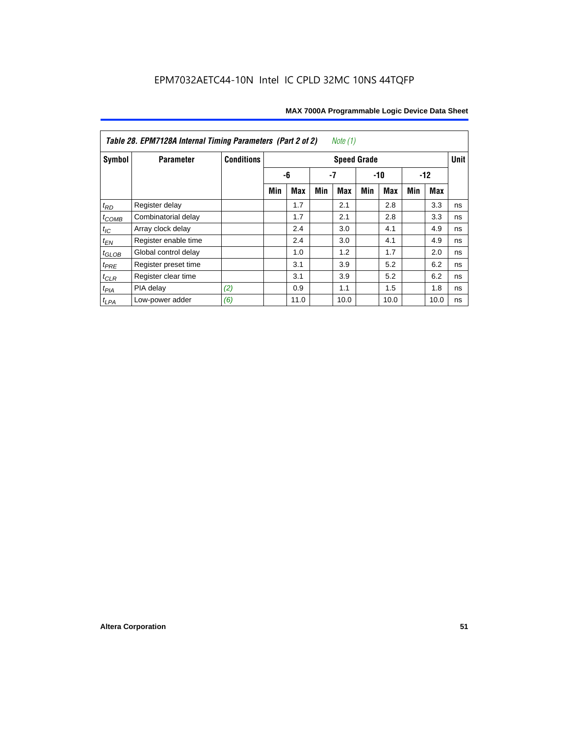| Table 28. EPM7128A Internal Timing Parameters (Part 2 of 2)<br>Note $(1)$ |                      |                   |                    |            |     |            |     |            |     |      |    |
|---------------------------------------------------------------------------|----------------------|-------------------|--------------------|------------|-----|------------|-----|------------|-----|------|----|
| Symbol                                                                    | <b>Parameter</b>     | <b>Conditions</b> | <b>Speed Grade</b> |            |     |            |     |            |     |      |    |
|                                                                           |                      |                   |                    | -6<br>-7   |     | $-10$      |     | $-12$      |     |      |    |
|                                                                           |                      |                   | Min                | <b>Max</b> | Min | <b>Max</b> | Min | <b>Max</b> | Min | Max  |    |
| $t_{RD}$                                                                  | Register delay       |                   |                    | 1.7        |     | 2.1        |     | 2.8        |     | 3.3  | ns |
| $t_{COMB}$                                                                | Combinatorial delay  |                   |                    | 1.7        |     | 2.1        |     | 2.8        |     | 3.3  | ns |
| $t_{IC}$                                                                  | Array clock delay    |                   |                    | 2.4        |     | 3.0        |     | 4.1        |     | 4.9  | ns |
| $t_{EN}$                                                                  | Register enable time |                   |                    | 2.4        |     | 3.0        |     | 4.1        |     | 4.9  | ns |
| $t_{GLOB}$                                                                | Global control delay |                   |                    | 1.0        |     | 1.2        |     | 1.7        |     | 2.0  | ns |
| $t_{PRE}$                                                                 | Register preset time |                   |                    | 3.1        |     | 3.9        |     | 5.2        |     | 6.2  | ns |
| $t_{\text{CLR}}$                                                          | Register clear time  |                   |                    | 3.1        |     | 3.9        |     | 5.2        |     | 6.2  | ns |
| $t_{PIA}$                                                                 | PIA delay            | (2)               |                    | 0.9        |     | 1.1        |     | 1.5        |     | 1.8  | ns |
| $t_{LPA}$                                                                 | Low-power adder      | (6)               |                    | 11.0       |     | 10.0       |     | 10.0       |     | 10.0 | ns |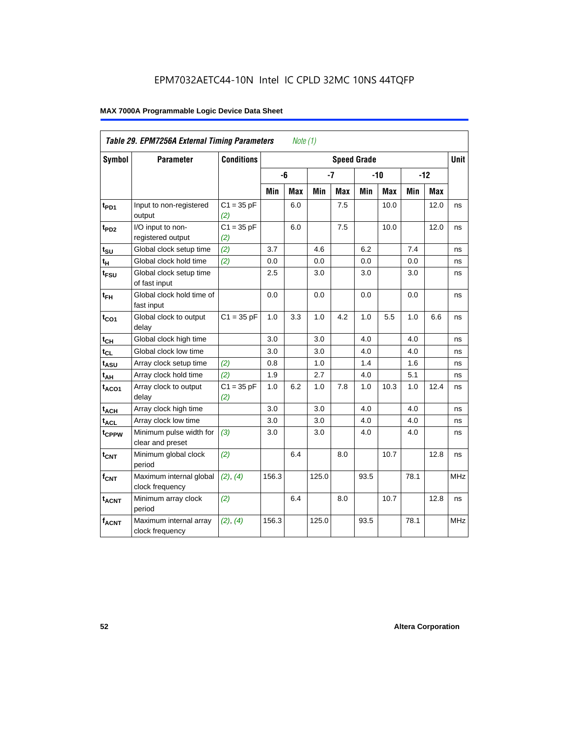| Table 29. EPM7256A External Timing Parameters<br>Note $(1)$ |                                             |                     |       |                                   |       |     |       |            |       |            |            |
|-------------------------------------------------------------|---------------------------------------------|---------------------|-------|-----------------------------------|-------|-----|-------|------------|-------|------------|------------|
| Symbol                                                      | <b>Parameter</b>                            | <b>Conditions</b>   |       | <b>Unit</b><br><b>Speed Grade</b> |       |     |       |            |       |            |            |
|                                                             |                                             |                     |       | -6                                | $-7$  |     | $-10$ |            | $-12$ |            |            |
|                                                             |                                             |                     | Min   | Max                               | Min   | Max | Min   | <b>Max</b> | Min   | <b>Max</b> |            |
| t <sub>PD1</sub>                                            | Input to non-registered<br>output           | $C1 = 35 pF$<br>(2) |       | 6.0                               |       | 7.5 |       | 10.0       |       | 12.0       | ns         |
| t <sub>PD2</sub>                                            | I/O input to non-<br>registered output      | $C1 = 35 pF$<br>(2) |       | 6.0                               |       | 7.5 |       | 10.0       |       | 12.0       | ns         |
| $t_{\text{SU}}$                                             | Global clock setup time                     | (2)                 | 3.7   |                                   | 4.6   |     | 6.2   |            | 7.4   |            | ns         |
| $t_H$                                                       | Global clock hold time                      | (2)                 | 0.0   |                                   | 0.0   |     | 0.0   |            | 0.0   |            | ns         |
| t <sub>FSU</sub>                                            | Global clock setup time<br>of fast input    |                     | 2.5   |                                   | 3.0   |     | 3.0   |            | 3.0   |            | ns         |
| $t_{FH}$                                                    | Global clock hold time of<br>fast input     |                     | 0.0   |                                   | 0.0   |     | 0.0   |            | 0.0   |            | ns         |
| $t_{CO1}$                                                   | Global clock to output<br>delay             | $C1 = 35 pF$        | 1.0   | 3.3                               | 1.0   | 4.2 | 1.0   | 5.5        | 1.0   | 6.6        | ns         |
| $t_{CH}$                                                    | Global clock high time                      |                     | 3.0   |                                   | 3.0   |     | 4.0   |            | 4.0   |            | ns         |
| $t_{CL}$                                                    | Global clock low time                       |                     | 3.0   |                                   | 3.0   |     | 4.0   |            | 4.0   |            | ns         |
| t <sub>ASU</sub>                                            | Array clock setup time                      | (2)                 | 0.8   |                                   | 1.0   |     | 1.4   |            | 1.6   |            | ns         |
| $t_{AH}$                                                    | Array clock hold time                       | (2)                 | 1.9   |                                   | 2.7   |     | 4.0   |            | 5.1   |            | ns         |
| t <sub>ACO1</sub>                                           | Array clock to output<br>delay              | $C1 = 35$ pF<br>(2) | 1.0   | 6.2                               | 1.0   | 7.8 | 1.0   | 10.3       | 1.0   | 12.4       | ns         |
| $t_{ACH}$                                                   | Array clock high time                       |                     | 3.0   |                                   | 3.0   |     | 4.0   |            | 4.0   |            | ns         |
| t <sub>ACL</sub>                                            | Array clock low time                        |                     | 3.0   |                                   | 3.0   |     | 4.0   |            | 4.0   |            | ns         |
| tcPPW                                                       | Minimum pulse width for<br>clear and preset | (3)                 | 3.0   |                                   | 3.0   |     | 4.0   |            | 4.0   |            | ns         |
| $t_{CNT}$                                                   | Minimum global clock<br>period              | (2)                 |       | 6.4                               |       | 8.0 |       | 10.7       |       | 12.8       | ns         |
| $f_{CNT}$                                                   | Maximum internal global<br>clock frequency  | (2), (4)            | 156.3 |                                   | 125.0 |     | 93.5  |            | 78.1  |            | <b>MHz</b> |
| t <sub>ACNT</sub>                                           | Minimum array clock<br>period               | (2)                 |       | 6.4                               |       | 8.0 |       | 10.7       |       | 12.8       | ns         |
| <b>fACNT</b>                                                | Maximum internal array<br>clock frequency   | (2), (4)            | 156.3 |                                   | 125.0 |     | 93.5  |            | 78.1  |            | <b>MHz</b> |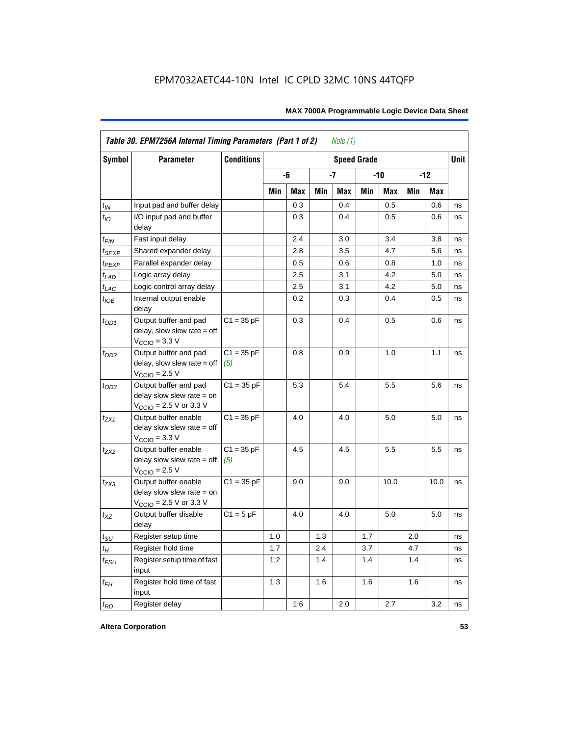| <b>Symbol</b>               | <b>Parameter</b>                                                                             | <b>Conditions</b><br><b>Speed Grade</b> |     |     |     |     |       |      |       |            | <b>Unit</b> |
|-----------------------------|----------------------------------------------------------------------------------------------|-----------------------------------------|-----|-----|-----|-----|-------|------|-------|------------|-------------|
|                             |                                                                                              |                                         |     | -6  |     | -7  | $-10$ |      | $-12$ |            |             |
|                             |                                                                                              |                                         | Min | Max | Min | Max | Min   | Max  | Min   | <b>Max</b> |             |
| $t_{IN}$                    | Input pad and buffer delay                                                                   |                                         |     | 0.3 |     | 0.4 |       | 0.5  |       | 0.6        | ns          |
| $t_{IO}$                    | I/O input pad and buffer<br>delay                                                            |                                         |     | 0.3 |     | 0.4 |       | 0.5  |       | 0.6        | ns          |
| t <sub>FIN</sub>            | Fast input delay                                                                             |                                         |     | 2.4 |     | 3.0 |       | 3.4  |       | 3.8        | ns          |
| t <sub>SEXP</sub>           | Shared expander delay                                                                        |                                         |     | 2.8 |     | 3.5 |       | 4.7  |       | 5.6        | ns          |
| t <sub>PEXP</sub>           | Parallel expander delay                                                                      |                                         |     | 0.5 |     | 0.6 |       | 0.8  |       | 1.0        | ns          |
| $t_{LAD}$                   | Logic array delay                                                                            |                                         |     | 2.5 |     | 3.1 |       | 4.2  |       | 5.0        | ns          |
| $t_{LAC}$                   | Logic control array delay                                                                    |                                         |     | 2.5 |     | 3.1 |       | 4.2  |       | 5.0        | ns          |
| $t_{IOE}$                   | Internal output enable<br>delay                                                              |                                         |     | 0.2 |     | 0.3 |       | 0.4  |       | 0.5        | ns          |
| $t_{OD1}$                   | Output buffer and pad<br>$delay$ , slow slew rate = off<br>$V_{\text{CCIO}} = 3.3 \text{ V}$ | $C1 = 35 pF$                            |     | 0.3 |     | 0.4 |       | 0.5  |       | 0.6        | ns          |
| $t_{OD2}$                   | Output buffer and pad<br>$delay$ , slow slew rate = off<br>$V_{\text{CCIO}} = 2.5 V$         | $C1 = 35 pF$<br>(5)                     |     | 0.8 |     | 0.9 |       | 1.0  |       | 1.1        | ns          |
| $t_{OD3}$                   | Output buffer and pad<br>delay slow slew rate $=$ on<br>$V_{\text{CCIO}}$ = 2.5 V or 3.3 V   | $C1 = 35 pF$                            |     | 5.3 |     | 5.4 |       | 5.5  |       | 5.6        | ns          |
| $t_{ZX1}$                   | Output buffer enable<br>delay slow slew rate $=$ off<br>$VCCIO = 3.3 V$                      | $C1 = 35 pF$                            |     | 4.0 |     | 4.0 |       | 5.0  |       | 5.0        | ns          |
| $t_{ZX2}$                   | Output buffer enable<br>delay slow slew rate $=$ off<br>$VCCIO = 2.5 V$                      | $C1 = 35 pF$<br>(5)                     |     | 4.5 |     | 4.5 |       | 5.5  |       | 5.5        | ns          |
| $t_{ZX3}$                   | Output buffer enable<br>delay slow slew rate $=$ on<br>$V_{\text{CCIO}}$ = 2.5 V or 3.3 V    | $C1 = 35 pF$                            |     | 9.0 |     | 9.0 |       | 10.0 |       | 10.0       | ns          |
| $t_{XZ}$                    | Output buffer disable<br>delay                                                               | $C1 = 5pF$                              |     | 4.0 |     | 4.0 |       | 5.0  |       | 5.0        | ns          |
| $t_{\scriptstyle\text{SU}}$ | Register setup time                                                                          |                                         | 1.0 |     | 1.3 |     | 1.7   |      | 2.0   |            | ns          |
| $t_{H}$                     | Register hold time                                                                           |                                         | 1.7 |     | 2.4 |     | 3.7   |      | 4.7   |            | ns          |
| $t_{FSU}$                   | Register setup time of fast<br>input                                                         |                                         | 1.2 |     | 1.4 |     | 1.4   |      | 1.4   |            | ns          |
| $t_{FH}$                    | Register hold time of fast<br>input                                                          |                                         | 1.3 |     | 1.6 |     | 1.6   |      | 1.6   |            | ns          |
| $t_{RD}$                    | Register delay                                                                               |                                         |     | 1.6 |     | 2.0 |       | 2.7  |       | 3.2        | ns          |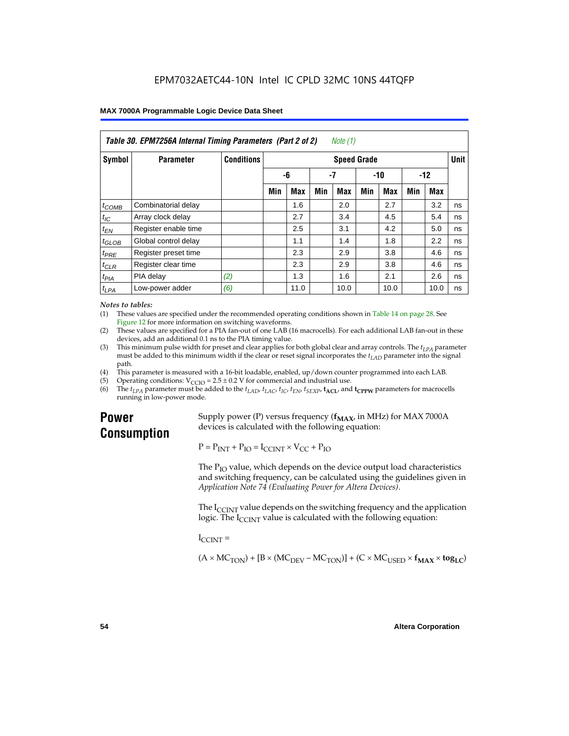| Table 30. EPM7256A Internal Timing Parameters (Part 2 of 2)<br>Note (1) |                      |                   |                    |            |     |      |       |            |       |      |    |
|-------------------------------------------------------------------------|----------------------|-------------------|--------------------|------------|-----|------|-------|------------|-------|------|----|
| <b>Symbol</b>                                                           | <b>Parameter</b>     | <b>Conditions</b> | <b>Speed Grade</b> |            |     |      |       |            |       |      |    |
|                                                                         |                      |                   | -6                 |            | -7  |      | $-10$ |            | $-12$ |      |    |
|                                                                         |                      |                   | Min                | <b>Max</b> | Min | Max  | Min   | <b>Max</b> | Min   | Max  |    |
| $t_{COMB}$                                                              | Combinatorial delay  |                   |                    | 1.6        |     | 2.0  |       | 2.7        |       | 3.2  | ns |
| $t_{IC}$                                                                | Array clock delay    |                   |                    | 2.7        |     | 3.4  |       | 4.5        |       | 5.4  | ns |
| $t_{EN}$                                                                | Register enable time |                   |                    | 2.5        |     | 3.1  |       | 4.2        |       | 5.0  | ns |
| $t_{\text{GLOB}}$                                                       | Global control delay |                   |                    | 1.1        |     | 1.4  |       | 1.8        |       | 2.2  | ns |
| $t_{PRE}$                                                               | Register preset time |                   |                    | 2.3        |     | 2.9  |       | 3.8        |       | 4.6  | ns |
| $t_{CLR}$                                                               | Register clear time  |                   |                    | 2.3        |     | 2.9  |       | 3.8        |       | 4.6  | ns |
| t <sub>PIA</sub>                                                        | PIA delay            | (2)               |                    | 1.3        |     | 1.6  |       | 2.1        |       | 2.6  | ns |
| $t_{LPA}$                                                               | Low-power adder      | (6)               |                    | 11.0       |     | 10.0 |       | 10.0       |       | 10.0 | ns |

#### *Notes to tables:*

(1) These values are specified under the recommended operating conditions shown in Table 14 on page 28. See Figure 12 for more information on switching waveforms.

- (2) These values are specified for a PIA fan-out of one LAB (16 macrocells). For each additional LAB fan-out in these devices, add an additional 0.1 ns to the PIA timing value.
- (3) This minimum pulse width for preset and clear applies for both global clear and array controls. The  $t_{LPA}$  parameter must be added to this minimum width if the clear or reset signal incorporates the  $t_{LAD}$  parameter into the signal path.
- (4) This parameter is measured with a 16-bit loadable, enabled, up/down counter programmed into each LAB.
- (5) Operating conditions:  $V_{\text{CCIO}} = 2.5 \pm 0.2 \text{ V}$  for commercial and industrial use.<br>(6) The  $t_{I/A}$  parameter must be added to the  $t_{I AD}$ ,  $t_{I AC}$ ,  $t_{I C}$ ,  $t_{F N}$ ,  $t_{S F Y P}$ ,  $t_{A C I}$ , and
- The  $t_{LPA}$  parameter must be added to the  $t_{LAD}$ ,  $t_{LAC}$ ,  $t_{IC}$ ,  $t_{EN}$ ,  $t_{SEXP}$ ,  $t_{ACL}$  and  $t_{CPPW}$  parameters for macrocells running in low-power mode.

## **Power Consumption**

Supply power (P) versus frequency  $(f_{MAX}$ , in MHz) for MAX 7000A devices is calculated with the following equation:

 $P = P_{INT} + P_{IO} = I_{CCINT} \times V_{CC} + P_{IO}$ 

The  $P_{IO}$  value, which depends on the device output load characteristics and switching frequency, can be calculated using the guidelines given in *Application Note 74 (Evaluating Power for Altera Devices)*.

The  $I_{\text{CUNT}}$  value depends on the switching frequency and the application logic. The  $I_{\text{CCINT}}$  value is calculated with the following equation:

 $I_{\text{CCMT}} =$ 

 $(A \times MC_{TON}) + [B \times (MC_{DEV} - MC_{TON})] + (C \times MC_{LISED} \times f_{MAX} \times tog_{LC})$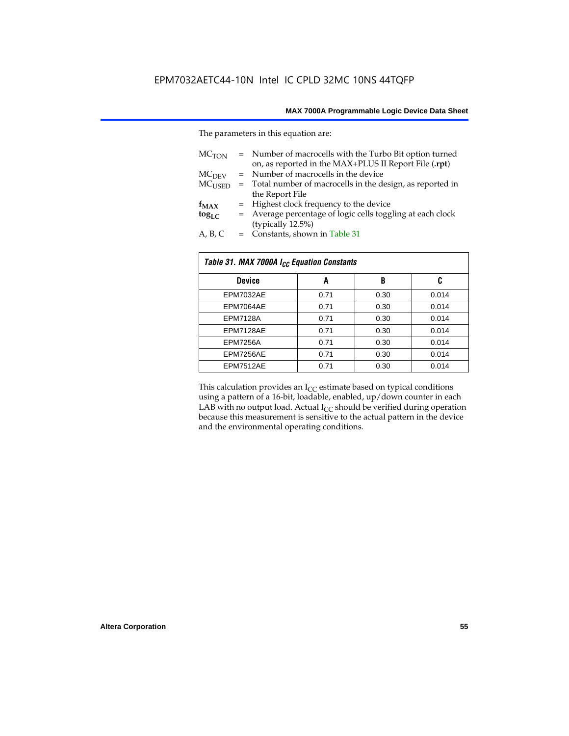The parameters in this equation are:

| MC <sub>TON</sub> | = Number of macrocells with the Turbo Bit option turned<br>on, as reported in the MAX+PLUS II Report File (.rpt) |
|-------------------|------------------------------------------------------------------------------------------------------------------|
| MC <sub>DFV</sub> | = Number of macrocells in the device                                                                             |
| $MC_{LISED}$      | = Total number of macrocells in the design, as reported in                                                       |
|                   | the Report File                                                                                                  |
| $f_{MAX}$         | = Highest clock frequency to the device                                                                          |
| $tog_{LC}$        | = Average percentage of logic cells toggling at each clock                                                       |
|                   | (typically 12.5%)                                                                                                |
| A, B, C           | = Constants, shown in Table 31                                                                                   |

| Table 31. MAX 7000A I <sub>CC</sub> Equation Constants |      |      |       |  |  |  |
|--------------------------------------------------------|------|------|-------|--|--|--|
| <b>Device</b>                                          | A    | B    | C     |  |  |  |
| EPM7032AE                                              | 0.71 | 0.30 | 0.014 |  |  |  |
| EPM7064AE                                              | 0.71 | 0.30 | 0.014 |  |  |  |
| <b>EPM7128A</b>                                        | 0.71 | 0.30 | 0.014 |  |  |  |
| EPM7128AE                                              | 0.71 | 0.30 | 0.014 |  |  |  |
| <b>EPM7256A</b>                                        | 0.71 | 0.30 | 0.014 |  |  |  |
| EPM7256AE                                              | 0.71 | 0.30 | 0.014 |  |  |  |
| EPM7512AE                                              | 0.71 | 0.30 | 0.014 |  |  |  |

This calculation provides an  $I_{CC}$  estimate based on typical conditions using a pattern of a 16-bit, loadable, enabled, up/down counter in each LAB with no output load. Actual  $I_{CC}$  should be verified during operation because this measurement is sensitive to the actual pattern in the device and the environmental operating conditions.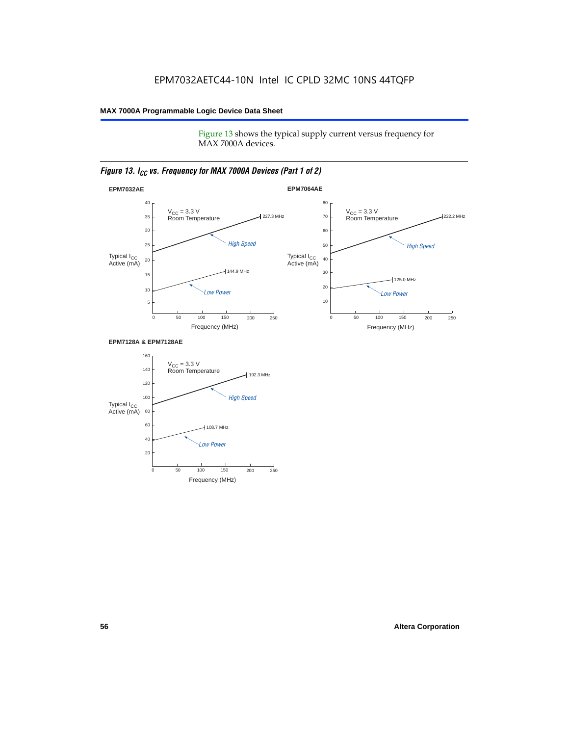Figure 13 shows the typical supply current versus frequency for MAX 7000A devices.

#### *Figure 13. I<sub>CC</sub> vs. Frequency for MAX 7000A Devices (Part 1 of 2)*



#### **EPM7128A & EPM7128AE**

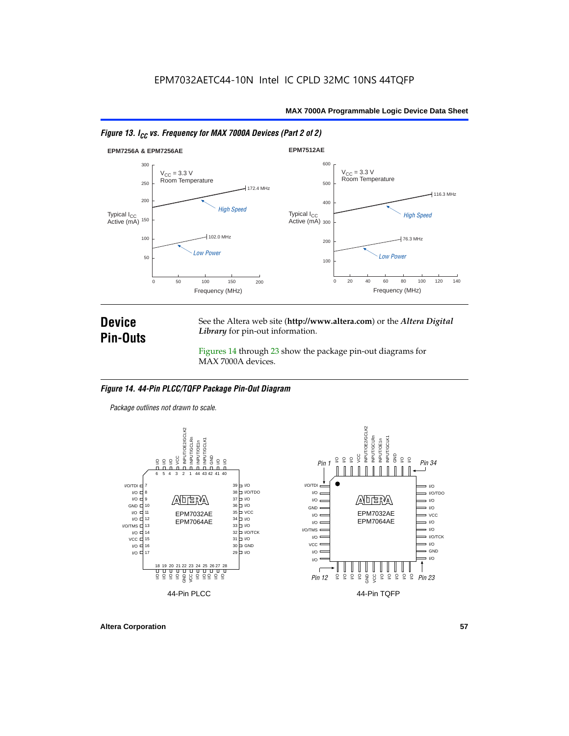



### **Device Pin-Outs**

See the Altera web site (**http://www.altera.com**) or the *Altera Digital Library* for pin-out information.

Figures 14 through 23 show the package pin-out diagrams for MAX 7000A devices.

#### *Figure 14. 44-Pin PLCC/TQFP Package Pin-Out Diagram*

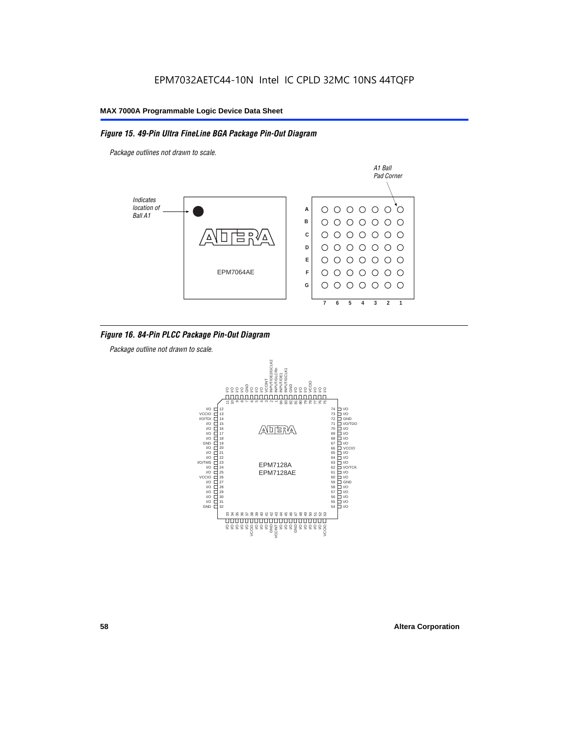#### *Figure 15. 49-Pin Ultra FineLine BGA Package Pin-Out Diagram*

*Package outlines not drawn to scale.*



#### *Figure 16. 84-Pin PLCC Package Pin-Out Diagram*

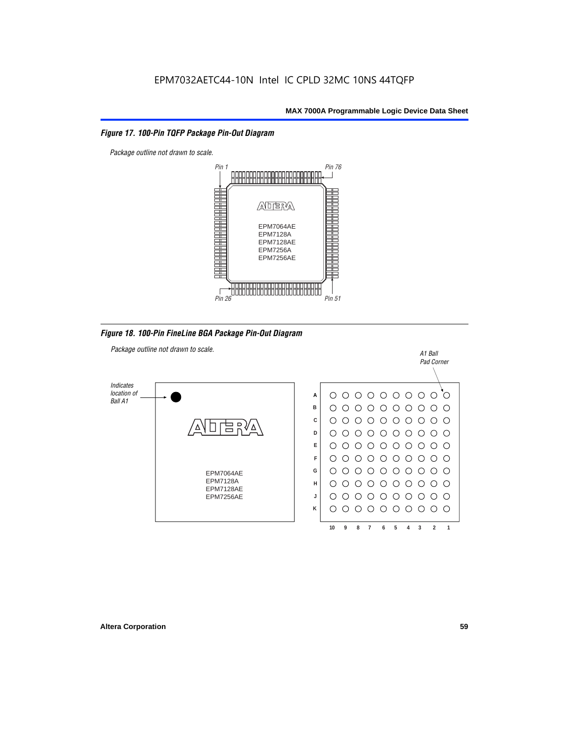#### *Figure 17. 100-Pin TQFP Package Pin-Out Diagram*



*Figure 18. 100-Pin FineLine BGA Package Pin-Out Diagram*

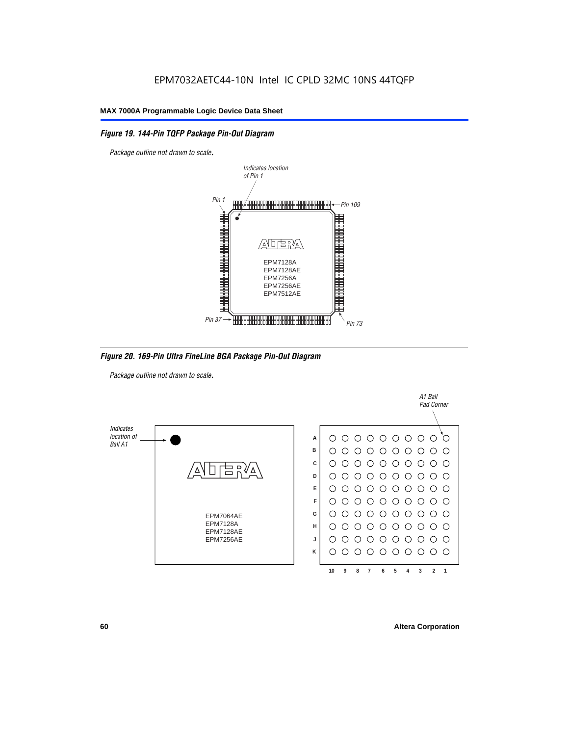#### *Figure 19. 144-Pin TQFP Package Pin-Out Diagram*

*Package outline not drawn to scale*.



*Figure 20. 169-Pin Ultra FineLine BGA Package Pin-Out Diagram*

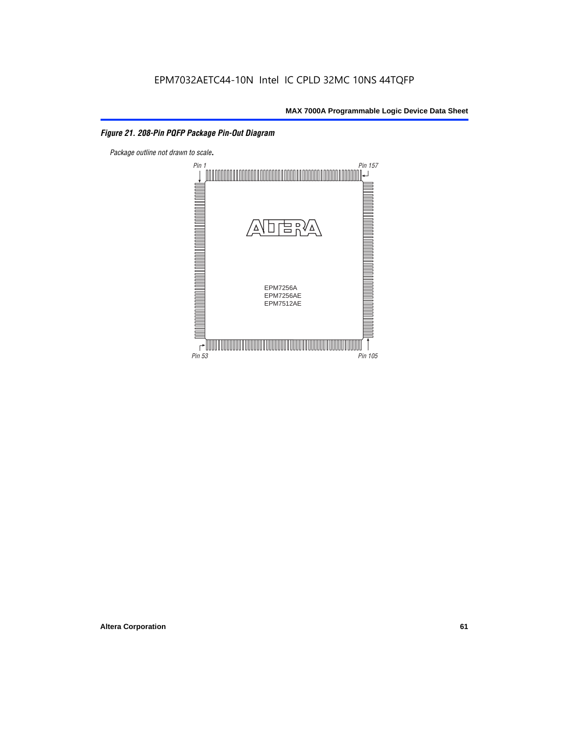#### *Figure 21. 208-Pin PQFP Package Pin-Out Diagram*

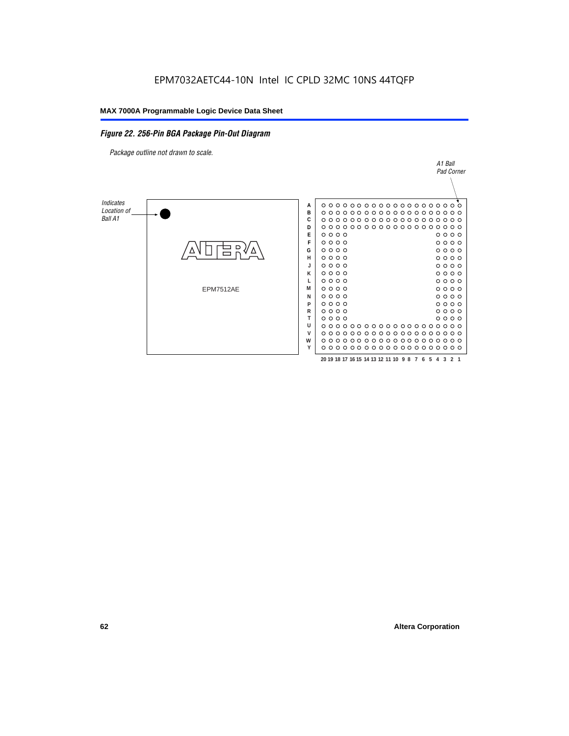#### *Figure 22. 256-Pin BGA Package Pin-Out Diagram*

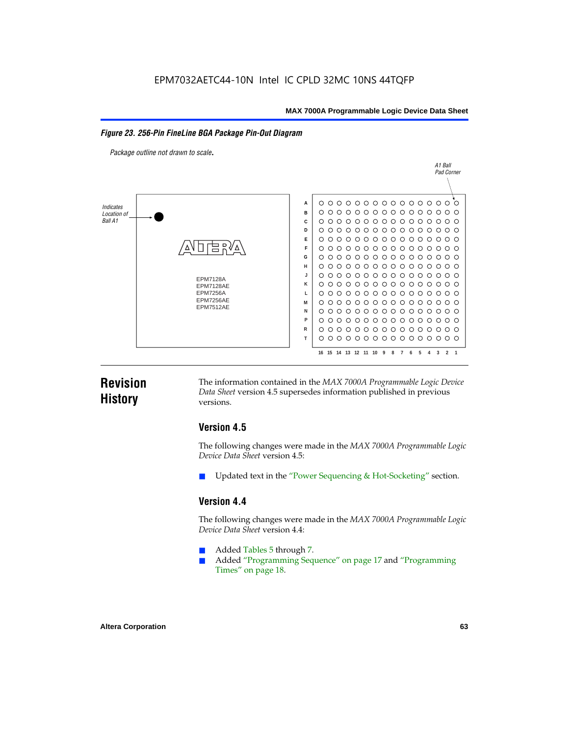#### *Figure 23. 256-Pin FineLine BGA Package Pin-Out Diagram*

*Package outline not drawn to scale*.



### **Revision History**

The information contained in the *MAX 7000A Programmable Logic Device Data Sheet* version 4.5 supersedes information published in previous versions.

#### **Version 4.5**

The following changes were made in the *MAX 7000A Programmable Logic Device Data Sheet* version 4.5:

Updated text in the "Power Sequencing & Hot-Socketing" section.

#### **Version 4.4**

The following changes were made in the *MAX 7000A Programmable Logic Device Data Sheet* version 4.4:

- Added Tables 5 through 7.
	- Added "Programming Sequence" on page 17 and "Programming Times" on page 18.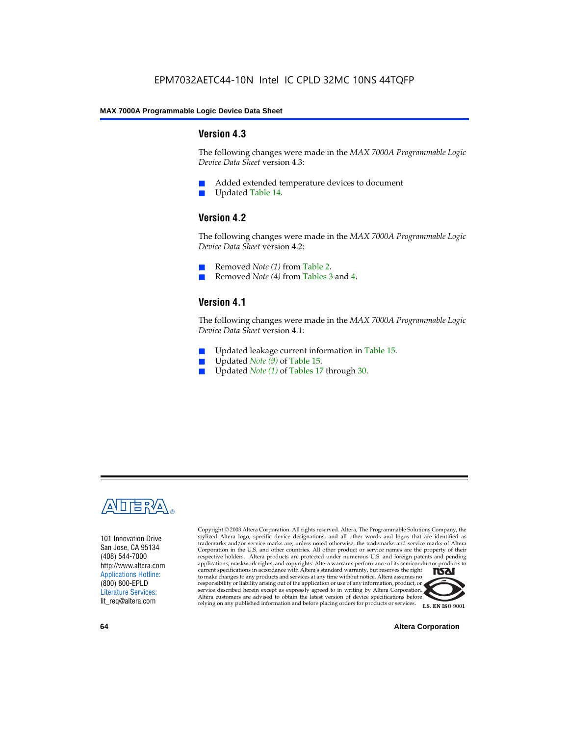#### **Version 4.3**

The following changes were made in the *MAX 7000A Programmable Logic Device Data Sheet* version 4.3:

- Added extended temperature devices to document
- Updated Table 14.

#### **Version 4.2**

The following changes were made in the *MAX 7000A Programmable Logic Device Data Sheet* version 4.2:

- Removed *Note (1)* from Table 2.
- Removed *Note (4)* from Tables 3 and 4.

### **Version 4.1**

The following changes were made in the *MAX 7000A Programmable Logic Device Data Sheet* version 4.1:

- Updated leakage current information in Table 15.
- Updated *Note (9)* of Table 15.
- Updated *Note* (1) of Tables 17 through 30.



101 Innovation Drive San Jose, CA 95134 (408) 544-7000 http://www.altera.com Applications Hotline: (800) 800-EPLD Literature Services: lit\_req@altera.com

Copyright © 2003 Altera Corporation. All rights reserved. Altera, The Programmable Solutions Company, the stylized Altera logo, specific device designations, and all other words and logos that are identified as trademarks and/or service marks are, unless noted otherwise, the trademarks and service marks of Altera Corporation in the U.S. and other countries. All other product or service names are the property of their respective holders. Altera products are protected under numerous U.S. and foreign patents and pending applications, maskwork rights, and copyrights. Altera warrants performance of its semiconductor products to current specifications in accordance with Altera's standard warranty, but reserves the right **TSAI** to make changes to any products and services at any time without notice. Altera assumes no responsibility or liability arising out of the application or use of any information, product, or service described herein except as expressly agreed to in writing by Altera Corporation. Altera customers are advised to obtain the latest version of device specifications before relying on any published information and before placing orders for products or services.



**I.S. EN ISO 9001** 

**64 Altera Corporation**